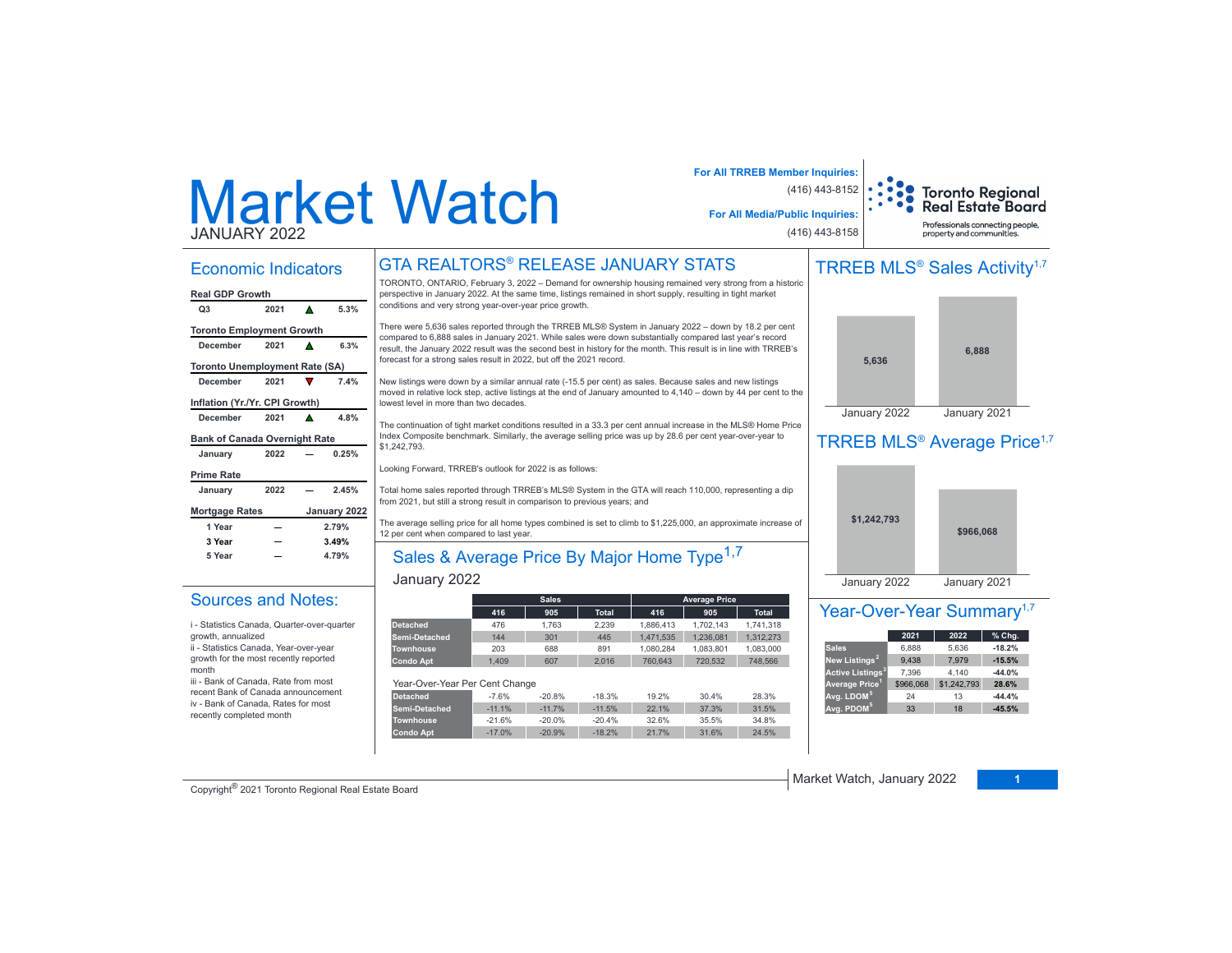# Market WatchJANUARY 2022

Economic Indicators

#### **Q3 2021 5.3%Real GDP Growth**

| <b>Toronto Employment Growth</b>      |       |   |              |  |  |  |  |  |  |
|---------------------------------------|-------|---|--------------|--|--|--|--|--|--|
| December                              | 2021  |   | 6.3%         |  |  |  |  |  |  |
| <b>Toronto Unemployment Rate (SA)</b> |       |   |              |  |  |  |  |  |  |
| December                              | 2021  |   | 7.4%         |  |  |  |  |  |  |
| Inflation (Yr./Yr. CPI Growth)        |       |   |              |  |  |  |  |  |  |
| December                              | 2021  | А | 4.8%         |  |  |  |  |  |  |
| <b>Bank of Canada Overnight Rate</b>  |       |   |              |  |  |  |  |  |  |
| January                               | 2022  |   | 0.25%        |  |  |  |  |  |  |
| <b>Prime Rate</b>                     |       |   |              |  |  |  |  |  |  |
| January                               | 2022  |   | 2.45%        |  |  |  |  |  |  |
| <b>Mortgage Rates</b>                 |       |   | January 2022 |  |  |  |  |  |  |
| 1 Year<br>2.79%                       |       |   |              |  |  |  |  |  |  |
| 3 Year                                | 3.49% |   |              |  |  |  |  |  |  |
| 5 Year                                |       |   | 4.79%        |  |  |  |  |  |  |

Sources and Notes:i - Statistics Canada, Quarter-over-quarter

ii - Statistics Canada, Year-over-year growth for the most recently reported

iii - Bank of Canada, Rate from most recent Bank of Canada announcement iv - Bank of Canada, Rates for most recently completed month

growth, annualized

month

# GTA REALTORS® RELEASE JANUARY STATS

TORONTO, ONTARIO, February 3, 2022 – Demand for ownership housing remained very strong from a historic SHUVEH, SHUWAH, DURAM, DURAM DUNING DIMANGKAT DIMANGKAT DIMANGKAT PRESIDENTIFY IN 1999 THINGH DISPOSED PERSPECTIVE IN JANUARY 2022. At the same time, listings remained in short supply, resulting in tight market conditions and very strong year-over-year price growth.

There were 5,636 sales reported through the TRREB MLS® System in January 2022 - down by 18.2 per cent compared to 6,888 sales in January 2021. While sales were down substantially compared last year's record result, the January 2022 result was the second best in history for the month. This result is in line with TRREB's forecast for a strong sales result in 2022, but off the 2021 record.

New listings were down by a similar annual rate (-15.5 per cent) as sales. Because sales and new listings moved in relative lock step, active listings at the end of January amounted to 4,140 - down by 44 per cent to the lowest level in more than two decades.

The continuation of tight market conditions resulted in a 33.3 per cent annual increase in the MLS® Home Price Index Composite benchmark. Similarly, the average selling price was up by 28.6 per cent year-over-year to \$1,242,793.

Looking Forward, TRREB's outlook for 2022 is as follows:

Total home sales reported through TRREB's MLS® System in the GTA will reach 110,000, representing a dip from 2021, but still a strong result in comparison to previous years; and

The average selling price for all home types combined is set to climb to \$1,225,000, an approximate increase of 12 per cent when compared to last year.

# Sales & Average Price By Major Home Type<sup>1,7</sup>

#### January 2022

|                                |         | <b>Sales</b> |              |           | <b>Average Price</b> |              |
|--------------------------------|---------|--------------|--------------|-----------|----------------------|--------------|
|                                | 416     | 905          | <b>Total</b> | 416       | 905                  | <b>Total</b> |
| <b>Detached</b>                | 476     | 1.763        | 2.239        | 1.886.413 | 1.702.143            | 1.741.318    |
| Semi-Detached                  | 144     | 301          | 445          | 1.471.535 | 1.236.081            | 1,312,273    |
| <b>Townhouse</b>               | 203     | 688          | 891          | 1.080.284 | 1.083.801            | 1.083.000    |
| <b>Condo Apt</b>               | 1.409   | 607          | 2.016        | 760.643   | 720.532              | 748.566      |
|                                |         |              |              |           |                      |              |
| Year-Over-Year Per Cent Change |         |              |              |           |                      |              |
| <b>Detached</b>                | $-7.6%$ | $-20.8%$     | $-18.3%$     | 19.2%     | 30.4%                | 28.3%        |

| Detached         | $-7.6%$  | $-20.8%$ | $-18.3%$ | 19.2% | 30.4% | 28.3% |
|------------------|----------|----------|----------|-------|-------|-------|
| Semi-Detached    | $-11.1%$ | $-117%$  | $-11.5%$ | 22.1% | 37.3% | 31.5% |
| <b>Townhouse</b> | $-21.6%$ | $-20.0%$ | $-20.4%$ | 32.6% | 35.5% | 34.8% |
| Condo Apt        | $-17.0%$ | $-20.9%$ | $-18.2%$ | 21.7% | 31.6% | 24.5% |

# TRREB MLS<sup>®</sup> Sales Activity<sup>1,7</sup>

**Toronto Regional Real Estate Board** Professionals connecting people property and communities.

**For All TRREB Member Inquiries:**

**For All Media/Public Inquiries:**

(416) 443-8152

(416) 443-8158



## TRREB MLS<sup>®</sup> Average Price<sup>1,7</sup>



#### Year-Over-Year Summary<sup>1,7</sup>

|                              | 2021      | 2022        | % Chg.   |
|------------------------------|-----------|-------------|----------|
| <b>Sales</b>                 | 6.888     | 5.636       | $-18.2%$ |
| New Listings <sup>2</sup>    | 9.438     | 7.979       | $-15.5%$ |
| Active Listings <sup>3</sup> | 7.396     | 4.140       | $-44.0%$ |
| Average Price <sup>1</sup>   | \$966,068 | \$1,242,793 | 28.6%    |
| Avg. LDOM <sup>5</sup>       | 24        | 13          | $-44.4%$ |
| Avg. PDOM <sup>5</sup>       | 33        | 18          | $-45.5%$ |

**Copyright<sup>®</sup> 2021 Toronto Regional Real Estate Board 12022 12022 12022 12022 12022 12022 12022 12022 12022 12022 12022 12022 12022 12022 12022 12022 12022 12022 12022 12022 12022**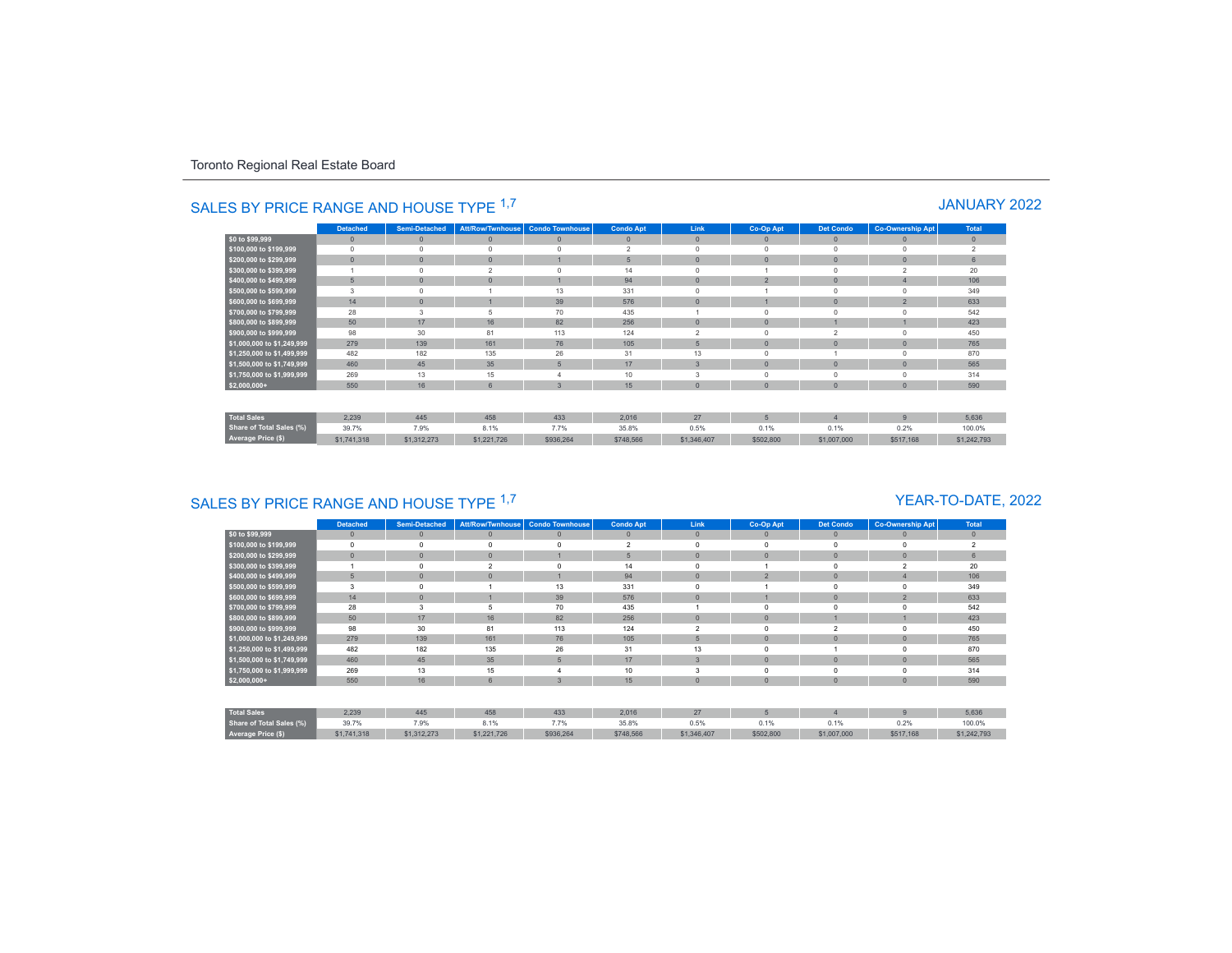|                            | <b>Detached</b> | <b>Semi-Detached</b> | <b>Att/Row/Twnhouse</b> | <b>Condo Townhouse</b> | <b>Condo Apt</b> | Link           | Co-Op Apt       | <b>Det Condo</b> | <b>Co-Ownership Apt</b> | Total          |
|----------------------------|-----------------|----------------------|-------------------------|------------------------|------------------|----------------|-----------------|------------------|-------------------------|----------------|
| \$0 to \$99,999            | $\mathbf{0}$    | $\mathbf{0}$         | $\mathbf{0}$            | $\theta$               | $\mathbf{0}$     | $\mathbb O$    | $\mathbf{0}$    | $\theta$         | $\mathbf{0}$            | $\mathbf{0}$   |
| \$100,000 to \$199,999     | $^{\circ}$      | $\Omega$             | $\Omega$                | $\Omega$               | $\overline{2}$   | $\mathbf 0$    | $\Omega$        | $\Omega$         | $\Omega$                | $\overline{2}$ |
| \$200,000 to \$299,999     | $\mathbf{0}$    | $\overline{0}$       | $\mathbf{0}$            |                        | 5                | $\mathbf 0$    | $\Omega$        | $\theta$         | $\mathbf{0}$            | 6              |
| \$300,000 to \$399,999     |                 | $\Omega$             | $\overline{2}$          | $\Omega$               | 14               | $\mathbf 0$    |                 | $\Omega$         | $\overline{2}$          | 20             |
| \$400,000 to \$499,999     | 5               | $\overline{0}$       | $\Omega$                |                        | 94               | $\mathbf{0}$   | $\overline{a}$  | $\Omega$         | $\overline{4}$          | 106            |
| \$500,000 to \$599,999     | 3               | $\Omega$             |                         | 13                     | 331              | $^{\circ}$     |                 |                  | $\Omega$                | 349            |
| \$600,000 to \$699,999     | 14              | $\mathbf{0}$         |                         | 39                     | 576              | $\mathbf{0}$   |                 | $\Omega$         | $\overline{2}$          | 633            |
| \$700,000 to \$799,999     | 28              | 3                    | 5                       | 70                     | 435              |                | $\Omega$        |                  | $\Omega$                | 542            |
| \$800,000 to \$899,999     | 50              | 17                   | 16                      | 82                     | 256              | $\mathbf{0}$   | $\mathbf{0}$    |                  |                         | 423            |
| \$900,000 to \$999,999     | 98              | 30                   | 81                      | 113                    | 124              | $\overline{2}$ | $\Omega$        | $\mathfrak{p}$   | $\Omega$                | 450            |
| \$1,000,000 to \$1,249,999 | 279             | 139                  | 161                     | 76                     | 105              | 5              | $\mathbf{0}$    | $\theta$         | $\mathbf{0}$            | 765            |
| \$1,250,000 to \$1,499,999 | 482             | 182                  | 135                     | 26                     | 31               | 13             | $\Omega$        |                  | $\Omega$                | 870            |
| \$1,500,000 to \$1,749,999 | 460             | 45                   | 35                      | 5                      | 17               | $\overline{3}$ | $\Omega$        | $\Omega$         | $\mathbf{0}$            | 565            |
| \$1,750,000 to \$1,999,999 | 269             | 13                   | 15                      |                        | 10               | 3              | $\Omega$        | $\Omega$         | $\Omega$                | 314            |
| $$2,000,000+$              | 550             | 16                   | 6                       | $\overline{3}$         | 15               | $\mathbf{0}$   | $\Omega$        | $\theta$         | $\mathbf{0}$            | 590            |
| <b>Total Sales</b>         | 2.239           | 445                  | 458                     | 433                    | 2.016            | 27             | $5\overline{5}$ | $\overline{4}$   | $\overline{9}$          | 5.636          |
| Share of Total Sales (%)   | 39.7%           | 7.9%                 | 8.1%                    | 7.7%                   | 35.8%            | 0.5%           | 0.1%            | 0.1%             | 0.2%                    | 100.0%         |
| Average Price (\$)         | \$1,741,318     | \$1,312,273          | \$1,221,726             | \$936,264              | \$748,566        | \$1,346,407    | \$502,800       | \$1,007,000      | \$517,168               | \$1,242,793    |

# SALES BY PRICE RANGE AND HOUSE TYPE <sup>1,7</sup> And the state of the state of the state of the state of the state of the state of the state of the state of the state of the state of the state of the state of the state of the sta

# SALES BY PRICE RANGE AND HOUSE TYPE <sup>1,7</sup>

### YEAR-TO-DATE, 2022

|                                 | <b>Detached</b> | <b>Semi-Detached</b> | Att/Row/Twnhouse         | <b>Condo Townhouse</b> | <b>Condo Apt</b> | Link                     | Co-Op Apt      | <b>Det Condo</b> | <b>Co-Ownership Apt</b>  | <b>Total</b>             |
|---------------------------------|-----------------|----------------------|--------------------------|------------------------|------------------|--------------------------|----------------|------------------|--------------------------|--------------------------|
| \$0 to \$99,999                 | $\mathbf{0}$    | $\mathbf{0}$         | $\Omega$                 | $\mathbf{0}$           | $\theta$         | $\mathbf{0}$             | $\mathbf{0}$   | $\mathbf{0}$     |                          | $\mathbf{0}$             |
| \$100,000 to \$199,999          | $\Omega$        | $\Omega$             | $\Omega$                 | $\theta$               | $\overline{2}$   | $\Omega$                 |                | $\Omega$         |                          | $\overline{\phantom{a}}$ |
| \$200,000 to \$299,999          | $\overline{0}$  | $\mathbf{0}$         | $\Omega$                 |                        | 5                | $\mathbf{0}$             | $\overline{0}$ | $\mathbf{0}$     | $\Omega$                 | 6                        |
| \$300,000 to \$399,999          |                 | $\Omega$             | $\overline{\phantom{a}}$ | $\Omega$               | 14               | $\Omega$                 |                | $\mathbf 0$      | $\overline{\phantom{a}}$ | 20                       |
| \$400,000 to \$499,999          | 5               | $\mathbf{0}$         | $\Omega$                 |                        | 94               | $\mathbf{0}$             | $\overline{2}$ | $\mathbf{0}$     |                          | 106                      |
| \$500,000 to \$599,999          | 3               | 0                    |                          | 13                     | 331              | $\Omega$                 |                | $\mathbf 0$      |                          | 349                      |
| \$600,000 to \$699,999          | 14              | $\mathbf{0}$         |                          | 39                     | 576              | $\mathbf{0}$             |                | $\mathbf{0}$     | $\overline{2}$           | 633                      |
| \$700,000 to \$799,999          | 28              | 3                    |                          | 70                     | 435              |                          |                | $\Omega$         |                          | 542                      |
| \$800,000 to \$899,999          | 50              | 17                   | 16                       | 82                     | 256              | $\mathbf{0}$             | $\mathbf{0}$   |                  |                          | 423                      |
| \$900,000 to \$999,999          | 98              | 30                   | 81                       | 113                    | 124              | $\overline{\phantom{a}}$ | 0              | $\overline{2}$   |                          | 450                      |
| \$1,000,000 to \$1,249,999      | 279             | 139                  | 161                      | 76                     | 105              | 5                        | $\Omega$       | $\mathbf{0}$     |                          | 765                      |
| \$1,250,000 to \$1,499,999      | 482             | 182                  | 135                      | 26                     | 31               | 13                       |                |                  |                          | 870                      |
| \$1,500,000 to \$1,749,999      | 460             | 45                   | 35                       | $5\overline{5}$        | 17               | $\mathbf{3}$             | $\Omega$       | $\mathbf{0}$     | $\Omega$                 | 565                      |
| \$1,750,000 to \$1,999,999      | 269             | 13                   | 15                       |                        | 10               | 3                        | Ò              | 0                |                          | 314                      |
| $$2,000,000+$                   | 550             | 16                   | 6                        | 3                      | 15               | $\mathbf{0}$             | $\mathbf{0}$   | $\mathbf{0}$     |                          | 590                      |
|                                 |                 |                      |                          |                        |                  |                          |                |                  |                          |                          |
| <b>Total Sales</b>              | 2,239           | 445                  | 458                      | 433                    | 2,016            | 27                       | 5              | $\overline{4}$   | $\mathbf{Q}$             | 5,636                    |
| <b>Share of Total Sales (%)</b> | 39.7%           | 7.9%                 | 8.1%                     | 7.7%                   | 35.8%            | 0.5%                     | 0.1%           | 0.1%             | 0.2%                     | 100.0%                   |
| Average Price (\$)              | \$1,741,318     | \$1,312,273          | \$1,221,726              | \$936,264              | \$748,566        | \$1,346,407              | \$502,800      | \$1,007,000      | \$517,168                | \$1,242,793              |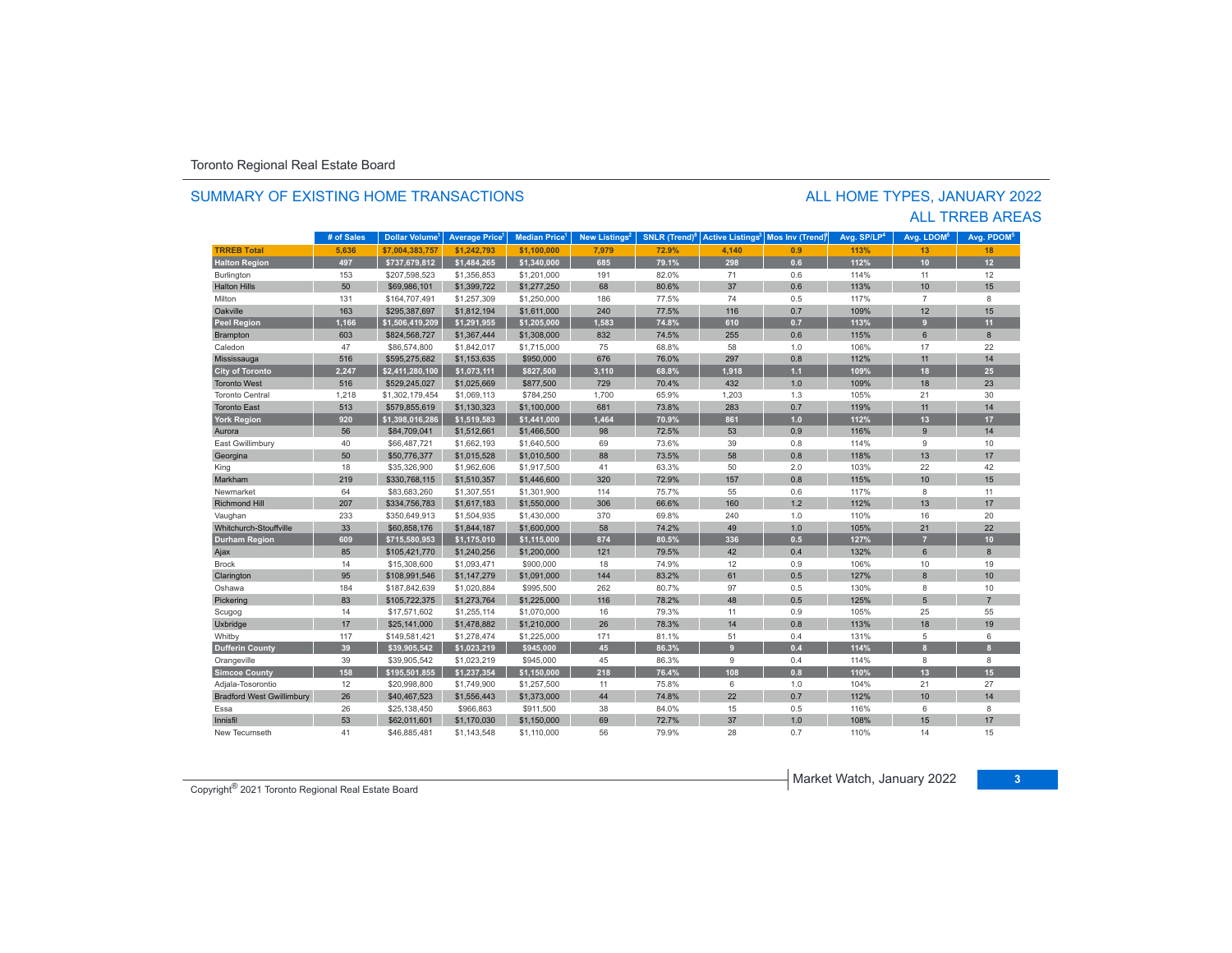#### SUMMARY OF EXISTING HOME TRANSACTIONS

### ALL TRREB AREAS ALL HOME TYPES, JANUARY 2022

|                                  | # of Sales | Dollar Volume <sup>1</sup> | <b>Average Price</b> | Median Price <sup>1</sup> | New Listings <sup>2</sup> | SNLR (Trend) $8$ | <b>Active Listings<sup>3</sup></b> | Mos Inv (Trend) | Avg. SP/LP <sup>4</sup> | Avg. LDOM <sup>5</sup> | Avg. PDOM <sup>5</sup> |
|----------------------------------|------------|----------------------------|----------------------|---------------------------|---------------------------|------------------|------------------------------------|-----------------|-------------------------|------------------------|------------------------|
| <b>TRREB Total</b>               | 5,636      | \$7.004.383.757            | \$1,242,793          | \$1,100,000               | 7,979                     | 72.9%            | 4,140                              | 0.9             | 113%                    | 13                     | 18                     |
| <b>Halton Region</b>             | 497        | \$737,679,812              | \$1,484,265          | \$1,340,000               | 685                       | 79.1%            | 298                                | 0.6             | 112%                    | 10                     | 12                     |
| Burlington                       | 153        | \$207,598,523              | \$1,356,853          | \$1,201,000               | 191                       | 82.0%            | 71                                 | 0.6             | 114%                    | 11                     | 12                     |
| <b>Halton Hills</b>              | 50         | \$69,986,101               | \$1,399,722          | \$1,277,250               | 68                        | 80.6%            | 37                                 | 0.6             | 113%                    | 10                     | 15                     |
| Milton                           | 131        | \$164,707,491              | \$1,257,309          | \$1,250,000               | 186                       | 77.5%            | 74                                 | 0.5             | 117%                    | $\overline{7}$         | 8                      |
| Oakville                         | 163        | \$295.387.697              | \$1,812,194          | \$1,611,000               | 240                       | 77.5%            | 116                                | 0.7             | 109%                    | 12                     | 15                     |
| <b>Peel Region</b>               | 1,166      | \$1,506,419,209            | \$1,291,955          | \$1,205,000               | 1,583                     | 74.8%            | 610                                | 0.7             | 113%                    | 9                      | 11                     |
| Brampton                         | 603        | \$824,568,727              | \$1,367,444          | \$1,308,000               | 832                       | 74.5%            | 255                                | 0.6             | 115%                    | 6                      | 8                      |
| Caledon                          | 47         | \$86,574,800               | \$1,842,017          | \$1,715,000               | 75                        | 68.8%            | 58                                 | 1.0             | 106%                    | 17                     | 22                     |
| Mississauga                      | 516        | \$595,275,682              | \$1,153,635          | \$950,000                 | 676                       | 76.0%            | 297                                | 0.8             | 112%                    | 11                     | 14                     |
| <b>City of Toronto</b>           | 2.247      | \$2,411,280,100            | \$1,073,111          | \$827,500                 | 3,110                     | 68.8%            | 1,918                              | $1.1$           | 109%                    | 18                     | 25                     |
| <b>Toronto West</b>              | 516        | \$529,245,027              | \$1,025,669          | \$877,500                 | 729                       | 70.4%            | 432                                | 1.0             | 109%                    | 18                     | 23                     |
| <b>Toronto Central</b>           | 1,218      | \$1,302,179,454            | \$1,069,113          | \$784,250                 | 1,700                     | 65.9%            | 1,203                              | 1.3             | 105%                    | 21                     | 30                     |
| <b>Toronto East</b>              | 513        | \$579,855,619              | \$1,130,323          | \$1,100,000               | 681                       | 73.8%            | 283                                | 0.7             | 119%                    | 11                     | 14                     |
| <b>York Region</b>               | 920        | \$1,398,016,286            | \$1,519,583          | \$1,441,000               | 1,464                     | 70.9%            | 861                                | 1.0             | 112%                    | 13                     | 17                     |
| Aurora                           | 56         | \$84,709,041               | \$1,512,661          | \$1,466,500               | 98                        | 72.5%            | 53                                 | 0.9             | 116%                    | 9                      | 14                     |
| East Gwillimbury                 | 40         | \$66,487,721               | \$1,662,193          | \$1,640,500               | 69                        | 73.6%            | 39                                 | 0.8             | 114%                    | 9                      | 10                     |
| Georgina                         | 50         | \$50,776,377               | \$1,015,528          | \$1,010,500               | 88                        | 73.5%            | 58                                 | 0.8             | 118%                    | 13                     | 17                     |
| King                             | 18         | \$35,326,900               | \$1,962,606          | \$1,917,500               | 41                        | 63.3%            | 50                                 | 2.0             | 103%                    | 22                     | 42                     |
| Markham                          | 219        | \$330,768,115              | \$1,510,357          | \$1,446,600               | 320                       | 72.9%            | 157                                | 0.8             | 115%                    | 10                     | 15                     |
| Newmarket                        | 64         | \$83,683,260               | \$1,307,551          | \$1,301,900               | 114                       | 75.7%            | 55                                 | 0.6             | 117%                    | 8                      | 11                     |
| <b>Richmond Hill</b>             | 207        | \$334,756,783              | \$1,617,183          | \$1,550,000               | 306                       | 66.6%            | 160                                | 1.2             | 112%                    | 13                     | 17                     |
| Vaughan                          | 233        | \$350,649,913              | \$1,504,935          | \$1,430,000               | 370                       | 69.8%            | 240                                | 1.0             | 110%                    | 16                     | 20                     |
| Whitchurch-Stouffville           | 33         | \$60,858,176               | \$1,844,187          | \$1,600,000               | 58                        | 74.2%            | 49                                 | 1.0             | 105%                    | 21                     | 22                     |
| <b>Durham Region</b>             | 609        | \$715,580,953              | \$1,175,010          | \$1,115,000               | 874                       | 80.5%            | 336                                | 0.5             | 127%                    | $\overline{7}$         | 10 <sub>1</sub>        |
| Ajax                             | 85         | \$105,421,770              | \$1,240,256          | \$1,200,000               | 121                       | 79.5%            | 42                                 | 0.4             | 132%                    | 6                      | 8                      |
| <b>Brock</b>                     | 14         | \$15,308,600               | \$1,093,471          | \$900,000                 | 18                        | 74.9%            | 12                                 | 0.9             | 106%                    | 10                     | 19                     |
| Clarington                       | 95         | \$108,991,546              | \$1,147,279          | \$1,091,000               | 144                       | 83.2%            | 61                                 | 0.5             | 127%                    | $\mathbf{8}$           | 10                     |
| Oshawa                           | 184        | \$187,842,639              | \$1,020,884          | \$995,500                 | 262                       | 80.7%            | 97                                 | 0.5             | 130%                    | 8                      | 10                     |
| Pickering                        | 83         | \$105,722,375              | \$1,273,764          | \$1,225,000               | 116                       | 78.2%            | 48                                 | 0.5             | 125%                    | 5                      | $\overline{7}$         |
| Scugog                           | 14         | \$17,571,602               | \$1,255,114          | \$1,070,000               | 16                        | 79.3%            | 11                                 | 0.9             | 105%                    | 25                     | 55                     |
| Uxbridge                         | 17         | \$25,141,000               | \$1,478,882          | \$1,210,000               | 26                        | 78.3%            | 14                                 | 0.8             | 113%                    | 18                     | 19                     |
| Whitby                           | 117        | \$149,581,421              | \$1,278,474          | \$1,225,000               | 171                       | 81.1%            | 51                                 | 0.4             | 131%                    | 5                      | 6                      |
| <b>Dufferin County</b>           | 39         | \$39,905,542               | \$1,023,219          | \$945,000                 | 45                        | 86.3%            | $\overline{9}$                     | 0.4             | 114%                    | $\mathbf{a}$           |                        |
| Orangeville                      | 39         | \$39,905,542               | \$1,023,219          | \$945,000                 | 45                        | 86.3%            | $\mathsf g$                        | 0.4             | 114%                    | 8                      | 8                      |
| <b>Simcoe County</b>             | 158        | \$195,501,855              | \$1,237,354          | \$1,150,000               | 218                       | 76.4%            | 108                                | 0.8             | 110%                    | 13                     | 15                     |
| Adjala-Tosorontio                | 12         | \$20,998,800               | \$1,749,900          | \$1,257,500               | 11                        | 75.8%            | 6                                  | 1.0             | 104%                    | 21                     | 27                     |
| <b>Bradford West Gwillimbury</b> | 26         | \$40,467,523               | \$1,556,443          | \$1,373,000               | 44                        | 74.8%            | 22                                 | 0.7             | 112%                    | 10                     | 14                     |
| Essa                             | 26         | \$25,138,450               | \$966,863            | \$911,500                 | 38                        | 84.0%            | 15                                 | 0.5             | 116%                    | 6                      | 8                      |
| Innisfil                         | 53         | \$62,011,601               | \$1,170,030          | \$1,150,000               | 69                        | 72.7%            | 37                                 | 1.0             | 108%                    | 15                     | 17                     |
| New Tecumseth                    | 41         | \$46,885,481               | \$1,143,548          | \$1,110,000               | 56                        | 79.9%            | 28                                 | 0.7             | 110%                    | 14                     | 15                     |

Market Watch, January 2022 **<sup>3</sup>** Copyright® 2021 Toronto Regional Real Estate Board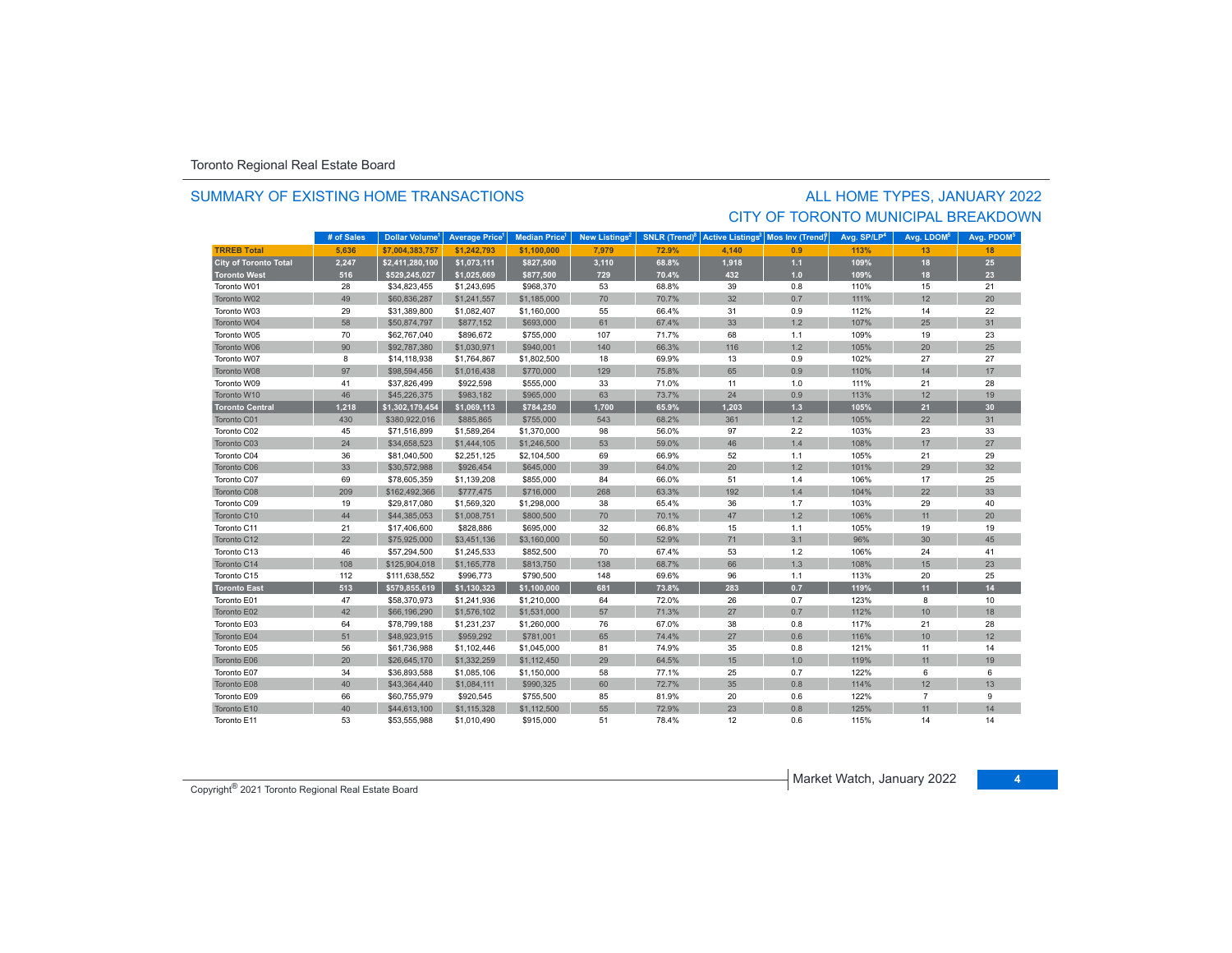#### SUMMARY OF EXISTING HOME TRANSACTIONS

### ALL HOME TYPES, JANUARY 2022 CITY OF TORONTO MUNICIPAL BREAKDOWN

|                              | # of Sales | Dollar Volume <sup>1</sup> | <b>Average Price</b> | <b>Median Price</b> | New Listings <sup>2</sup> | SNLR (Trend) <sup>8</sup> | <b>Active Listings<sup>3</sup></b> | Mos Inv (Trendf | Avg. SP/LP <sup>4</sup> | Avg. LDOM <sup>5</sup> | Avg. PDOM <sup>5</sup> |
|------------------------------|------------|----------------------------|----------------------|---------------------|---------------------------|---------------------------|------------------------------------|-----------------|-------------------------|------------------------|------------------------|
| <b>TRREB Total</b>           | 5.636      | \$7.004.383.757            | \$1.242.793          | \$1.100.000         | 7.979                     | 72.9%                     | 4.140                              | 0.9             | 113%                    | 13                     | 18                     |
| <b>City of Toronto Total</b> | 2,247      | \$2,411,280,100            | \$1,073,111          | \$827,500           | 3,110                     | 68.8%                     | 1,918                              | $1.1$           | 109%                    | 18                     | 25                     |
| <b>Toronto West</b>          | 516        | \$529,245,027              | \$1,025,669          | \$877,500           | 729                       | 70.4%                     | 432                                | 1.0             | 109%                    | 18                     | 23                     |
| Toronto W01                  | 28         | \$34,823,455               | \$1,243,695          | \$968,370           | 53                        | 68.8%                     | 39                                 | 0.8             | 110%                    | 15                     | 21                     |
| Toronto W02                  | 49         | \$60,836,287               | \$1,241,557          | \$1,185,000         | 70                        | 70.7%                     | 32                                 | 0.7             | 111%                    | 12                     | 20                     |
| Toronto W03                  | 29         | \$31,389,800               | \$1,082,407          | \$1,160,000         | 55                        | 66.4%                     | 31                                 | 0.9             | 112%                    | 14                     | 22                     |
| Toronto W04                  | 58         | \$50,874,797               | \$877,152            | \$693,000           | 61                        | 67.4%                     | 33                                 | 1.2             | 107%                    | 25                     | 31                     |
| Toronto W05                  | 70         | \$62,767,040               | \$896,672            | \$755,000           | 107                       | 71.7%                     | 68                                 | 1.1             | 109%                    | 19                     | 23                     |
| Toronto W06                  | 90         | \$92,787,380               | \$1,030,971          | \$940,001           | 140                       | 66.3%                     | 116                                | 1.2             | 105%                    | 20                     | 25                     |
| Toronto W07                  | 8          | \$14,118,938               | \$1,764,867          | \$1,802,500         | 18                        | 69.9%                     | 13                                 | 0.9             | 102%                    | 27                     | 27                     |
| Toronto W08                  | 97         | \$98,594,456               | \$1,016,438          | \$770,000           | 129                       | 75.8%                     | 65                                 | 0.9             | 110%                    | 14                     | 17                     |
| Toronto W09                  | 41         | \$37,826,499               | \$922,598            | \$555,000           | 33                        | 71.0%                     | 11                                 | 1.0             | 111%                    | 21                     | 28                     |
| Toronto W10                  | 46         | \$45,226,375               | \$983,182            | \$965,000           | 63                        | 73.7%                     | 24                                 | 0.9             | 113%                    | 12                     | 19                     |
| <b>Toronto Central</b>       | 1,218      | \$1,302,179,454            | \$1,069,113          | \$784,250           | 1,700                     | 65.9%                     | 1,203                              | $1.3$           | 105%                    | 21                     | 30 <sub>o</sub>        |
| Toronto C01                  | 430        | \$380,922,016              | \$885,865            | \$755,000           | 543                       | 68.2%                     | 361                                | 1.2             | 105%                    | 22                     | 31                     |
| Toronto C02                  | 45         | \$71,516,899               | \$1,589,264          | \$1,370,000         | 98                        | 56.0%                     | 97                                 | 2.2             | 103%                    | 23                     | 33                     |
| Toronto C03                  | 24         | \$34,658,523               | \$1,444,105          | \$1,246,500         | 53                        | 59.0%                     | 46                                 | 1.4             | 108%                    | 17                     | 27                     |
| Toronto C04                  | 36         | \$81,040,500               | \$2,251,125          | \$2,104,500         | 69                        | 66.9%                     | 52                                 | 1.1             | 105%                    | 21                     | 29                     |
| Toronto C06                  | 33         | \$30,572,988               | \$926,454            | \$645,000           | 39                        | 64.0%                     | 20                                 | 1.2             | 101%                    | 29                     | 32                     |
| Toronto C07                  | 69         | \$78,605,359               | \$1,139,208          | \$855,000           | 84                        | 66.0%                     | 51                                 | 1.4             | 106%                    | 17                     | 25                     |
| Toronto C08                  | 209        | \$162,492,366              | \$777,475            | \$716,000           | 268                       | 63.3%                     | 192                                | 1.4             | 104%                    | 22                     | 33                     |
| Toronto C09                  | 19         | \$29,817,080               | \$1,569,320          | \$1,298,000         | 38                        | 65.4%                     | 36                                 | 1.7             | 103%                    | 29                     | 40                     |
| Toronto C10                  | 44         | \$44,385,053               | \$1,008,751          | \$800,500           | 70                        | 70.1%                     | 47                                 | 1.2             | 106%                    | 11                     | 20                     |
| Toronto C11                  | 21         | \$17,406,600               | \$828,886            | \$695,000           | 32                        | 66.8%                     | 15                                 | 1.1             | 105%                    | 19                     | 19                     |
| Toronto C12                  | 22         | \$75,925,000               | \$3,451,136          | \$3,160,000         | 50                        | 52.9%                     | 71                                 | 3.1             | 96%                     | 30                     | 45                     |
| Toronto C13                  | 46         | \$57,294,500               | \$1,245,533          | \$852,500           | 70                        | 67.4%                     | 53                                 | $1.2$           | 106%                    | 24                     | 41                     |
| Toronto C14                  | 108        | \$125,904,018              | \$1,165,778          | \$813,750           | 138                       | 68.7%                     | 66                                 | 1.3             | 108%                    | 15                     | 23                     |
| Toronto C15                  | 112        | \$111,638,552              | \$996,773            | \$790,500           | 148                       | 69.6%                     | 96                                 | 1.1             | 113%                    | 20                     | 25                     |
| <b>Toronto East</b>          | 513        | \$579,855,619              | \$1,130,323          | \$1,100,000         | 681                       | 73.8%                     | 283                                | 0.7             | 119%                    | 11                     | 14                     |
| Toronto E01                  | 47         | \$58,370,973               | \$1,241,936          | \$1,210,000         | 64                        | 72.0%                     | 26                                 | 0.7             | 123%                    | 8                      | 10                     |
| Toronto E02                  | 42         | \$66,196,290               | \$1,576,102          | \$1,531,000         | 57                        | 71.3%                     | 27                                 | 0.7             | 112%                    | 10                     | 18                     |
| Toronto E03                  | 64         | \$78,799,188               | \$1,231,237          | \$1,260,000         | 76                        | 67.0%                     | 38                                 | 0.8             | 117%                    | 21                     | 28                     |
| Toronto E04                  | 51         | \$48,923,915               | \$959,292            | \$781,001           | 65                        | 74.4%                     | 27                                 | 0.6             | 116%                    | 10                     | 12                     |
| Toronto E05                  | 56         | \$61,736,988               | \$1,102,446          | \$1,045,000         | 81                        | 74.9%                     | 35                                 | 0.8             | 121%                    | 11                     | 14                     |
| Toronto E06                  | 20         | \$26,645,170               | \$1,332,259          | \$1,112,450         | 29                        | 64.5%                     | 15                                 | 1.0             | 119%                    | 11                     | 19                     |
| Toronto E07                  | 34         | \$36,893,588               | \$1,085,106          | \$1,150,000         | 58                        | 77.1%                     | 25                                 | 0.7             | 122%                    | 6                      | 6                      |
| Toronto E08                  | 40         | \$43,364,440               | \$1,084,111          | \$990,325           | 60                        | 72.7%                     | 35                                 | 0.8             | 114%                    | 12                     | 13                     |
| Toronto E09                  | 66         | \$60,755,979               | \$920,545            | \$755,500           | 85                        | 81.9%                     | 20                                 | 0.6             | 122%                    | $\overline{7}$         | 9                      |
| Toronto E10                  | 40         | \$44,613,100               | \$1,115,328          | \$1,112,500         | 55                        | 72.9%                     | 23                                 | 0.8             | 125%                    | 11                     | 14                     |
| Toronto E11                  | 53         | \$53,555,988               | \$1,010,490          | \$915,000           | 51                        | 78.4%                     | 12                                 | 0.6             | 115%                    | 14                     | 14                     |

Market Watch, January 2022 **<sup>4</sup>** Copyright® 2021 Toronto Regional Real Estate Board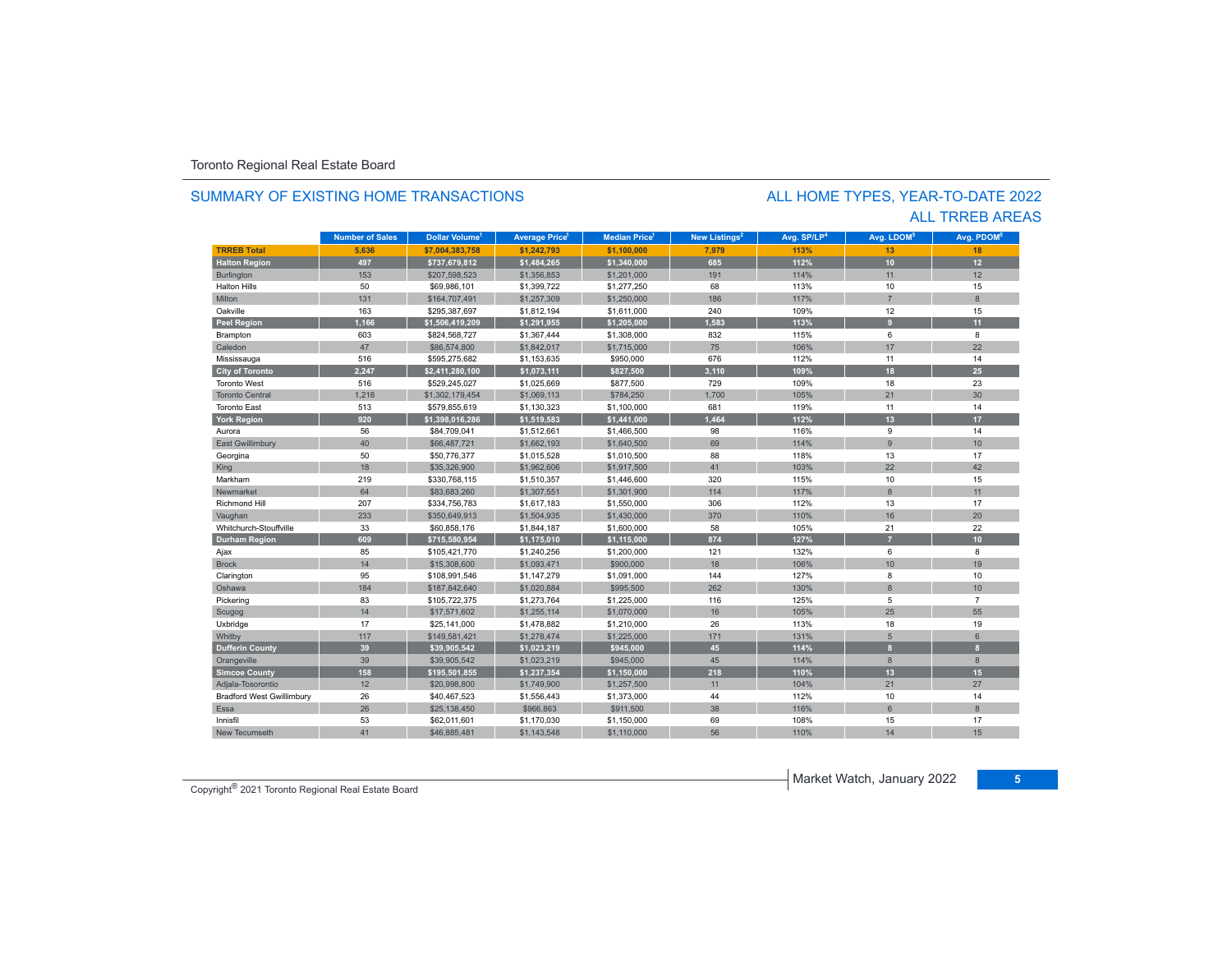#### SUMMARY OF EXISTING HOME TRANSACTIONS

### ALL TRREB AREAS ALL HOME TYPES, YEAR-TO-DATE 2022

|                                  | <b>Number of Sales</b> | Dollar Volume <sup>1</sup> | <b>Average Price</b> <sup>1</sup> | <b>Median Price</b> | New Listings <sup>2</sup> | Avg. SP/LP <sup>4</sup> | Avg. LDOM <sup>5</sup> | Avg. PDOM <sup>6</sup> |
|----------------------------------|------------------------|----------------------------|-----------------------------------|---------------------|---------------------------|-------------------------|------------------------|------------------------|
| <b>TRREB Total</b>               | 5,636                  | \$7,004,383,758            | \$1,242,793                       | \$1,100,000         | 7,979                     | 113%                    | 13                     | 18                     |
| <b>Halton Region</b>             | 497                    | \$737,679,812              | \$1,484,265                       | \$1,340,000         | 685                       | 112%                    | 10                     | 12                     |
| <b>Burlington</b>                | 153                    | \$207,598,523              | \$1,356,853                       | \$1,201,000         | 191                       | 114%                    | 11                     | 12                     |
| <b>Halton Hills</b>              | 50                     | \$69,986,101               | \$1,399,722                       | \$1,277,250         | 68                        | 113%                    | 10                     | 15                     |
| Milton                           | 131                    | \$164,707,491              | \$1,257,309                       | \$1,250,000         | 186                       | 117%                    | $\overline{7}$         | 8                      |
| Oakville                         | 163                    | \$295,387,697              | \$1,812,194                       | \$1,611,000         | 240                       | 109%                    | 12                     | 15                     |
| Peel Region                      | 1,166                  | \$1,506,419,209            | \$1,291,955                       | \$1,205,000         | 1.583                     | 113%                    | $\mathbf{q}$           | 11                     |
| Brampton                         | 603                    | \$824,568,727              | \$1,367,444                       | \$1,308,000         | 832                       | 115%                    | 6                      | 8                      |
| Caledon                          | 47                     | \$86,574,800               | \$1,842,017                       | \$1,715,000         | 75                        | 106%                    | 17                     | 22                     |
| Mississauga                      | 516                    | \$595,275,682              | \$1,153,635                       | \$950,000           | 676                       | 112%                    | 11                     | 14                     |
| <b>City of Toronto</b>           | 2.247                  | \$2,411,280,100            | \$1,073,111                       | \$827,500           | 3,110                     | 109%                    | 18                     | 25                     |
| <b>Toronto West</b>              | 516                    | \$529.245.027              | \$1,025,669                       | \$877,500           | 729                       | 109%                    | 18                     | 23                     |
| <b>Toronto Central</b>           | 1,218                  | \$1,302,179,454            | \$1,069,113                       | \$784,250           | 1,700                     | 105%                    | 21                     | 30                     |
| <b>Toronto East</b>              | 513                    | \$579,855,619              | \$1,130,323                       | \$1,100,000         | 681                       | 119%                    | 11                     | 14                     |
| <b>York Region</b>               | 920                    | \$1,398,016,286            | \$1,519,583                       | \$1,441,000         | 1,464                     | 112%                    | 13                     | 17                     |
| Aurora                           | 56                     | \$84,709,041               | \$1,512,661                       | \$1,466,500         | 98                        | 116%                    | 9                      | 14                     |
| East Gwillimbury                 | 40                     | \$66,487,721               | \$1,662,193                       | \$1,640,500         | 69                        | 114%                    | 9                      | 10                     |
| Georgina                         | 50                     | \$50,776,377               | \$1,015,528                       | \$1,010,500         | 88                        | 118%                    | 13                     | 17                     |
| King                             | 18                     | \$35,326,900               | \$1,962,606                       | \$1,917,500         | 41                        | 103%                    | 22                     | 42                     |
| Markham                          | 219                    | \$330,768,115              | \$1,510,357                       | \$1,446,600         | 320                       | 115%                    | 10                     | 15                     |
| Newmarket                        | 64                     | \$83,683,260               | \$1,307,551                       | \$1,301,900         | 114                       | 117%                    | 8                      | 11                     |
| <b>Richmond Hill</b>             | 207                    | \$334,756,783              | \$1,617,183                       | \$1,550,000         | 306                       | 112%                    | 13                     | 17                     |
| Vaughan                          | 233                    | \$350,649,913              | \$1,504,935                       | \$1,430,000         | 370                       | 110%                    | 16                     | 20                     |
| Whitchurch-Stouffville           | 33                     | \$60,858,176               | \$1,844,187                       | \$1,600,000         | 58                        | 105%                    | 21                     | 22                     |
| <b>Durham Region</b>             | 609                    | \$715,580,954              | \$1,175,010                       | \$1,115,000         | 874                       | 127%                    |                        | 10                     |
| Ajax                             | 85                     | \$105,421,770              | \$1,240,256                       | \$1,200,000         | 121                       | 132%                    | 6                      | 8                      |
| <b>Brock</b>                     | 14                     | \$15,308,600               | \$1,093,471                       | \$900,000           | 18                        | 106%                    | 10                     | 19                     |
| Clarington                       | 95                     | \$108,991,546              | \$1,147,279                       | \$1,091,000         | 144                       | 127%                    | 8                      | 10                     |
| Oshawa                           | 184                    | \$187,842,640              | \$1,020,884                       | \$995,500           | 262                       | 130%                    | $\overline{8}$         | 10                     |
| Pickering                        | 83                     | \$105,722,375              | \$1,273,764                       | \$1,225,000         | 116                       | 125%                    | 5                      | $\overline{7}$         |
| Scugog                           | 14                     | \$17,571,602               | \$1,255,114                       | \$1,070,000         | 16                        | 105%                    | 25                     | 55                     |
| Uxbridge                         | 17                     | \$25,141,000               | \$1,478,882                       | \$1,210,000         | 26                        | 113%                    | 18                     | 19                     |
| Whitby                           | 117                    | \$149,581,421              | \$1,278,474                       | \$1,225,000         | 171                       | 131%                    | 5                      | 6                      |
| <b>Dufferin County</b>           | 39                     | \$39,905,542               | \$1,023,219                       | \$945,000           | 45                        | 114%                    | $\mathbf{a}$           | $\mathbf{a}$           |
| Orangeville                      | 39                     | \$39,905,542               | \$1,023,219                       | \$945,000           | 45                        | 114%                    | 8                      | 8                      |
| <b>Simcoe County</b>             | 158                    | \$195,501,855              | \$1,237,354                       | \$1,150,000         | 218                       | 110%                    | 13                     | 15                     |
| Adjala-Tosorontio                | 12                     | \$20,998,800               | \$1,749,900                       | \$1,257,500         | 11                        | 104%                    | 21                     | 27                     |
| <b>Bradford West Gwillimbury</b> | 26                     | \$40,467,523               | \$1,556,443                       | \$1,373,000         | 44                        | 112%                    | 10                     | 14                     |
| <b>Essa</b>                      | 26                     | \$25,138,450               | \$966,863                         | \$911,500           | 38                        | 116%                    | 6                      | 8                      |
| Innisfil                         | 53                     | \$62,011,601               | \$1,170,030                       | \$1,150,000         | 69                        | 108%                    | 15                     | 17                     |
| <b>New Tecumseth</b>             | 41                     | \$46,885,481               | \$1,143,548                       | \$1,110,000         | 56                        | 110%                    | 14                     | 15                     |

Market Watch, January 2022 **<sup>5</sup>** Copyright® 2021 Toronto Regional Real Estate Board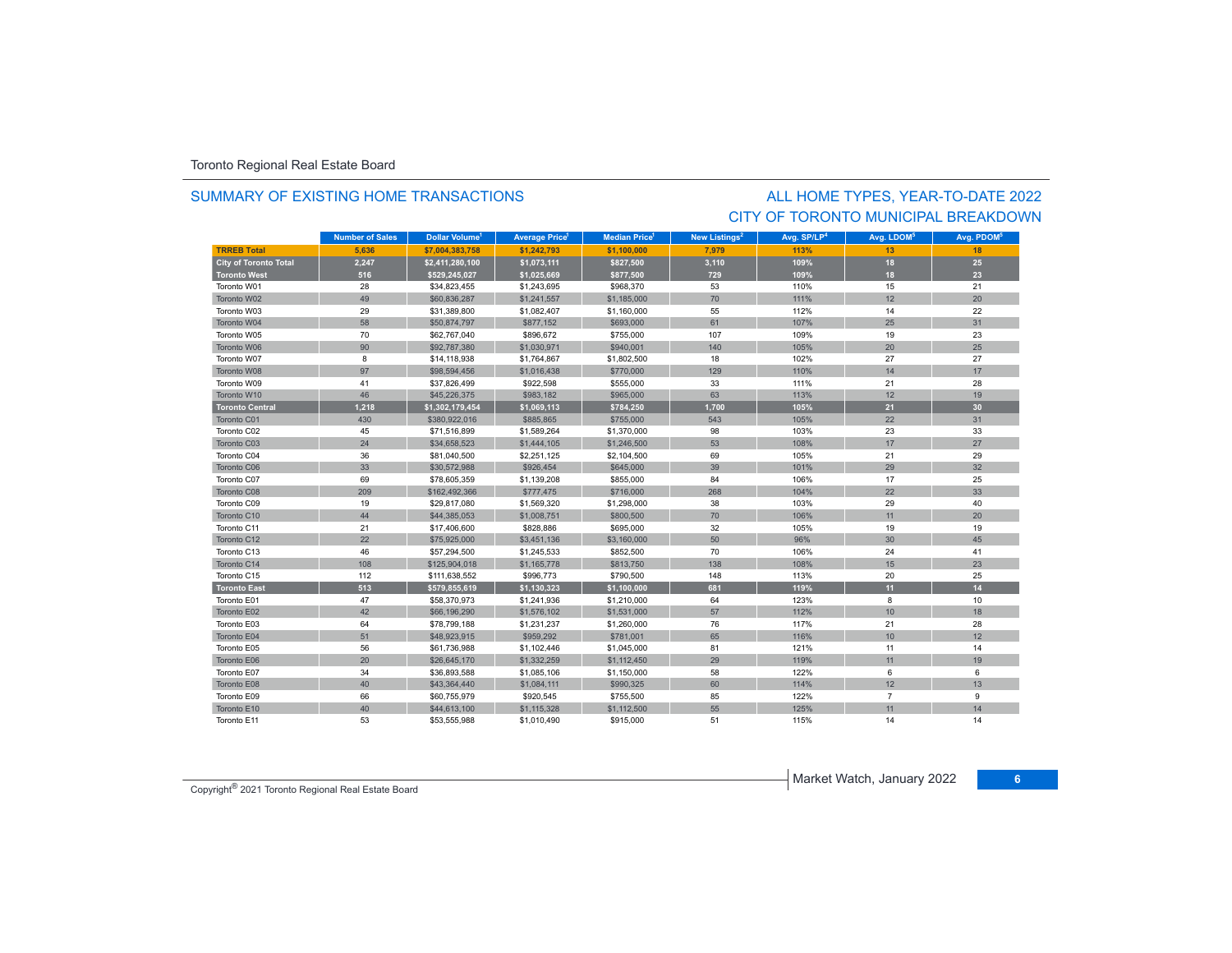#### SUMMARY OF EXISTING HOME TRANSACTIONS

## CITY OF TORONTO MUNICIPAL BREAKDOWNALL HOME TYPES, YEAR-TO-DATE 2022

|                              | <b>Number of Sales</b> | Dollar Volume <sup>1</sup> | <b>Average Price<sup>1</sup></b> | <b>Median Price</b> <sup>1</sup> | New Listings <sup>2</sup> | Avg. SP/LP <sup>4</sup> | Avg. LDOM <sup>5</sup> | Avg. PDOM <sup>5</sup> |
|------------------------------|------------------------|----------------------------|----------------------------------|----------------------------------|---------------------------|-------------------------|------------------------|------------------------|
| <b>TRREB Total</b>           | 5.636                  | \$7.004.383.758            | \$1.242.793                      | \$1.100.000                      | 7.979                     | 113%                    | 13                     | 18                     |
| <b>City of Toronto Total</b> | 2,247                  | \$2,411,280,100            | \$1,073,111                      | \$827,500                        | 3,110                     | 109%                    | 18                     | 25                     |
| <b>Toronto West</b>          | 516                    | \$529,245,027              | \$1,025,669                      | \$877,500                        | 729                       | 109%                    | 18                     | 23                     |
| Toronto W01                  | 28                     | \$34,823,455               | \$1,243,695                      | \$968,370                        | 53                        | 110%                    | 15                     | 21                     |
| Toronto W02                  | 49                     | \$60,836,287               | \$1,241,557                      | \$1,185,000                      | 70                        | 111%                    | 12                     | 20                     |
| Toronto W03                  | 29                     | \$31,389,800               | \$1,082,407                      | \$1,160,000                      | 55                        | 112%                    | 14                     | 22                     |
| Toronto W04                  | 58                     | \$50,874,797               | \$877,152                        | \$693,000                        | 61                        | 107%                    | 25                     | 31                     |
| Toronto W05                  | 70                     | \$62,767,040               | \$896,672                        | \$755,000                        | 107                       | 109%                    | 19                     | 23                     |
| Toronto W06                  | 90                     | \$92,787,380               | \$1,030,971                      | \$940.001                        | 140                       | 105%                    | 20                     | 25                     |
| Toronto W07                  | 8                      | \$14,118,938               | \$1,764,867                      | \$1,802,500                      | 18                        | 102%                    | 27                     | 27                     |
| Toronto W08                  | 97                     | \$98,594,456               | \$1,016,438                      | \$770,000                        | 129                       | 110%                    | 14                     | 17                     |
| Toronto W09                  | 41                     | \$37,826,499               | \$922,598                        | \$555,000                        | 33                        | 111%                    | 21                     | 28                     |
| Toronto W10                  | 46                     | \$45,226,375               | \$983,182                        | \$965,000                        | 63                        | 113%                    | 12                     | 19                     |
| <b>Toronto Central</b>       | 1,218                  | \$1,302,179,454            | \$1,069,113                      | \$784,250                        | 1,700                     | 105%                    | 21                     | 30                     |
| Toronto C01                  | 430                    | \$380.922.016              | \$885,865                        | \$755,000                        | 543                       | 105%                    | 22                     | 31                     |
| Toronto C02                  | 45                     | \$71,516,899               | \$1,589,264                      | \$1,370,000                      | 98                        | 103%                    | 23                     | 33                     |
| Toronto C03                  | 24                     | \$34,658,523               | \$1,444,105                      | \$1,246,500                      | 53                        | 108%                    | 17                     | 27                     |
| Toronto C04                  | 36                     | \$81,040,500               | \$2,251,125                      | \$2,104,500                      | 69                        | 105%                    | 21                     | 29                     |
| Toronto C06                  | 33                     | \$30,572,988               | \$926,454                        | \$645,000                        | 39                        | 101%                    | 29                     | 32                     |
| Toronto C07                  | 69                     | \$78,605,359               | \$1,139,208                      | \$855,000                        | 84                        | 106%                    | 17                     | 25                     |
| Toronto C08                  | 209                    | \$162,492,366              | \$777,475                        | \$716,000                        | 268                       | 104%                    | 22                     | 33                     |
| Toronto C09                  | 19                     | \$29,817,080               | \$1,569,320                      | \$1,298,000                      | 38                        | 103%                    | 29                     | 40                     |
| Toronto C10                  | 44                     | \$44,385,053               | \$1,008,751                      | \$800,500                        | 70                        | 106%                    | 11                     | 20                     |
| Toronto C11                  | 21                     | \$17,406,600               | \$828,886                        | \$695,000                        | 32                        | 105%                    | 19                     | 19                     |
| Toronto C12                  | 22                     | \$75,925,000               | \$3,451,136                      | \$3,160,000                      | 50                        | 96%                     | 30                     | 45                     |
| Toronto C13                  | 46                     | \$57,294,500               | \$1,245,533                      | \$852,500                        | 70                        | 106%                    | 24                     | 41                     |
| Toronto C14                  | 108                    | \$125,904,018              | \$1,165,778                      | \$813,750                        | 138                       | 108%                    | 15                     | 23                     |
| Toronto C15                  | 112                    | \$111,638,552              | \$996,773                        | \$790,500                        | 148                       | 113%                    | 20                     | 25                     |
| <b>Toronto East</b>          | 513                    | \$579,855,619              | \$1,130,323                      | \$1,100,000                      | 681                       | 119%                    | 11                     | 14                     |
| Toronto E01                  | 47                     | \$58,370,973               | \$1,241,936                      | \$1,210,000                      | 64                        | 123%                    | 8                      | 10                     |
| Toronto E02                  | 42                     | \$66,196,290               | \$1,576,102                      | \$1,531,000                      | 57                        | 112%                    | 10                     | 18                     |
| Toronto E03                  | 64                     | \$78,799,188               | \$1,231,237                      | \$1,260,000                      | 76                        | 117%                    | 21                     | 28                     |
| Toronto E04                  | 51                     | \$48,923,915               | \$959,292                        | \$781,001                        | 65                        | 116%                    | 10                     | 12                     |
| Toronto E05                  | 56                     | \$61,736,988               | \$1,102,446                      | \$1,045,000                      | 81                        | 121%                    | 11                     | 14                     |
| Toronto E06                  | 20                     | \$26,645,170               | \$1,332,259                      | \$1,112,450                      | 29                        | 119%                    | 11                     | 19                     |
| Toronto E07                  | 34                     | \$36,893,588               | \$1,085,106                      | \$1,150,000                      | 58                        | 122%                    | 6                      | 6                      |
| Toronto E08                  | 40                     | \$43,364,440               | \$1,084,111                      | \$990,325                        | 60                        | 114%                    | 12                     | 13                     |
| Toronto E09                  | 66                     | \$60,755,979               | \$920,545                        | \$755,500                        | 85                        | 122%                    | $\overline{7}$         | 9                      |
| Toronto E10                  | 40                     | \$44,613,100               | \$1,115,328                      | \$1,112,500                      | 55                        | 125%                    | 11                     | 14                     |
| Toronto E11                  | 53                     | \$53,555,988               | \$1,010,490                      | \$915,000                        | 51                        | 115%                    | 14                     | 14                     |

Market Watch, January 2022 **<sup>6</sup>** Copyright® 2021 Toronto Regional Real Estate Board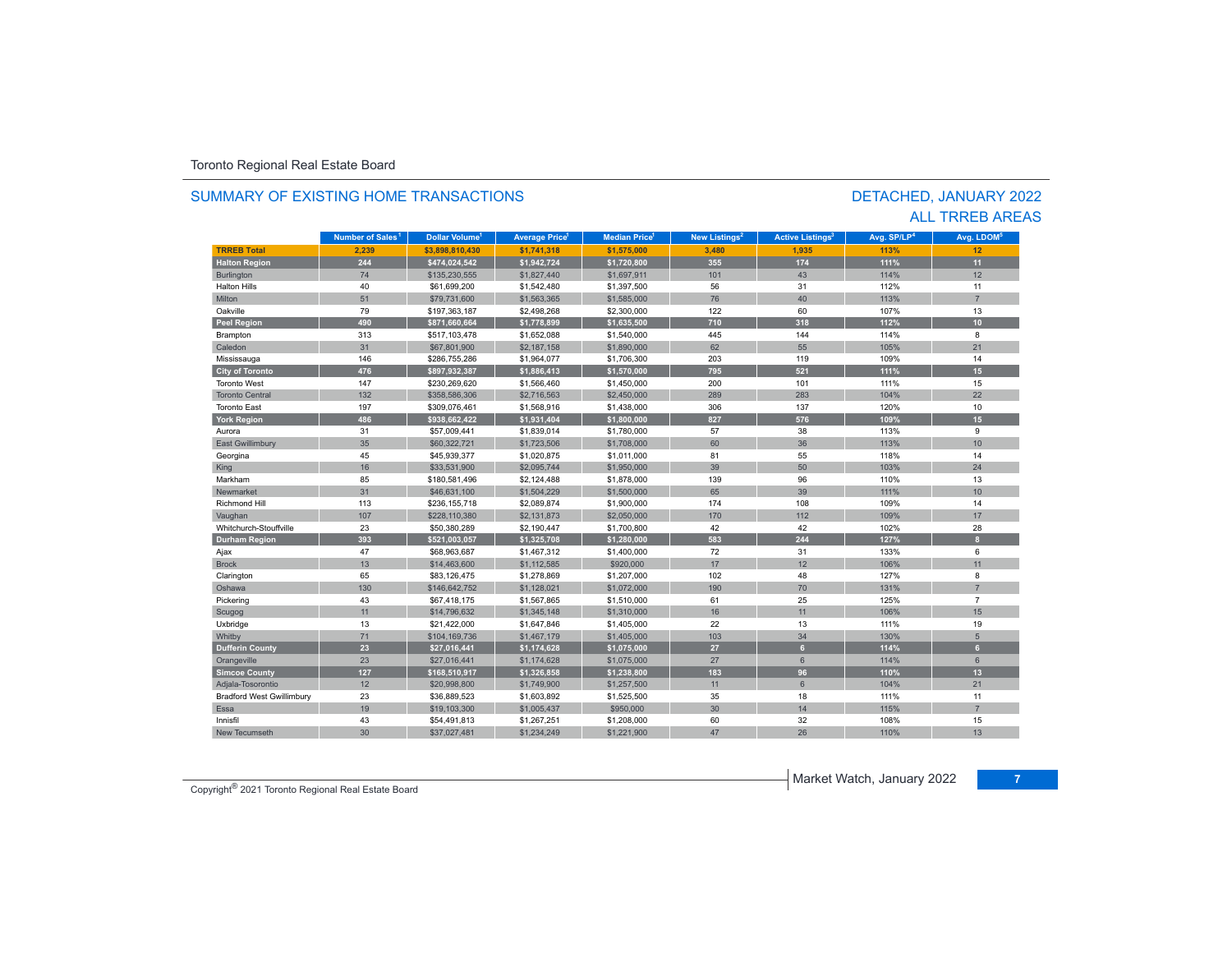#### **TR5EB Total 2,239 \$3,898,810,430 \$1,741,318 \$1,575,000 3,480 1,935 113%113%** 12 **Halton Region 244 \$474,024,542 \$1,942,724 \$1,720,800 355 174 111% 11** Burlington 74 \$135,230,555 \$1,827,440 \$1,697,911 101 43 114% 12 Halton Hillss 40 \$61,699,200 \$1,542,480 \$1,397,500 56 31 112% $\%$  11 Miltonn 51 \$79,731,600 \$1,563,365 \$1,585,000 76 40 113% 113% 7 Oakvillee 79 \$197,363,187 \$2,498,268 \$2,300,000 122 60 107% 107% 13 **Peel Region 490 \$871,660,664 \$1,778,899 \$1,635,500 710 318 112% 10** Brampton 313 \$517,103,478 \$1,652,088 \$1,540,000 445 144 114% 8 Caledonn 31 \$67,801,900 \$2,187,158 \$1,890,000 62 55 105% 105% 21 Mississauga 146 \$286,755,286 \$1,964,077 \$1,706,300 203 119 109% 14 **City of Toronto 476 \$897,932,387 \$1,886,413 \$1,570,000 795 521 111% 15** Toronto West 147 $$230,269,620$   $$1,566,460$   $$1,450,000$  200 101 111% 15 Toronto Central 132 \$358,586,306 \$2,716,563 \$2,450,000 289 283 104% 22 Toronto East 197 \$309,076,461 \$1,568,916 \$1,438,000 306 137 120%% 10 **York Region 486 \$938,662,422 \$1,931,404 \$1,800,000 827 576 109% 15** Auroraa 31 \$57,009,441 \$1,839,014 \$1,780,000 57 38 113% 9 East Gwillimbury 35 \$60,322,721 \$1,723,506 \$1,708,000 60 36 113% 10 Georgina 45 \$45,939,377 \$1,020,875 \$1,011,000 81 55 118% 14 King 16 16 16 \$33,531,900 \$2,095,744 \$1,950,000 \$1,950,000 \$39 50 103% 103% 24 Markhamm 85 \$180,581,496 \$2,124,488 \$1,878,000 139 96 110% 110% 13 Newmarkett 31 1 \$46,631,100 \$1,504,229 \$1,500,000 65 39 111% 111% 10 Richmond Hill 113 \$236,155,718 \$2,089,874 \$1,900,000 174 108 109%% 14 Vaughan 107 107 \$228,110,380 \$2,131,873 \$2,050,000 1000 170 112 112 109% 170 170 Whitchurch-Stouffville 23 \$50,380,289 \$2,190,447 \$1,700,800 42 42 102%102% 28 **Durham Region 393 \$521,003,057 \$1,325,708 \$1,280,000 583 244 127% 8** Ajax 47 \$68,963,687 \$1,467,312 \$1,400,000 72 31 133% 6 Brockk 13 \$14,463,600 \$1,112,585 \$920,000 17 12 106%106% 11 Clarington 65 \$83,126,475 \$1,278,869 \$1,207,000 102 48 127% 8 Oshawa 130 \$146,642,752 \$1,128,021 \$1,072,000 190 70 131% 7 Pickering 43 \$67,418,175 \$1,567,865 \$1,510,000 61 25 125% 7 Scugog 11 | \$14,796,632 | \$1,345,148 \$1,310,000 | 16 | 11 | 106% | 15 Uxbridge 13 \$21,422,000 \$1,647,846 \$1,405,000 22 13 111% 19 130% / Whitby 71 \$104,169,736 \$1,467,179 \$1,405,000 103 103 34 130% 5 **Dufferin County 23 \$27,016,441 \$1,174,628 \$1,075,000 27 6 114% 6** Orangeville 23 | \$27,016,441 \$1,174,628 \$1,075,000 27 | 6 | 114% 6 **Simcoe County 127 \$168,510,917 \$1,326,858 \$1,238,800 183 96 110% 13** Adjala-Tosorontio 12 \$20,998,800 \$1,749,900 \$1,257,500 11 6 104% 21 Bradford West Gwillimbury 23 \$36,889,523 \$1,603,892 \$1,525,500 35 18 111% 11 Essa19 19 19 **19 115% are to the Step 115% are to the S**950,000 step 115 minutes and the Superior of the Step 115% 115% 7 Innisfil 43 \$54,491,813 \$1,267,251 \$1,208,000 60 32 108%108% 15 New Tecumseth 30 \$37,027,481 \$1,234,249 \$1,221,900 47 26 110%110% 13 **Municipality Number of Sales Dollar Volume Average Price Median Price New Listings Active Listings Avg. SP/LP Avg. LDOM Number of Sales<sup>1</sup>** 1 **Dollar Volume<sup>1</sup> Aversen Price<sup>1</sup> Median Price<sup>1</sup> Maw Listings<sup>2</sup> Active Listings<sup>3</sup> Ave SD/LD<sup>4</sup> Ave LDOM<sup>5</sup>**

#### SUMMARY OF EXISTING HOME TRANSACTIONS

DETACHED, JANUARY 2022 ALL TRREB AREAS

Market Watch, January 2022 **<sup>7</sup>** Copyright® 2021 Toronto Regional Real Estate Board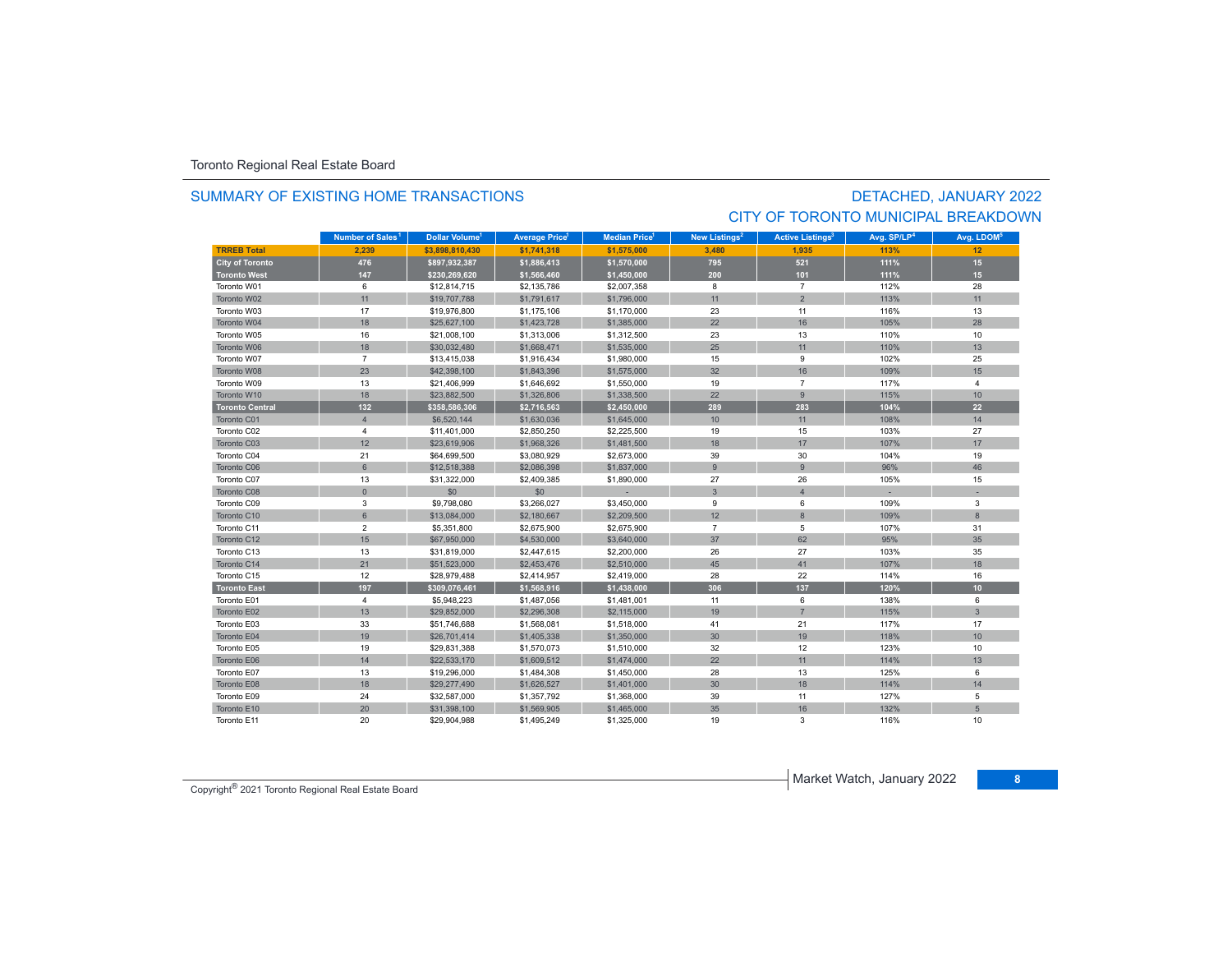#### SUMMARY OF EXISTING HOME TRANSACTIONS

# DETACHED, JANUARY 2022 CITY OF TORONTO MUNICIPAL BREAKDOWN

|                        | Number of Sales <sup>1</sup> | <b>Dollar Volume<sup>1</sup></b> | <b>Average Price</b> | <b>Median Price</b> <sup>1</sup> | New Listings <sup>2</sup> | <b>Active Listings<sup>3</sup></b> | Avg. SP/LP <sup>4</sup> | Avg. LDOM <sup>5</sup> |
|------------------------|------------------------------|----------------------------------|----------------------|----------------------------------|---------------------------|------------------------------------|-------------------------|------------------------|
| <b>TRREB Total</b>     | 2.239                        | \$3,898,810,430                  | \$1,741,318          | \$1,575,000                      | 3,480                     | 1,935                              | 113%                    | 12                     |
| <b>City of Toronto</b> | 476                          | \$897,932,387                    | \$1,886,413          | \$1,570,000                      | 795                       | 521                                | 111%                    | 15                     |
| <b>Toronto West</b>    | 147                          | \$230,269,620                    | \$1,566,460          | \$1,450,000                      | 200                       | 101                                | 111%                    | 15                     |
| Toronto W01            | 6                            | \$12,814,715                     | \$2,135,786          | \$2,007,358                      | 8                         | $\overline{7}$                     | 112%                    | 28                     |
| Toronto W02            | 11                           | \$19,707,788                     | \$1,791,617          | \$1,796,000                      | 11                        | 2                                  | 113%                    | 11                     |
| Toronto W03            | 17                           | \$19,976,800                     | \$1,175,106          | \$1,170,000                      | 23                        | 11                                 | 116%                    | 13                     |
| Toronto W04            | 18                           | \$25,627,100                     | \$1,423,728          | \$1,385,000                      | 22                        | 16                                 | 105%                    | 28                     |
| Toronto W05            | 16                           | \$21,008,100                     | \$1,313,006          | \$1,312,500                      | 23                        | 13                                 | 110%                    | 10                     |
| Toronto W06            | 18                           | \$30,032,480                     | \$1,668,471          | \$1,535,000                      | 25                        | 11                                 | 110%                    | 13                     |
| Toronto W07            | $\overline{7}$               | \$13,415,038                     | \$1,916,434          | \$1,980,000                      | 15                        | 9                                  | 102%                    | 25                     |
| Toronto W08            | 23                           | \$42,398,100                     | \$1,843,396          | \$1,575,000                      | 32                        | 16                                 | 109%                    | 15                     |
| Toronto W09            | 13                           | \$21,406,999                     | \$1,646,692          | \$1,550,000                      | 19                        | $\overline{7}$                     | 117%                    | $\overline{4}$         |
| Toronto W10            | 18                           | \$23,882,500                     | \$1,326,806          | \$1,338,500                      | 22                        | 9                                  | 115%                    | 10                     |
| <b>Toronto Central</b> | 132                          | \$358,586,306                    | \$2,716,563          | \$2,450,000                      | 289                       | 283                                | 104%                    | 22                     |
| Toronto C01            | $\overline{4}$               | \$6,520,144                      | \$1,630,036          | \$1,645,000                      | 10                        | 11                                 | 108%                    | 14                     |
| Toronto C02            | 4                            | \$11,401,000                     | \$2,850,250          | \$2,225,500                      | 19                        | 15                                 | 103%                    | 27                     |
| Toronto C03            | 12                           | \$23,619,906                     | \$1,968,326          | \$1,481,500                      | 18                        | 17                                 | 107%                    | 17                     |
| Toronto C04            | 21                           | \$64,699,500                     | \$3,080,929          | \$2,673,000                      | 39                        | 30                                 | 104%                    | 19                     |
| Toronto C06            | $6\phantom{1}$               | \$12,518,388                     | \$2,086,398          | \$1,837,000                      | 9                         | 9                                  | 96%                     | 46                     |
| Toronto C07            | 13                           | \$31,322,000                     | \$2,409,385          | \$1,890,000                      | 27                        | 26                                 | 105%                    | 15                     |
| Toronto C08            | $\mathbf{0}$                 | \$0                              | \$0                  |                                  | $\overline{3}$            | $\overline{4}$                     |                         |                        |
| Toronto C09            | 3                            | \$9,798,080                      | \$3,266,027          | \$3,450,000                      | 9                         | 6                                  | 109%                    | 3                      |
| Toronto C10            | $6\overline{6}$              | \$13,084,000                     | \$2,180,667          | \$2,209,500                      | 12                        | 8                                  | 109%                    | 8                      |
| Toronto C11            | $\overline{2}$               | \$5,351,800                      | \$2,675,900          | \$2,675,900                      | $\overline{7}$            | 5                                  | 107%                    | 31                     |
| Toronto C12            | 15                           | \$67,950,000                     | \$4,530,000          | \$3,640,000                      | 37                        | 62                                 | 95%                     | 35                     |
| Toronto C13            | 13                           | \$31,819,000                     | \$2,447,615          | \$2,200,000                      | 26                        | 27                                 | 103%                    | 35                     |
| Toronto C14            | 21                           | \$51,523,000                     | \$2,453,476          | \$2,510,000                      | 45                        | 41                                 | 107%                    | 18                     |
| Toronto C15            | 12                           | \$28,979,488                     | \$2,414,957          | \$2,419,000                      | 28                        | 22                                 | 114%                    | 16                     |
| <b>Toronto East</b>    | 197                          | \$309,076,461                    | \$1,568,916          | \$1,438,000                      | 306                       | 137                                | 120%                    | 10                     |
| Toronto E01            | $\overline{4}$               | \$5,948,223                      | \$1,487,056          | \$1,481,001                      | 11                        | 6                                  | 138%                    | 6                      |
| Toronto E02            | 13                           | \$29,852,000                     | \$2,296,308          | \$2,115,000                      | 19                        | $\overline{7}$                     | 115%                    | 3                      |
| Toronto E03            | 33                           | \$51,746,688                     | \$1,568,081          | \$1,518,000                      | 41                        | 21                                 | 117%                    | 17                     |
| Toronto E04            | 19                           | \$26,701,414                     | \$1,405,338          | \$1,350,000                      | 30                        | 19                                 | 118%                    | 10                     |
| Toronto E05            | 19                           | \$29,831,388                     | \$1,570,073          | \$1,510,000                      | 32                        | 12                                 | 123%                    | 10                     |
| Toronto E06            | 14                           | \$22,533,170                     | \$1,609,512          | \$1,474,000                      | 22                        | 11                                 | 114%                    | 13                     |
| Toronto E07            | 13                           | \$19,296,000                     | \$1,484,308          | \$1,450,000                      | 28                        | 13                                 | 125%                    | 6                      |
| Toronto E08            | 18                           | \$29,277,490                     | \$1,626,527          | \$1,401,000                      | 30                        | 18                                 | 114%                    | 14                     |
| Toronto E09            | 24                           | \$32,587,000                     | \$1,357,792          | \$1,368,000                      | 39                        | 11                                 | 127%                    | 5                      |
| Toronto E10            | 20                           | \$31,398,100                     | \$1,569,905          | \$1,465,000                      | 35                        | 16                                 | 132%                    | 5                      |
| Toronto E11            | 20                           | \$29,904.988                     | \$1,495,249          | \$1,325,000                      | 19                        | 3                                  | 116%                    | 10                     |

Market Watch, January 2022 **<sup>8</sup>** Copyright® 2021 Toronto Regional Real Estate Board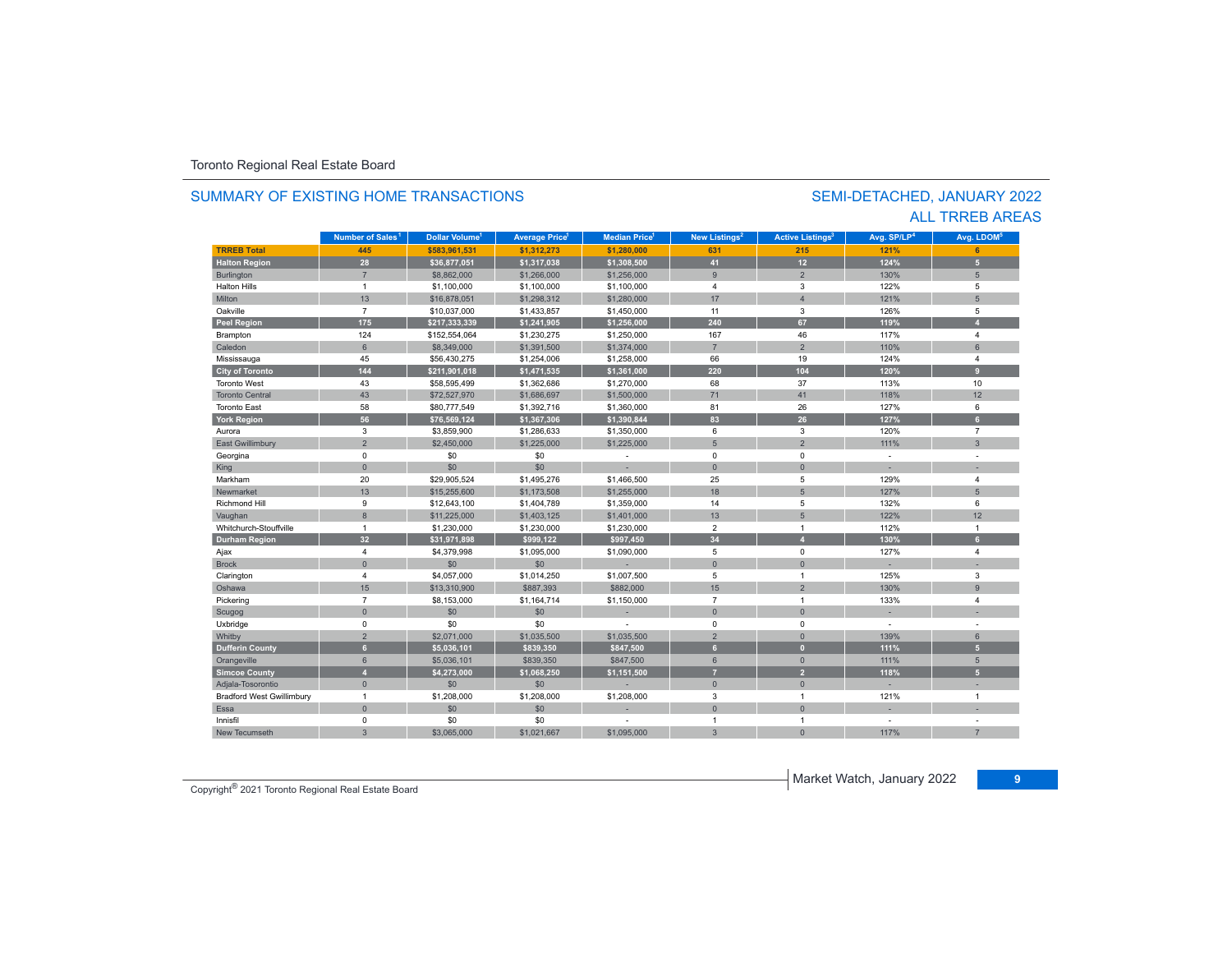#### **TRREB Total 445 \$583,961,531 \$1,312,273 \$1,280,000 631 215 121% 6 Halton Region 28 \$36,877,051 \$1,317,038 \$1,308,500 41 12 124% 5** Burlington 7 \$8,862,000 \$1,266,000 \$1,256,000 9 2 130% 5 Halton Hills $\sim$  1 \$1,100,000 \$1,100,000 \$1,100,000 4 3 122% 5 Miltonn | 13 | \$16,878,051 | \$1,298,312 | \$1,280,000 | 17 | 4 121% 5 Oakvillee 7 \$10,037,000 \$1,433,857 \$1,450,000 11 3 126% 5 **Peel Region 175 \$217,333,339 \$1,241,905 \$1,256,000 240 67 119% 4** Brampton 124 \$152,554,064 \$1,230,275 \$1,250,000 167 46 117% 4 Caledonn 6 \$8,349,000 \$1,391,500 \$1,374,000 7 2 110% 6 Mississauga 45 \$56,430,275 \$1,254,006 \$1,258,000 66 19 124% 4 **City of Toronto 144 \$211,901,018 \$1,471,535 \$1,361,000 220 104 120% 9** Toronto West 43 \$58,595,499 \$1,362,686 \$1,270,000 68 37 113%113% 10 Toronto Central 43 \$72,527,970 \$1,686,697 \$1,500,000 71 41 118%118% 12 Toronto East 58 \$80,777,549 \$1,392,716 \$1,360,000 81 26 127% 6 **York Region 56 \$76,569,124 \$1,367,306 \$1,390,844 83 26 127% 6** Auroraa 3 \$3,859,900 \$1,286,633 \$1,350,000 6 3 120% 7 East Gwillimbury 2 \$2,450,000 \$1,225,000 5 2 111% 3 Georgina 0 \$0 \$0 - 0 0 - - King the second term of the second term of the second term of the second term of the second term of the second Markhamm 20 \$29,905,524 \$1,495,276 \$1,466,500 25 5 129% 4 Newmarket 13 \$15,255,600 \$1,173,508 \$1,255,000 18 5 127% 5 Richmond Hill 9 \$12,643,100 \$1,404,789 \$1,359,000 14 5 132% 6 Vaughan 8 \$11,225,000 \$1,403,125 \$1,401,000 13 5 122% 12 Whitchurch-Stouffvillee 1 \$1,230,000 \$1,230,000 \$1,230,000 2 1 12%  $\%$  1 **Durham Region 32 \$31,971,898 \$999,122 \$997,450 34 4 130% 6** 4 \$4,379,998 \$1,095,000 \$1,090,000 5 0 0 127% 4 4 Brock 0 \$0 \$0 - 0 0 - - Clarington 4 \$4,057,000 \$1,014,250 \$1,007,500 5 1 3 Oshawa 15 \$13,310,900 \$887,393 \$882,000 15 2 130%130% 9 Pickering 7 \$8,153,000 \$1,164,714 \$1,150,000 7 1 133% 4 Scugog 0 \$0 \$0 - 0 0 - - Uxbridge 0 \$0 \$0 - 0 0 - - Whitby 2 \$2,071,000 \$1,035,500 \$1,035,500 2 0 139% 6 **Dufferin County 6 \$5,036,101 \$839,350 \$847,500 6 0 111% 5** Orangeville 6 \$5,036,101 \$839,350 \$847,500 6 0 111% 5 **Simcoe County 4 \$4,273,000 \$1,068,250 \$1,151,500 7 2 118% 5** Adjala-Tosorontio 0 \$0 \$0 - 0 0 - - Bradford West Gwillimbury 1 \$1,208,000 \$1,208,000 \$1,208,000 3 1 121% 1 Essaa dia 1980 - Aniso ao amin'ny faritr'i Nouvelle-Aquitaine, ao amin'ny faritr'i Nouvelle-Aquitaine, ao amin'ny Innisfil 0. 0 50 50 50 - 1 1 1 - 1 New Tecumseth**Municipality Number of Sales Dollar Volume Average Price Median Price New Listings Active Listings Avg. SP/LP Avg. LDOM Number of Sales<sup>1</sup> 1** Dollar Volume<sup>1</sup> | Average Price<sup>1</sup> | Median Price<sup>1</sup> | New Listings<sup>2</sup> | Active Listings<sup>3</sup> | Avg. SP/LP<sup>4</sup> | Avg. LDOM<sup>s</sup>

3 \$3,065,000 \$1,021,667 \$1,095,000 3 0 117%

#### SUMMARY OF EXISTING HOME TRANSACTIONS

#### SEMI-DETACHED, JANUARY 2022 ALL TRREB AREAS

**Copyright<sup>®</sup> 2021 Toronto Regional Real Estate Board 9** Copyright<sup>®</sup> 2021 Toronto Regional Real Estate Board

7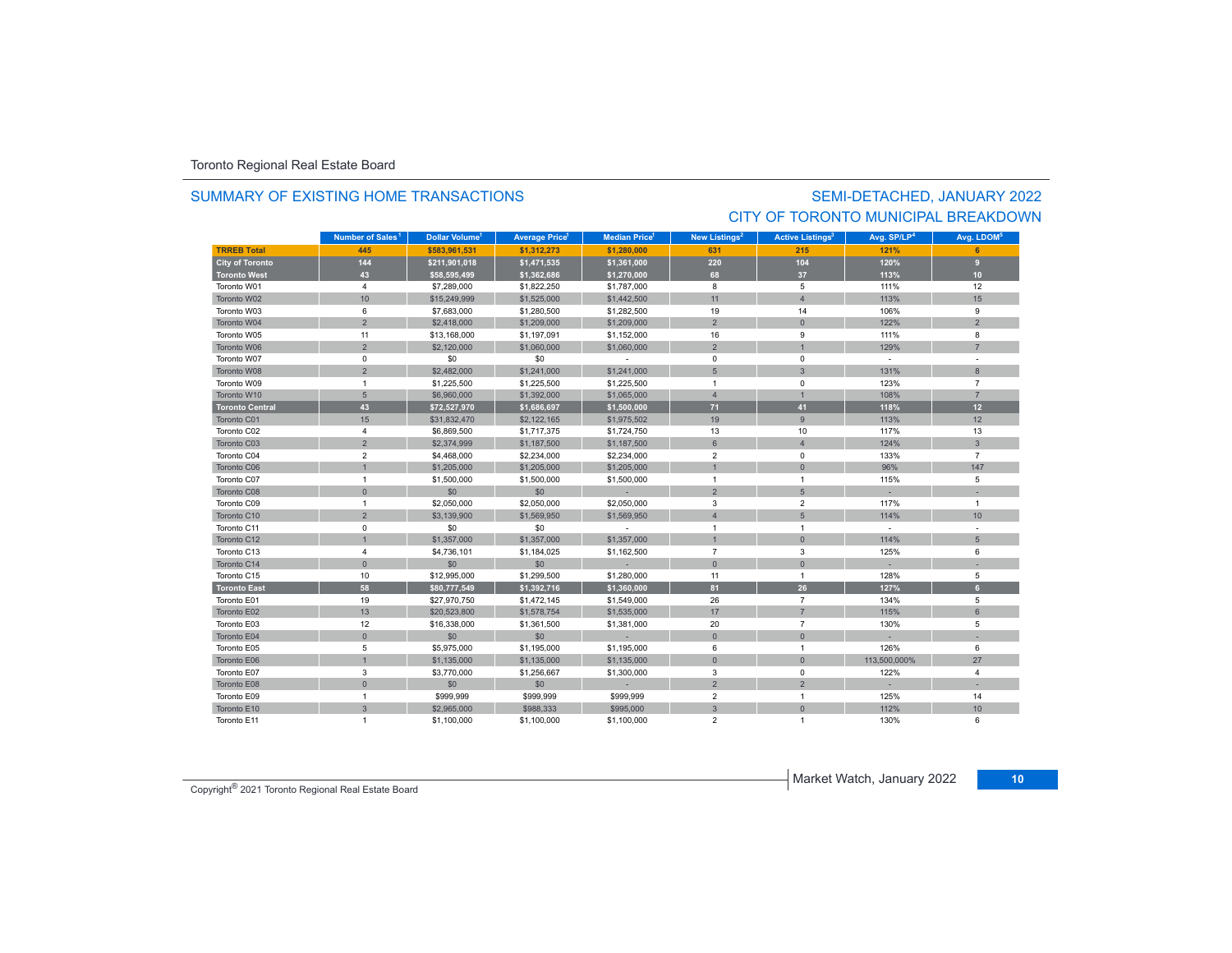#### SUMMARY OF EXISTING HOME TRANSACTIONS

## SEMI-DETACHED, JANUARY 2022 CITY OF TORONTO MUNICIPAL BREAKDOWN

|                        | Number of Sales <sup>1</sup> | Dollar Volume <sup>1</sup> | <b>Average Price<sup>1</sup></b> | <b>Median Price</b> | New Listings <sup>2</sup> | <b>Active Listings<sup>3</sup></b> | Avg. SP/LP <sup>4</sup> | Avg. LDOM <sup>5</sup> |
|------------------------|------------------------------|----------------------------|----------------------------------|---------------------|---------------------------|------------------------------------|-------------------------|------------------------|
| <b>TRREB Total</b>     | 445                          | \$583.961.531              | \$1.312.273                      | \$1,280,000         | 631                       | 215                                | 121%                    |                        |
| <b>City of Toronto</b> | 144                          | \$211,901,018              | \$1,471,535                      | \$1,361,000         | 220                       | 104                                | 120%                    | $\overline{9}$         |
| <b>Toronto West</b>    | 43                           | \$58,595,499               | \$1,362,686                      | \$1,270,000         | 68                        | 37                                 | 113%                    | 10                     |
| Toronto W01            | $\overline{4}$               | \$7,289,000                | \$1,822,250                      | \$1,787,000         | 8                         | 5                                  | 111%                    | 12                     |
| Toronto W02            | 10                           | \$15,249,999               | \$1,525,000                      | \$1,442,500         | 11                        | $\overline{A}$                     | 113%                    | 15                     |
| Toronto W03            | 6                            | \$7,683,000                | \$1,280,500                      | \$1,282,500         | 19                        | 14                                 | 106%                    | 9                      |
| Toronto W04            | $\overline{2}$               | \$2,418,000                | \$1,209,000                      | \$1,209,000         | $\overline{2}$            | $\mathbf{0}$                       | 122%                    | $\overline{2}$         |
| Toronto W05            | 11                           | \$13,168,000               | \$1,197,091                      | \$1,152,000         | 16                        | 9                                  | 111%                    | 8                      |
| Toronto W06            | $\overline{2}$               | \$2,120,000                | \$1,060,000                      | \$1,060,000         | $\overline{2}$            |                                    | 129%                    | $\overline{7}$         |
| Toronto W07            | $\mathsf 0$                  | \$0                        | \$0                              |                     | $\mathbf 0$               | 0                                  | $\sim$                  |                        |
| Toronto W08            | $\overline{2}$               | \$2,482,000                | \$1,241,000                      | \$1,241,000         | 5                         | 3                                  | 131%                    | 8                      |
| Toronto W09            | $\mathbf{1}$                 | \$1,225,500                | \$1,225,500                      | \$1,225,500         | $\overline{1}$            | 0                                  | 123%                    | $\overline{7}$         |
| Toronto W10            | $5\overline{5}$              | \$6,960,000                | \$1,392,000                      | \$1,065,000         | $\overline{4}$            |                                    | 108%                    | $\overline{7}$         |
| <b>Toronto Central</b> | 43                           | \$72,527,970               | \$1,686,697                      | \$1,500,000         | 71                        | 41                                 | 118%                    | 12                     |
| Toronto C01            | 15                           | \$31,832,470               | \$2,122,165                      | \$1,975,502         | 19                        | 9                                  | 113%                    | 12                     |
| Toronto C02            | $\overline{4}$               | \$6,869,500                | \$1,717,375                      | \$1,724,750         | 13                        | 10                                 | 117%                    | 13                     |
| Toronto C03            | $\overline{2}$               | \$2,374,999                | \$1,187,500                      | \$1,187,500         | $6\phantom{1}$            | $\overline{4}$                     | 124%                    | $\mathbf{3}$           |
| Toronto C04            | $\overline{2}$               | \$4,468,000                | \$2,234,000                      | \$2,234,000         | $\overline{2}$            | 0                                  | 133%                    | $\overline{7}$         |
| Toronto C06            | $\overline{1}$               | \$1,205,000                | \$1,205,000                      | \$1,205,000         | $\overline{1}$            | $\mathbf{0}$                       | 96%                     | 147                    |
| Toronto C07            | $\mathbf{1}$                 | \$1,500,000                | \$1,500,000                      | \$1,500,000         | $\mathbf{1}$              | $\overline{1}$                     | 115%                    | 5                      |
| Toronto C08            | $\mathbf{0}$                 | \$0                        | \$0                              |                     | $\overline{2}$            | 5                                  |                         |                        |
| Toronto C09            | $\mathbf{1}$                 | \$2,050,000                | \$2,050,000                      | \$2,050,000         | 3                         | $\overline{2}$                     | 117%                    | $\mathbf{1}$           |
| Toronto C10            | $\overline{2}$               | \$3,139,900                | \$1,569,950                      | \$1,569,950         | $\overline{4}$            | 5                                  | 114%                    | 10                     |
| Toronto C11            | $\mathsf 0$                  | \$0                        | \$0                              | $\sim$              | $\overline{1}$            | $\overline{1}$                     | $\sim$                  |                        |
| Toronto C12            | $\overline{1}$               | \$1,357,000                | \$1,357,000                      | \$1,357,000         | $\overline{1}$            | $\mathbf{0}$                       | 114%                    | 5                      |
| Toronto C13            | 4                            | \$4,736,101                | \$1,184,025                      | \$1,162,500         | $\overline{7}$            | 3                                  | 125%                    | 6                      |
| Toronto C14            | $\mathbf{0}$                 | \$0                        | \$0                              |                     | $\overline{0}$            | $\mathbf{0}$                       |                         |                        |
| Toronto C15            | 10                           | \$12,995,000               | \$1,299,500                      | \$1,280,000         | 11                        | $\mathbf{1}$                       | 128%                    | 5                      |
| <b>Toronto East</b>    | 58                           | \$80,777,549               | \$1,392,716                      | \$1,360,000         | 81                        | 26                                 | 127%                    | 6 <sup>1</sup>         |
| Toronto E01            | 19                           | \$27,970,750               | \$1,472,145                      | \$1,549,000         | 26                        | $\overline{7}$                     | 134%                    | 5                      |
| Toronto E02            | 13                           | \$20,523,800               | \$1,578,754                      | \$1,535,000         | 17                        | $\overline{7}$                     | 115%                    | $6\overline{6}$        |
| Toronto E03            | 12                           | \$16,338,000               | \$1,361,500                      | \$1,381,000         | 20                        | $\overline{7}$                     | 130%                    | 5                      |
| Toronto E04            | $\mathbf{0}$                 | \$0                        | \$0                              |                     | $\mathbf{0}$              | $\overline{0}$                     |                         |                        |
| Toronto E05            | 5                            | \$5,975,000                | \$1,195,000                      | \$1,195,000         | 6                         | $\mathbf{1}$                       | 126%                    | 6                      |
| Toronto E06            | $\overline{1}$               | \$1,135,000                | \$1,135,000                      | \$1,135,000         | $\overline{0}$            | $\mathbf{0}$                       | 113,500,000%            | 27                     |
| Toronto E07            | 3                            | \$3,770,000                | \$1,256,667                      | \$1,300,000         | 3                         | $\mathbf 0$                        | 122%                    | 4                      |
| Toronto E08            | $\mathbf{0}$                 | \$0                        | \$0                              |                     | $\overline{2}$            | $\overline{2}$                     |                         |                        |
| Toronto E09            | $\mathbf{1}$                 | \$999,999                  | \$999,999                        | \$999,999           | $\overline{2}$            | $\mathbf{1}$                       | 125%                    | 14                     |
| Toronto E10            | $\mathbf{3}$                 | \$2,965,000                | \$988,333                        | \$995,000           | 3                         | $\overline{0}$                     | 112%                    | 10                     |
| Toronto E11            | $\overline{1}$               | \$1,100,000                | \$1,100,000                      | \$1,100,000         | $\overline{2}$            | $\overline{1}$                     | 130%                    | 6                      |

**Market Watch, January 2022** 10 Copyright<sup>®</sup> 2021 Toronto Regional Real Estate Board 10 Copyright<sup>®</sup> 2021 Toronto Regional Real Estate Board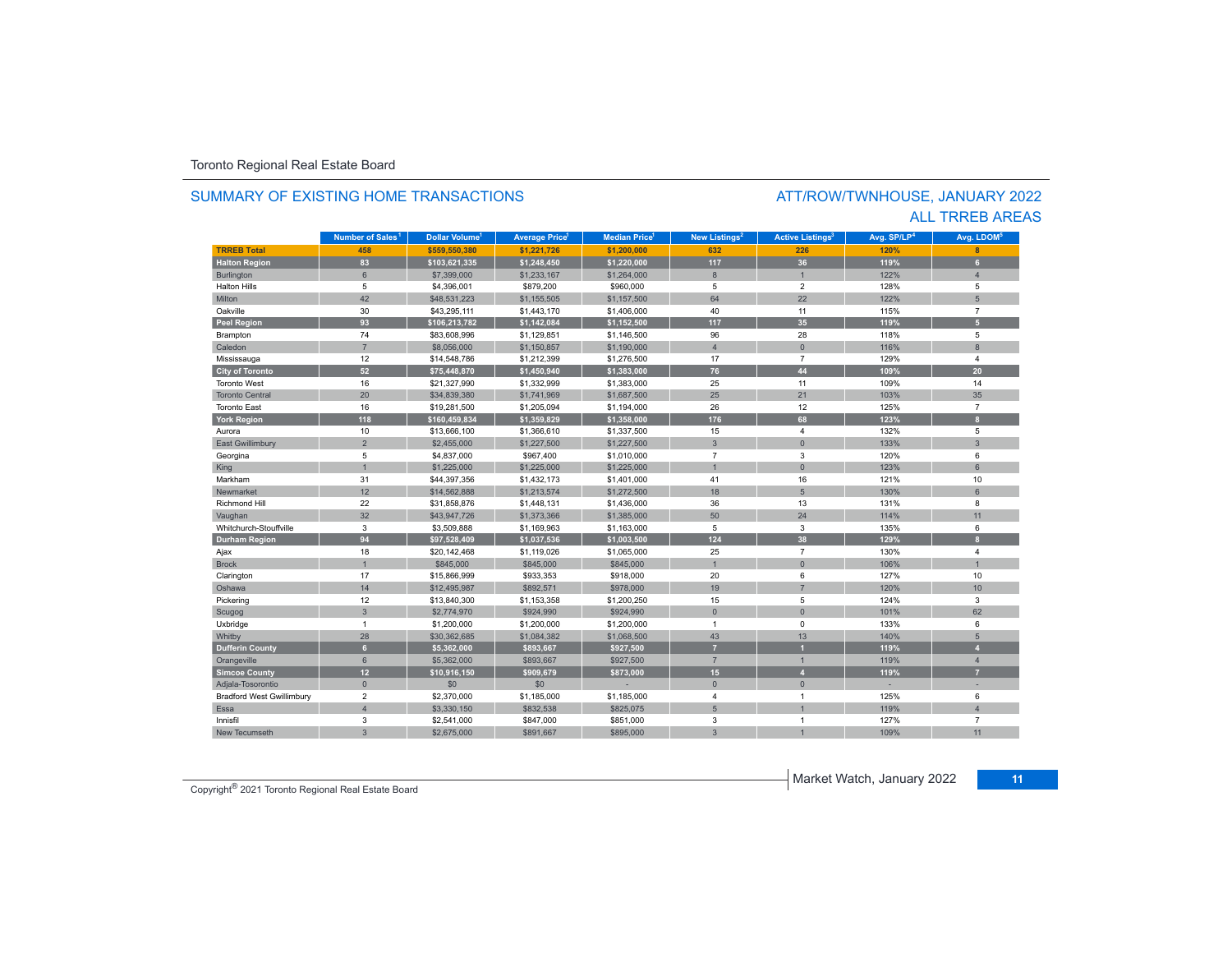#### SUMMARY OF EXISTING HOME TRANSACTIONS

#### ATT/ROW/TWNHOUSE, JANUARY 2022 ALL TRREB AREAS

|                                  | Number of Sales <sup>1</sup> | Dollar Volume <sup>1</sup> | <b>Average Price</b> | <b>Median Price</b> | New Listings <sup>2</sup> | <b>Active Listings<sup>3</sup></b> | Avg. SP/LP <sup>4</sup> | Avg. LDOM <sup>5</sup> |
|----------------------------------|------------------------------|----------------------------|----------------------|---------------------|---------------------------|------------------------------------|-------------------------|------------------------|
| <b>TRREB Total</b>               | 458                          | \$559.550.380              | \$1,221,726          | \$1,200,000         | 632                       | 226                                | 120%                    | $\mathbf{R}$           |
| <b>Halton Region</b>             | 83                           | \$103,621,335              | \$1,248,450          | \$1,220,000         | 117                       | 36                                 | 119%                    | 6                      |
| <b>Burlington</b>                | 6                            | \$7,399,000                | \$1,233,167          | \$1,264,000         | 8                         | $\overline{1}$                     | 122%                    | $\overline{A}$         |
| <b>Halton Hills</b>              | 5                            | \$4,396,001                | \$879,200            | \$960,000           | 5                         | $\overline{2}$                     | 128%                    | 5                      |
| Milton                           | 42                           | \$48,531,223               | \$1,155,505          | \$1,157,500         | 64                        | 22                                 | 122%                    | 5                      |
| Oakville                         | 30                           | \$43,295,111               | \$1,443,170          | \$1,406,000         | 40                        | 11                                 | 115%                    | $\overline{7}$         |
| <b>Peel Region</b>               | 93                           | \$106,213,782              | \$1,142,084          | \$1,152,500         | 117                       | 35                                 | 119%                    | 5 <sup>1</sup>         |
| Brampton                         | 74                           | \$83,608,996               | \$1,129,851          | \$1,146,500         | 96                        | 28                                 | 118%                    | 5                      |
| Caledon                          | $\overline{7}$               | \$8,056,000                | \$1,150,857          | \$1,190,000         | $\overline{4}$            | $\overline{0}$                     | 116%                    | $\mathbf{8}$           |
| Mississauga                      | 12                           | \$14,548,786               | \$1,212,399          | \$1,276,500         | 17                        | $\overline{7}$                     | 129%                    | $\overline{4}$         |
| <b>City of Toronto</b>           | 52                           | \$75,448,870               | \$1,450,940          | \$1,383,000         | 76                        | 44                                 | 109%                    | 20                     |
| <b>Toronto West</b>              | 16                           | \$21,327,990               | \$1,332,999          | \$1,383,000         | 25                        | 11                                 | 109%                    | 14                     |
| <b>Toronto Central</b>           | 20                           | \$34,839,380               | \$1,741,969          | \$1,687,500         | 25                        | 21                                 | 103%                    | 35                     |
| <b>Toronto East</b>              | 16                           | \$19,281,500               | \$1,205,094          | \$1,194,000         | 26                        | 12                                 | 125%                    | $\overline{7}$         |
| <b>York Region</b>               | 118                          | \$160,459,834              | \$1,359,829          | \$1,358,000         | 176                       | 68                                 | 123%                    | $\mathbf{a}$           |
| Aurora                           | 10                           | \$13,666,100               | \$1,366,610          | \$1,337,500         | 15                        | $\overline{\mathbf{4}}$            | 132%                    | 5                      |
| <b>East Gwillimbury</b>          | $\overline{2}$               | \$2,455,000                | \$1,227,500          | \$1,227,500         | $\overline{3}$            | $\overline{0}$                     | 133%                    | $\overline{3}$         |
| Georgina                         | 5                            | \$4,837,000                | \$967,400            | \$1,010,000         | $\overline{7}$            | 3                                  | 120%                    | 6                      |
| King                             | $\overline{1}$               | \$1,225,000                | \$1,225,000          | \$1,225,000         | $\overline{1}$            | $\overline{0}$                     | 123%                    | 6                      |
| Markham                          | 31                           | \$44,397,356               | \$1,432,173          | \$1,401,000         | 41                        | 16                                 | 121%                    | 10                     |
| Newmarket                        | 12                           | \$14,562,888               | \$1,213,574          | \$1,272,500         | 18                        | 5                                  | 130%                    | 6                      |
| <b>Richmond Hill</b>             | 22                           | \$31,858,876               | \$1,448,131          | \$1,436,000         | 36                        | 13                                 | 131%                    | 8                      |
| Vaughan                          | 32                           | \$43,947,726               | \$1,373,366          | \$1,385,000         | 50                        | 24                                 | 114%                    | 11                     |
| Whitchurch-Stouffville           | 3                            | \$3,509,888                | \$1,169,963          | \$1,163,000         | 5                         | 3                                  | 135%                    | 6                      |
| <b>Durham Region</b>             | 94                           | \$97,528,409               | \$1,037,536          | \$1,003,500         | $124$                     | 38                                 | 129%                    | $\mathbf{a}$           |
| Ajax                             | 18                           | \$20,142,468               | \$1,119,026          | \$1,065,000         | 25                        | $\overline{7}$                     | 130%                    | $\overline{4}$         |
| <b>Brock</b>                     | $\overline{1}$               | \$845,000                  | \$845,000            | \$845,000           |                           | $\overline{0}$                     | 106%                    |                        |
| Clarington                       | 17                           | \$15,866,999               | \$933,353            | \$918,000           | 20                        | 6                                  | 127%                    | 10                     |
| Oshawa                           | 14                           | \$12,495,987               | \$892.571            | \$978,000           | 19                        | $\overline{7}$                     | 120%                    | 10 <sup>1</sup>        |
| Pickering                        | 12                           | \$13,840,300               | \$1,153,358          | \$1,200,250         | 15                        | 5                                  | 124%                    | 3                      |
| Scugog                           | $\mathbf{3}$                 | \$2,774,970                | \$924,990            | \$924,990           | $\Omega$                  | $\overline{0}$                     | 101%                    | 62                     |
| Uxbridge                         | $\mathbf{1}$                 | \$1,200,000                | \$1,200,000          | \$1,200,000         | $\mathbf{1}$              | 0                                  | 133%                    | 6                      |
| Whitby                           | 28                           | \$30,362,685               | \$1,084,382          | \$1,068,500         | 43                        | 13                                 | 140%                    | $5\phantom{.}$         |
| <b>Dufferin County</b>           | 6 <sup>1</sup>               | \$5,362,000                | \$893,667            | \$927,500           | $\overline{7}$            |                                    | 119%                    |                        |
| Orangeville                      | 6                            | \$5,362,000                | \$893,667            | \$927,500           | $\overline{7}$            | $\overline{1}$                     | 119%                    | $\overline{4}$         |
| <b>Simcoe County</b>             | 12                           | \$10,916,150               | \$909,679            | \$873,000           | 15                        | $\overline{4}$                     | 119%                    | 7                      |
| Adjala-Tosorontio                | $\mathbf{0}$                 | \$0                        | \$0                  |                     | $\mathbf{0}$              | $\mathbf{0}$                       |                         |                        |
| <b>Bradford West Gwillimbury</b> | $\overline{2}$               | \$2,370,000                | \$1,185,000          | \$1,185,000         | 4                         | $\overline{1}$                     | 125%                    | 6                      |
| Essa                             | $\overline{4}$               | \$3,330,150                | \$832,538            | \$825,075           | 5                         |                                    | 119%                    | $\overline{A}$         |
| Innisfil                         | 3                            | \$2,541,000                | \$847,000            | \$851,000           | 3                         | $\overline{1}$                     | 127%                    | $\overline{7}$         |
| New Tecumseth                    | $\overline{3}$               | \$2,675,000                | \$891,667            | \$895,000           | 3                         |                                    | 109%                    | 11                     |

Market Watch, January 2022 **<sup>11</sup>** Copyright® 2021 Toronto Regional Real Estate Board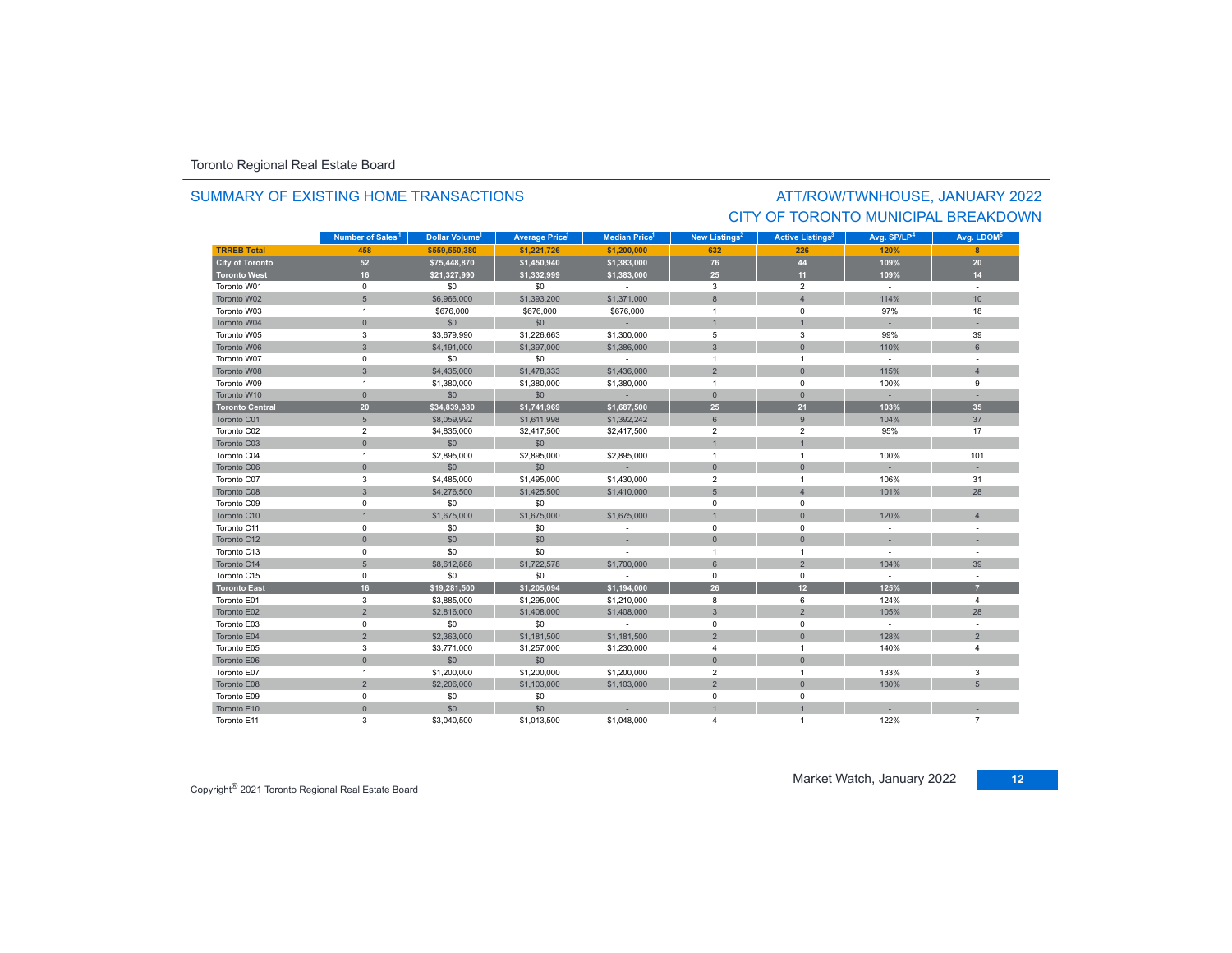#### SUMMARY OF EXISTING HOME TRANSACTIONS

## ATT/ROW/TWNHOUSE, JANUARY 2022 CITY OF TORONTO MUNICIPAL BREAKDOWN

|                        | Number of Sales <sup>1</sup> | Dollar Volume <sup>1</sup> | <b>Average Price<sup>1</sup></b> | <b>Median Price</b> <sup>1</sup> | New Listings <sup>2</sup> | <b>Active Listings<sup>3</sup></b> | Avg. SP/LP <sup>4</sup> | Avg. LDOM <sup>5</sup> |
|------------------------|------------------------------|----------------------------|----------------------------------|----------------------------------|---------------------------|------------------------------------|-------------------------|------------------------|
| <b>TRREB Total</b>     | 458                          | \$559,550,380              | \$1,221,726                      | \$1,200,000                      | 632                       | 226                                | 120%                    | 8                      |
| <b>City of Toronto</b> | 52                           | \$75,448,870               | \$1,450,940                      | \$1,383,000                      | 76                        | 44                                 | 109%                    | 20                     |
| <b>Toronto West</b>    | 16                           | \$21,327,990               | \$1,332,999                      | \$1,383,000                      | 25                        | 11                                 | 109%                    | 14                     |
| Toronto W01            | $\mathsf 0$                  | \$0                        | \$0                              | $\sim$                           | 3                         | $\overline{2}$                     | $\sim$                  | $\sim$                 |
| Toronto W02            | 5                            | \$6,966,000                | \$1,393,200                      | \$1,371,000                      | 8                         | $\overline{4}$                     | 114%                    | 10                     |
| Toronto W03            | $\overline{1}$               | \$676,000                  | \$676,000                        | \$676,000                        | $\overline{1}$            | $\mathbf 0$                        | 97%                     | 18                     |
| Toronto W04            | $\mathbf{0}$                 | \$0                        | \$0                              | $\sim$                           |                           |                                    |                         |                        |
| Toronto W05            | 3                            | \$3,679,990                | \$1,226,663                      | \$1,300,000                      | 5                         | 3                                  | 99%                     | 39                     |
| Toronto W06            | $\mathbf{3}$                 | \$4,191,000                | \$1,397,000                      | \$1,386,000                      | $\mathbf{3}$              | $\mathbf{0}$                       | 110%                    | 6                      |
| Toronto W07            | 0                            | \$0                        | \$0                              | $\sim$                           | $\mathbf{1}$              | $\mathbf{1}$                       | $\sim$                  |                        |
| Toronto W08            | 3                            | \$4,435,000                | \$1,478,333                      | \$1,436,000                      | $\overline{2}$            | $\overline{0}$                     | 115%                    | $\overline{4}$         |
| Toronto W09            | $\overline{1}$               | \$1,380,000                | \$1,380,000                      | \$1,380,000                      | $\overline{1}$            | $\mathbf 0$                        | 100%                    | 9                      |
| Toronto W10            | $\overline{0}$               | \$0                        | \$0                              |                                  | $\overline{0}$            | $\mathbf{0}$                       |                         |                        |
| <b>Toronto Central</b> | 20                           | \$34,839,380               | \$1,741,969                      | \$1,687,500                      | 25                        | 21                                 | 103%                    | 35                     |
| Toronto C01            | $\sqrt{5}$                   | \$8,059,992                | \$1,611,998                      | \$1,392,242                      | 6                         | 9                                  | 104%                    | 37                     |
| Toronto C02            | $\overline{2}$               | \$4,835,000                | \$2,417,500                      | \$2,417,500                      | $\overline{2}$            | $\overline{2}$                     | 95%                     | 17                     |
| Toronto C03            | $\mathbf{0}$                 | \$0                        | \$0                              | $\sim$                           |                           |                                    |                         |                        |
| Toronto C04            | $\overline{1}$               | \$2,895,000                | \$2,895,000                      | \$2,895,000                      | $\overline{1}$            | $\mathbf{1}$                       | 100%                    | 101                    |
| Toronto C06            | $\mathbf{0}$                 | \$0                        | \$0                              | - 1                              | $\mathbf{0}$              | $\overline{0}$                     |                         |                        |
| Toronto C07            | 3                            | \$4,485,000                | \$1,495,000                      | \$1,430,000                      | $\overline{2}$            | $\mathbf{1}$                       | 106%                    | 31                     |
| Toronto C08            | 3                            | \$4,276,500                | \$1,425,500                      | \$1,410,000                      | 5                         | $\overline{4}$                     | 101%                    | 28                     |
| Toronto C09            | 0                            | \$0                        | \$0                              |                                  | $\mathbf 0$               | $\mathbf 0$                        | $\sim$                  | $\sim$                 |
| Toronto C10            | $\mathbf{1}$                 | \$1,675,000                | \$1,675,000                      | \$1,675,000                      | $\mathbf{1}$              | $\overline{0}$                     | 120%                    | $\overline{4}$         |
| Toronto C11            | $\mathsf 0$                  | \$0                        | \$0                              |                                  | $\mathbf 0$               | $\mathbf 0$                        | $\sim$                  | $\sim$                 |
| Toronto C12            | $\mathbf{0}$                 | \$0                        | \$0                              | $\overline{\phantom{a}}$         | $\mathbf{0}$              | $\overline{0}$                     |                         |                        |
| Toronto C13            | $\mathbf 0$                  | \$0                        | \$0                              | $\sim$                           | $\overline{1}$            | $\mathbf{1}$                       | $\sim$                  | $\sim$                 |
| Toronto C14            | 5                            | \$8,612,888                | \$1,722,578                      | \$1,700,000                      | 6                         | $\overline{2}$                     | 104%                    | 39                     |
| Toronto C15            | $\mathbf 0$                  | \$0                        | \$0                              | $\sim$                           | $\mathbf 0$               | $\mathbf 0$                        | $\sim$                  | $\sim$                 |
| <b>Toronto East</b>    | 16                           | \$19,281,500               | \$1,205,094                      | \$1,194,000                      | 26                        | 12                                 | 125%                    | $\overline{7}$         |
| Toronto E01            | 3                            | \$3,885,000                | \$1,295,000                      | \$1,210,000                      | 8                         | 6                                  | 124%                    | $\overline{4}$         |
| Toronto E02            | $\overline{2}$               | \$2,816,000                | \$1,408,000                      | \$1,408,000                      | $\mathbf{3}$              | $\overline{2}$                     | 105%                    | 28                     |
| Toronto E03            | $\mathbf 0$                  | \$0                        | \$0                              | $\sim$                           | $\mathbf 0$               | $\mathbf 0$                        | $\sim$                  |                        |
| Toronto E04            | $\overline{2}$               | \$2,363,000                | \$1,181,500                      | \$1,181,500                      | $\overline{2}$            | $\overline{0}$                     | 128%                    | $\overline{2}$         |
| Toronto E05            | 3                            | \$3,771,000                | \$1,257,000                      | \$1,230,000                      | $\overline{4}$            | $\mathbf{1}$                       | 140%                    | $\overline{4}$         |
| Toronto E06            | $\mathbf{0}$                 | \$0                        | \$0                              | п.                               | $\overline{0}$            | $\overline{0}$                     |                         |                        |
| Toronto E07            | $\mathbf{1}$                 | \$1,200,000                | \$1,200,000                      | \$1,200,000                      | $\overline{2}$            | $\mathbf{1}$                       | 133%                    | 3                      |
| Toronto E08            | $\overline{2}$               | \$2,206,000                | \$1,103,000                      | \$1,103,000                      | $\overline{2}$            | $\mathsf{O}\xspace$                | 130%                    | $5\phantom{.0}$        |
| Toronto E09            | $\mathbf 0$                  | \$0                        | \$0                              | $\sim$                           | $\Omega$                  | $\Omega$                           | $\sim$                  |                        |
| Toronto E10            | $\mathsf{O}\xspace$          | \$0                        | \$0                              |                                  |                           |                                    |                         |                        |
| Toronto E11            | 3                            | \$3,040.500                | \$1,013,500                      | \$1,048,000                      |                           |                                    | 122%                    | $\overline{7}$         |

Market Watch, January 2022 **<sup>12</sup>** Copyright® 2021 Toronto Regional Real Estate Board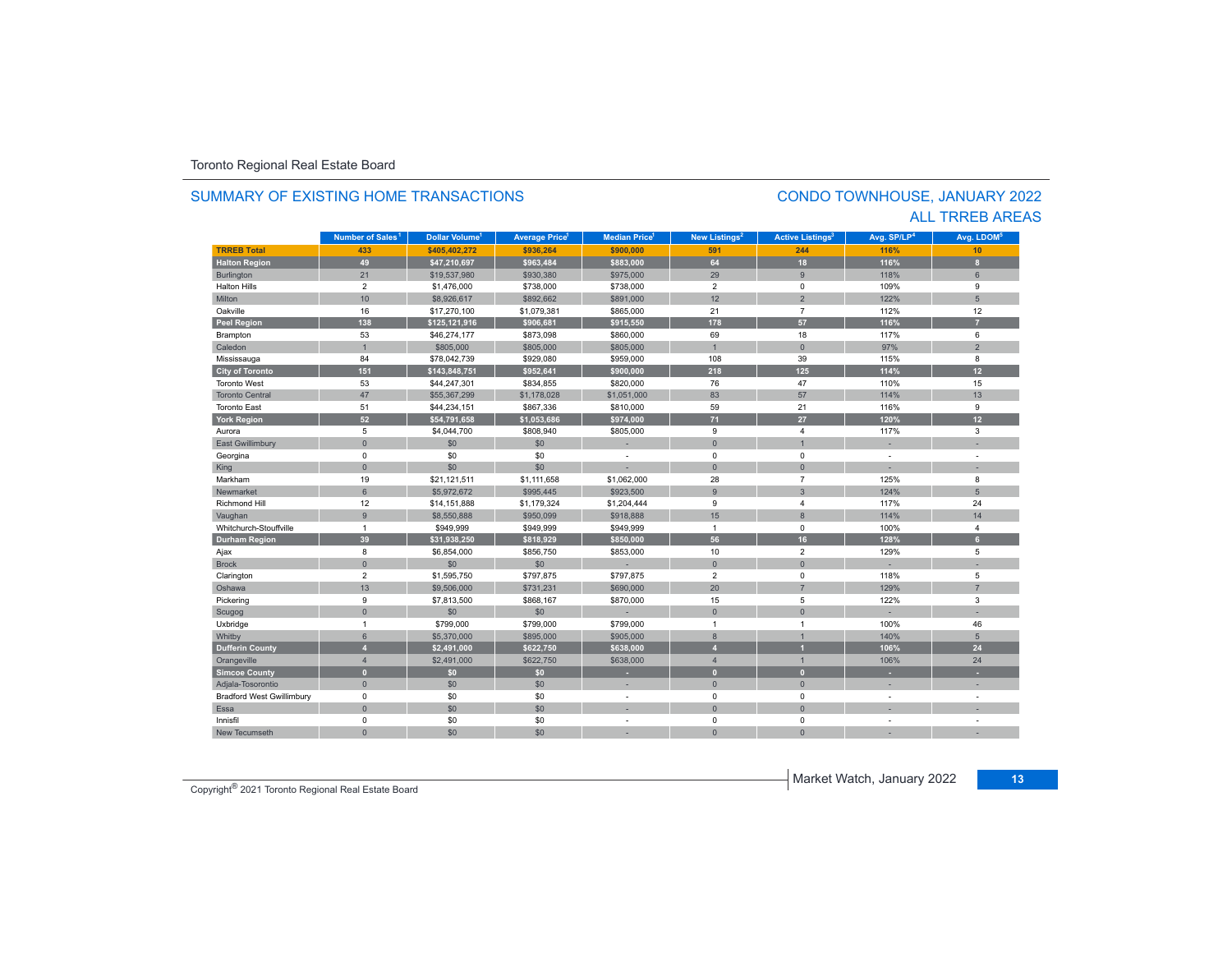#### **TRREB Total 433 \$405,402,272 \$936,264 \$900,000 591 244 116%116%** 10 **Halton Region 49 \$47,210,697 \$963,484 \$883,000 64 18 116% 8** Burlington 20 31 8 118% 819,537,980 \$930,380 \$975,000 \$975,000 \$975,000 \$900, \$975,000 \$920 \$920 \$118% \$118% \$ Halton Hills $\sim$  2 \$1,476,000 \$738,000 \$738,000 2 0 109% 9 Miltonn 10 \$8,926,617 \$892,662 \$891,000 12 2 122% 5 Oakvillee 16 \$17,270,100 \$1,079,381 \$865,000 21 7 112% 112% 12 **Peel Region 138 \$125,121,916 \$906,681 \$915,550 178 57 116% 7** Brampton 53 \$46,274,177 \$873,098 \$860,000 69 18 117% 6 Caledonn 1 \$805,000 \$805,000 \$805,000 1 0 97%  $\%$  2 Mississauga 84 \$78,042,739 \$929,080 \$959,000 108 39 115% 8 **City of Toronto 151 \$143,848,751 \$952,641 \$900,000 218 125 114% 12** Toronto West 53 \$44,247,301 \$834,855 \$820,000 76 47 110%110% 15 Toronto Central 47\$55,367,299 \$1,178,028 \$1,051,000 \$3 \$1,051,000 \$37 \$114% 13 Toronto East 51 \$44,234,151 \$867,336 \$810,000 59 21 116% 9 **York Region 52 \$54,791,658 \$1,053,686 \$974,000 71 27 120% 12** Auroraa 5 \$4,044,700 \$808,940 \$805,000 9 4 117% 3 East Gwillimbury 0 \$0 \$0 - 0 1 - - Georgina 0 \$0 \$0 - 0 0 - - King the second term of the second term of the second term of the second term of the second term of the second Markhamm 19 \$21,121,511 \$1,111,658 \$1,062,000 28 7 125% 8 Newmarket 6 \$5,972,672 \$995,445 \$923,500 9 3 124% 5 Richmond Hill 12 \$14,151,888 \$1,179,324 \$1,204,444 9 4 117% 24 Vaughan 9 \$8,550,888 \$950,099 \$918,888 15 8 114% 14 Whitchurch-Stouffvillee 1 \$949,999 \$949,999 \$949,999 1 0 100%  $%$  4 **Durham Region 39 \$31,938,250 \$818,929 \$850,000 56 16 128% 6** Ajax 8 \$6,854,000 \$856,750 \$853,000 10 2 129% 5 Brock 0 \$0 \$0 - 0 0 - - Clarington 2 \$1,595,750 \$797,875 118% 5 Oshawa 13 \$9,506,000 \$731,231 \$690,000 20 7 129%129% 7 4 9 \$7,813,500 \$868,167 \$870,000 \$87,900 \$870,000 \$870,000 \$870,000 \$870,000 \$870,000 \$870,000 \$870,000 \$87,81 Scugog 0 \$0 \$0 - 0 0 - - Uxbridge 1 \$799,000 \$799,000 \$799,000 1 1 100% 46 55,370,000 \$895,000 \$905,000 \$905,000 \$905,000 \$905,000 \$905,000 \$ **Dufferin County 4 \$2,491,000 \$622,750 \$638,000 4 1 106% 24** Orangeville 4 | \$2,491,000 | \$622,750 | \$638,000 | 4 | 1 106% 24 **Simcoe County 0 \$0 \$0 - 0 0 - -** Adjala-Tosorontio 0 \$0 \$0 - 0 0 - - Bradford West Gwillimbury 0 \$0 \$0 - 0 0 - - Essaa dia 1980 - Aniso ao amin'ny faritr'i Nouvelle-Aquitaine, ao amin'ny faritr'i Nouvelle-Aquitaine, ao amin'ny Innisfil 0 \$0 \$0 - 0 0 - - New Tecumseth**Municipality Number of Sales Dollar Volume Average Price Median Price New Listings Active Listings Avg. SP/LP Avg. LDOM Number of Sales<sup>1</sup> 1** Dollar Volume<sup>1</sup> | Average Price<sup>1</sup> | Median Price<sup>1</sup> | New Listings<sup>2</sup> | Active Listings<sup>3</sup> | Avg. SP/LP<sup>4</sup> | Avg. LDOM<sup>s</sup>

0 \$0 \$0 - 0 0 - -

#### SUMMARY OF EXISTING HOME TRANSACTIONS

#### CONDO TOWNHOUSE, JANUARY 2022 ALL TRREB AREAS

**Copyright<sup>®</sup> 2021 Toronto Regional Real Estate Board 13** Copyright<sup>®</sup> 2021 Toronto Regional Real Estate Board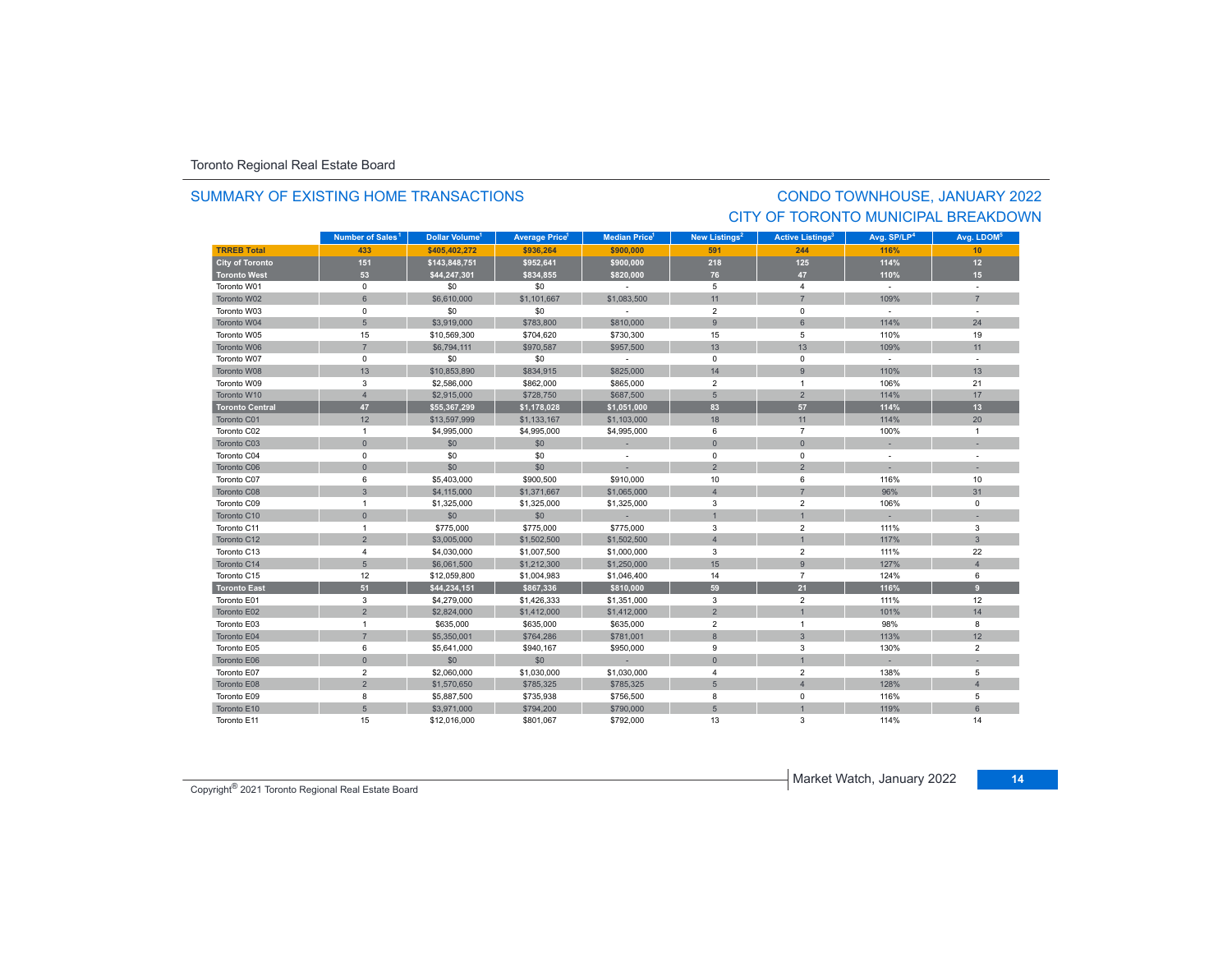#### SUMMARY OF EXISTING HOME TRANSACTIONS

## CONDO TOWNHOUSE, JANUARY 2022 CITY OF TORONTO MUNICIPAL BREAKDOWN

|                        | Number of Sales <sup>1</sup> | Dollar Volume <sup>1</sup> | <b>Average Price</b> <sup>1</sup> | <b>Median Price</b> <sup>1</sup> | New Listings <sup>2</sup> | <b>Active Listings<sup>3</sup></b> | Avg. SP/LP <sup>4</sup>  | Avg. LDOM <sup>5</sup> |
|------------------------|------------------------------|----------------------------|-----------------------------------|----------------------------------|---------------------------|------------------------------------|--------------------------|------------------------|
| <b>TRREB Total</b>     | 433                          | \$405,402,272              | \$936,264                         | \$900,000                        | 591                       | 244                                | 116%                     | 10                     |
| <b>City of Toronto</b> | 151                          | \$143,848,751              | \$952,641                         | \$900,000                        | 218                       | 125                                | 114%                     | 12                     |
| Toronto West           | 53                           | \$44,247,301               | \$834,855                         | \$820,000                        | 76                        | 47                                 | 110%                     | 15 <sub>1</sub>        |
| Toronto W01            | $\mathsf 0$                  | \$0                        | \$0                               | $\sim$                           | 5                         | $\overline{4}$                     | $\sim$                   |                        |
| Toronto W02            | 6                            | \$6,610,000                | \$1,101,667                       | \$1,083,500                      | 11                        | $\overline{7}$                     | 109%                     | $\overline{7}$         |
| Toronto W03            | $\mathbf 0$                  | \$0                        | \$0                               | $\sim$                           | $\overline{2}$            | $\mathbf 0$                        | $\sim$                   | $\sim$                 |
| Toronto W04            | 5                            | \$3,919,000                | \$783,800                         | \$810,000                        | 9                         | 6                                  | 114%                     | 24                     |
| Toronto W05            | 15                           | \$10,569,300               | \$704,620                         | \$730,300                        | 15                        | 5                                  | 110%                     | 19                     |
| Toronto W06            | $\overline{7}$               | \$6,794,111                | \$970,587                         | \$957,500                        | 13                        | 13                                 | 109%                     | 11                     |
| Toronto W07            | $\mathbf 0$                  | \$0                        | \$0                               | $\sim$                           | $\mathbf 0$               | 0                                  | $\sim$                   |                        |
| Toronto W08            | 13                           | \$10,853,890               | \$834,915                         | \$825,000                        | 14                        | $\overline{9}$                     | 110%                     | 13                     |
| Toronto W09            | 3                            | \$2,586,000                | \$862,000                         | \$865,000                        | $\overline{2}$            | $\mathbf{1}$                       | 106%                     | 21                     |
| Toronto W10            | $\overline{4}$               | \$2,915,000                | \$728,750                         | \$687,500                        | $5\phantom{.0}$           | $\overline{2}$                     | 114%                     | 17                     |
| <b>Toronto Central</b> | 47                           | \$55,367,299               | \$1,178,028                       | \$1,051,000                      | 83                        | 57                                 | 114%                     | 13                     |
| Toronto C01            | 12                           | \$13,597,999               | \$1,133,167                       | \$1,103,000                      | 18                        | 11                                 | 114%                     | 20                     |
| Toronto C02            | $\overline{1}$               | \$4,995,000                | \$4,995,000                       | \$4,995,000                      | 6                         | $\overline{7}$                     | 100%                     | $\mathbf{1}$           |
| Toronto C03            | $\mathbf{0}$                 | \$0                        | \$0                               | ×.                               | $\mathbf{0}$              | $\overline{0}$                     |                          |                        |
| Toronto C04            | $\mathbf 0$                  | \$0                        | \$0                               | $\overline{\phantom{a}}$         | $^{\circ}$                | $\mathbf 0$                        | $\overline{\phantom{a}}$ |                        |
| Toronto C06            | $\mathbf{0}$                 | \$0                        | \$0                               |                                  | $\overline{2}$            | $\overline{2}$                     |                          |                        |
| Toronto C07            | 6                            | \$5,403,000                | \$900,500                         | \$910,000                        | 10                        | 6                                  | 116%                     | 10                     |
| Toronto C08            | 3                            | \$4,115,000                | \$1,371,667                       | \$1,065,000                      | $\overline{4}$            | $\overline{7}$                     | 96%                      | 31                     |
| Toronto C09            | $\overline{1}$               | \$1,325,000                | \$1,325,000                       | \$1,325,000                      | 3                         | $\overline{2}$                     | 106%                     | $\mathbf 0$            |
| Toronto C10            | $\mathsf{O}\xspace$          | \$0                        | \$0                               | $\sim$                           | $\mathbf{1}$              |                                    |                          |                        |
| Toronto C11            | $\mathbf{1}$                 | \$775,000                  | \$775,000                         | \$775,000                        | 3                         | $\overline{2}$                     | 111%                     | 3                      |
| Toronto C12            | $\overline{2}$               | \$3,005,000                | \$1,502,500                       | \$1,502,500                      | $\overline{4}$            | $\overline{1}$                     | 117%                     | $\overline{3}$         |
| Toronto C13            | $\overline{4}$               | \$4,030,000                | \$1,007,500                       | \$1,000,000                      | 3                         | $\overline{2}$                     | 111%                     | 22                     |
| Toronto C14            | $5\overline{)}$              | \$6,061,500                | \$1,212,300                       | \$1,250,000                      | 15                        | $\overline{9}$                     | 127%                     | $\overline{4}$         |
| Toronto C15            | 12                           | \$12,059,800               | \$1,004,983                       | \$1,046,400                      | 14                        | $\overline{7}$                     | 124%                     | 6                      |
| <b>Toronto East</b>    | 51                           | \$44,234,151               | \$867,336                         | \$810,000                        | 59                        | 21                                 | 116%                     | 9                      |
| Toronto E01            | 3                            | \$4,279,000                | \$1,426,333                       | \$1,351,000                      | 3                         | $\overline{2}$                     | 111%                     | 12                     |
| Toronto E02            | $\overline{2}$               | \$2,824,000                | \$1,412,000                       | \$1,412,000                      | $\overline{2}$            |                                    | 101%                     | 14                     |
| Toronto E03            | $\overline{1}$               | \$635,000                  | \$635,000                         | \$635,000                        | $\overline{2}$            | 1                                  | 98%                      | 8                      |
| Toronto E04            | $\overline{7}$               | \$5,350,001                | \$764,286                         | \$781,001                        | 8                         | 3                                  | 113%                     | 12                     |
| Toronto E05            | 6                            | \$5,641,000                | \$940,167                         | \$950,000                        | 9                         | 3                                  | 130%                     | $\overline{2}$         |
| Toronto E06            | $\mathbf{0}$                 | \$0                        | \$0                               |                                  | $\mathbf{0}$              |                                    |                          |                        |
| Toronto E07            | $\overline{2}$               | \$2,060,000                | \$1,030,000                       | \$1,030,000                      | $\overline{4}$            | $\overline{2}$                     | 138%                     | 5                      |
| Toronto E08            | $\overline{2}$               | \$1,570,650                | \$785,325                         | \$785,325                        | $5\phantom{.0}$           | $\overline{4}$                     | 128%                     | $\overline{4}$         |
| Toronto E09            | 8                            | \$5,887,500                | \$735,938                         | \$756,500                        | 8                         | $\mathbf 0$                        | 116%                     | 5                      |
| Toronto E10            | $5\phantom{.}$               | \$3,971,000                | \$794,200                         | \$790,000                        | 5                         |                                    | 119%                     | 6                      |
| Toronto E11            | 15                           | \$12,016,000               | \$801,067                         | \$792,000                        | 13                        | 3                                  | 114%                     | 14                     |

Market Watch, January 2022 **<sup>14</sup>** Copyright® 2021 Toronto Regional Real Estate Board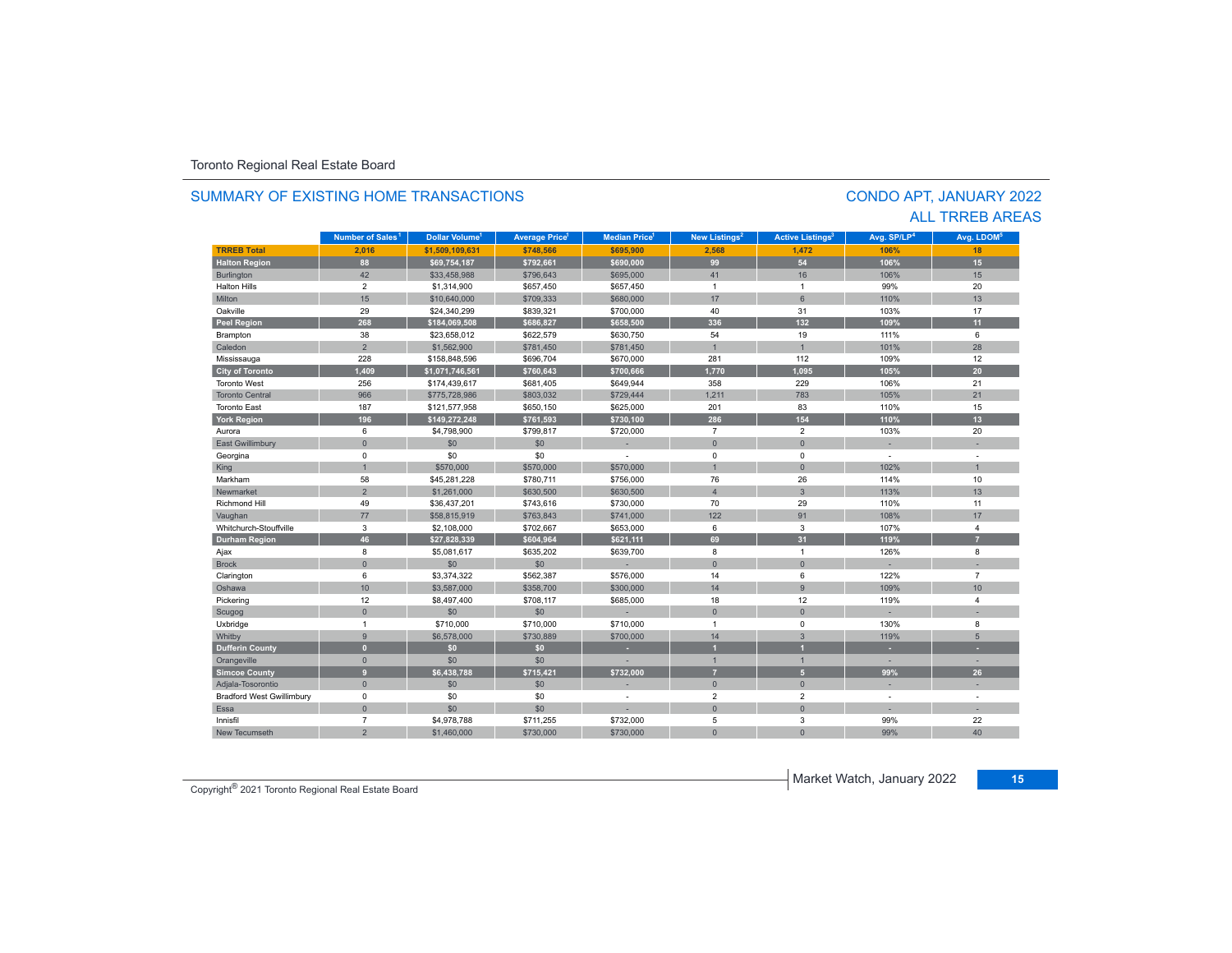|                                  | Number of Sales <sup>1</sup> | Dollar Volume <sup>1</sup> | <b>Average Price</b> | <b>Median Price</b> | New Listings <sup>2</sup> | <b>Active Listings<sup>3</sup></b> | Avg. SP/LP <sup>4</sup> | Ava. LDOM <sup>5</sup>   |
|----------------------------------|------------------------------|----------------------------|----------------------|---------------------|---------------------------|------------------------------------|-------------------------|--------------------------|
| <b>TRREB Total</b>               | 2.016                        | \$1.509.109.631            | \$748.566            | \$695.900           | 2.568                     | 1.472                              | 106%                    | 18                       |
| <b>Halton Region</b>             | 88                           | \$69.754.187               | \$792.661            | \$690,000           | 99                        | 54                                 | 106%                    | 15 <sub>1</sub>          |
| Burlington                       | 42                           | \$33,458,988               | \$796,643            | \$695,000           | 41                        | 16                                 | 106%                    | 15                       |
| <b>Halton Hills</b>              | $\overline{2}$               | \$1,314,900                | \$657,450            | \$657,450           | $\overline{1}$            | $\overline{1}$                     | 99%                     | 20                       |
| Milton                           | 15                           | \$10,640,000               | \$709,333            | \$680,000           | 17                        | 6                                  | 110%                    | 13                       |
| Oakville                         | 29                           | \$24.340.299               | \$839,321            | \$700,000           | 40                        | 31                                 | 103%                    | 17                       |
| <b>Peel Region</b>               | 268                          | \$184,069,508              | \$686,827            | \$658,500           | 336                       | 132                                | 109%                    | 11                       |
| Brampton                         | 38                           | \$23,658,012               | \$622,579            | \$630,750           | 54                        | 19                                 | 111%                    | 6                        |
| Caledon                          | $\overline{2}$               | \$1,562,900                | \$781,450            | \$781,450           | $\overline{1}$            | $\overline{1}$                     | 101%                    | 28                       |
| Mississauga                      | 228                          | \$158,848,596              | \$696,704            | \$670,000           | 281                       | 112                                | 109%                    | 12                       |
| <b>City of Toronto</b>           | 1,409                        | \$1,071,746,561            | \$760,643            | \$700,666           | 1.770                     | 1.095                              | 105%                    | 20                       |
| <b>Toronto West</b>              | 256                          | \$174,439,617              | \$681,405            | \$649,944           | 358                       | 229                                | 106%                    | 21                       |
| <b>Toronto Central</b>           | 966                          | \$775,728,986              | \$803.032            | \$729,444           | 1.211                     | 783                                | 105%                    | 21                       |
| <b>Toronto East</b>              | 187                          | \$121,577,958              | \$650,150            | \$625,000           | 201                       | 83                                 | 110%                    | 15                       |
| <b>York Region</b>               | 196                          | \$149,272,248              | \$761,593            | \$730.100           | 286                       | 154                                | 110%                    | 13                       |
| Aurora                           | 6                            | \$4,798,900                | \$799,817            | \$720,000           | $\overline{7}$            | $\overline{2}$                     | 103%                    | 20                       |
| <b>East Gwillimbury</b>          | $\mathbf{0}$                 | \$0                        | \$0                  |                     | $\bullet$                 | $\overline{0}$                     |                         |                          |
| Georgina                         | $\mathbf 0$                  | \$0                        | \$0                  |                     | $\mathbf 0$               | $\Omega$                           | $\sim$                  | ÷,                       |
| King                             | $\mathbf{1}$                 | \$570,000                  | \$570,000            | \$570,000           | $\overline{1}$            | $\overline{0}$                     | 102%                    | $\mathbf{1}$             |
| Markham                          | 58                           | \$45.281.228               | \$780.711            | \$756,000           | 76                        | 26                                 | 114%                    | 10                       |
| Newmarket                        | $\overline{2}$               | \$1,261,000                | \$630,500            | \$630,500           | $\overline{\mathbf{A}}$   | $\overline{3}$                     | 113%                    | 13                       |
| <b>Richmond Hill</b>             | 49                           | \$36,437,201               | \$743,616            | \$730,000           | 70                        | 29                                 | 110%                    | 11                       |
| Vaughan                          | 77                           | \$58,815,919               | \$763,843            | \$741,000           | 122                       | 91                                 | 108%                    | 17                       |
| Whitchurch-Stouffville           | 3                            | \$2,108,000                | \$702,667            | \$653,000           | 6                         | 3                                  | 107%                    | $\overline{4}$           |
| <b>Durham Region</b>             | 46                           | \$27,828,339               | \$604.964            | \$621,111           | 69                        | 31                                 | 119%                    | $\overline{7}$           |
| Ajax                             | 8                            | \$5,081,617                | \$635,202            | \$639,700           | 8                         | $\overline{1}$                     | 126%                    | 8                        |
| <b>Brock</b>                     | $\Omega$                     | \$0                        | \$0                  |                     | $\Omega$                  | $\overline{0}$                     |                         |                          |
| Clarington                       | 6                            | \$3,374,322                | \$562,387            | \$576,000           | 14                        | 6                                  | 122%                    | $\overline{7}$           |
| Oshawa                           | 10                           | \$3,587,000                | \$358,700            | \$300,000           | 14                        | 9                                  | 109%                    | 10 <sup>1</sup>          |
| Pickering                        | 12                           | \$8,497,400                | \$708,117            | \$685,000           | 18                        | 12                                 | 119%                    | $\overline{4}$           |
| Scugog                           | $\mathbf{0}$                 | \$0                        | \$0                  |                     | $\mathbf{0}$              | $\mathbf{0}$                       |                         |                          |
| Uxbridge                         | $\mathbf{1}$                 | \$710,000                  | \$710,000            | \$710,000           | $\overline{1}$            | $\Omega$                           | 130%                    | 8                        |
| Whitby                           | 9                            | \$6,578,000                | \$730,889            | \$700,000           | 14                        | $\overline{3}$                     | 119%                    | 5                        |
| <b>Dufferin County</b>           | $\mathbf{0}$                 | \$0\$                      | \$0                  |                     |                           |                                    |                         |                          |
| Orangeville                      | $\mathbf{0}$                 | \$0                        | \$0                  |                     | $\mathbf{1}$              | $\mathbf{1}$                       | $\sim$                  | н.                       |
| <b>Simcoe County</b>             | 9                            | \$6,438,788                | \$715.421            | \$732.000           | $\overline{7}$            | $\overline{5}$                     | 99%                     | 26                       |
| Adjala-Tosorontio                | $\mathbf{0}$                 | \$0                        | \$0                  |                     | $\mathbf{0}$              | $\overline{0}$                     | ×.                      | ×.                       |
| <b>Bradford West Gwillimbury</b> | 0                            | \$0                        | \$0                  | ٠                   | $\overline{2}$            | $\overline{2}$                     |                         | ÷,                       |
| Essa                             | $\mathbf{0}$                 | \$0                        | \$0                  | ×.                  | $\Omega$                  | $\overline{0}$                     |                         | $\overline{\phantom{a}}$ |
| Innisfil                         | $\overline{7}$               | \$4,978,788                | \$711,255            | \$732,000           | 5                         | 3                                  | 99%                     | 22                       |
| New Tecumseth                    | $\overline{2}$               | \$1,460,000                | \$730,000            | \$730,000           | $\mathbf{0}$              | $\Omega$                           | 99%                     | 40                       |

#### SUMMARY OF EXISTING HOME TRANSACTIONS

Market Watch, January 2022 **<sup>15</sup>** Copyright® 2021 Toronto Regional Real Estate Board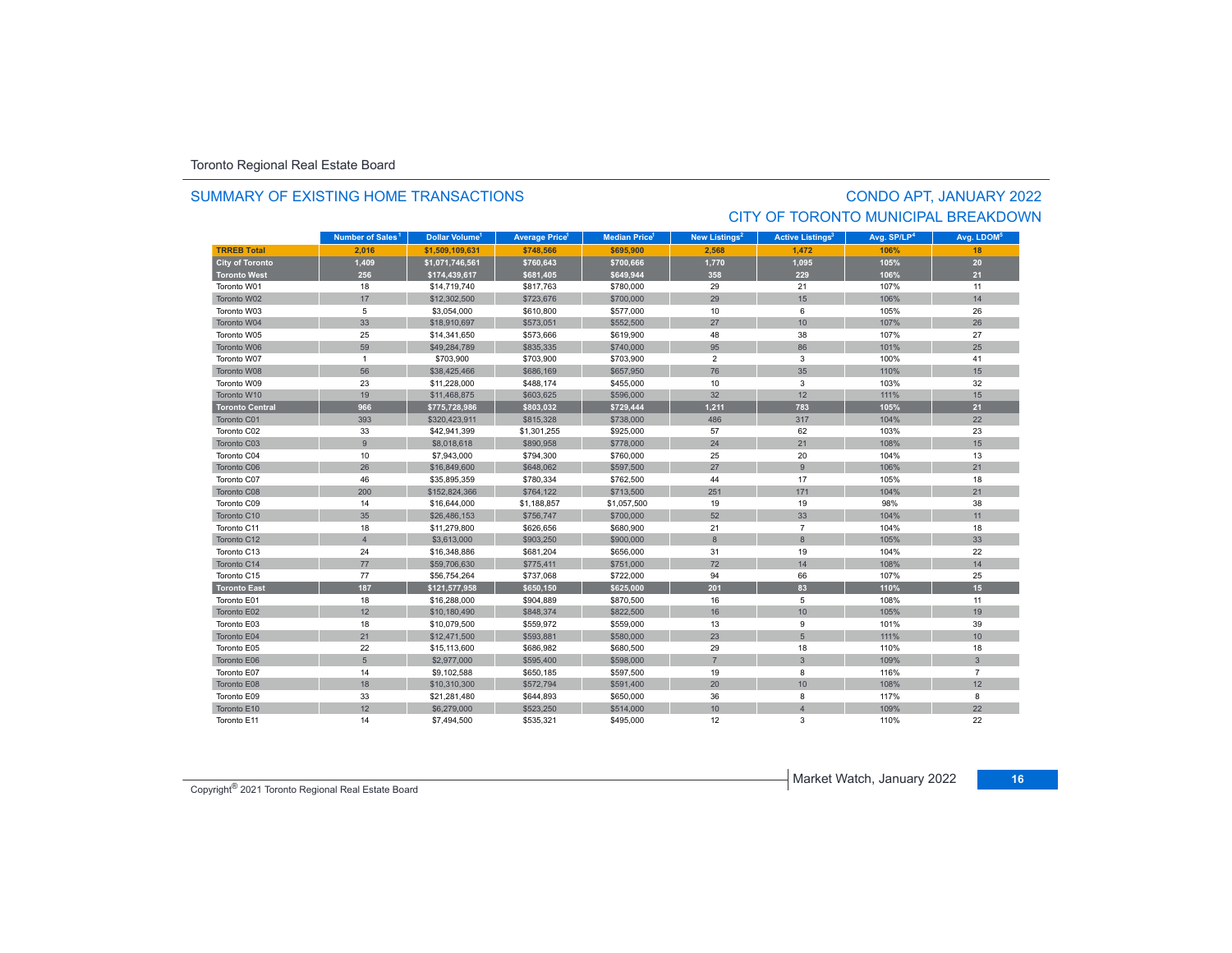#### SUMMARY OF EXISTING HOME TRANSACTIONS

# CONDO APT, JANUARY 2022 CITY OF TORONTO MUNICIPAL BREAKDOWN

|                        | Number of Sales <sup>1</sup> | Dollar Volume <sup>1</sup> | <b>Average Price</b> | <b>Median Price</b> <sup>1</sup> | New Listings <sup>2</sup> | <b>Active Listings<sup>3</sup></b> | Avg. SP/LP <sup>4</sup> | Avg. LDOM <sup>5</sup> |
|------------------------|------------------------------|----------------------------|----------------------|----------------------------------|---------------------------|------------------------------------|-------------------------|------------------------|
| <b>TRREB Total</b>     | 2.016                        | \$1,509,109,631            | \$748,566            | \$695,900                        | 2.568                     | 1.472                              | 106%                    | 18                     |
| <b>City of Toronto</b> | 1,409                        | \$1,071,746,561            | \$760,643            | \$700,666                        | 1,770                     | 1,095                              | 105%                    | 20                     |
| <b>Toronto West</b>    | 256                          | \$174,439,617              | \$681,405            | \$649,944                        | 358                       | 229                                | 106%                    | 21                     |
| Toronto W01            | 18                           | \$14,719,740               | \$817,763            | \$780,000                        | 29                        | 21                                 | 107%                    | 11                     |
| Toronto W02            | 17                           | \$12,302,500               | \$723,676            | \$700,000                        | 29                        | 15                                 | 106%                    | 14                     |
| Toronto W03            | 5                            | \$3,054,000                | \$610,800            | \$577,000                        | 10                        | 6                                  | 105%                    | 26                     |
| Toronto W04            | 33                           | \$18,910,697               | \$573,051            | \$552,500                        | 27                        | 10                                 | 107%                    | 26                     |
| Toronto W05            | 25                           | \$14,341,650               | \$573,666            | \$619,900                        | 48                        | 38                                 | 107%                    | 27                     |
| Toronto W06            | 59                           | \$49,284,789               | \$835,335            | \$740,000                        | 95                        | 86                                 | 101%                    | 25                     |
| Toronto W07            | $\mathbf{1}$                 | \$703,900                  | \$703,900            | \$703,900                        | $\overline{2}$            | 3                                  | 100%                    | 41                     |
| Toronto W08            | 56                           | \$38,425,466               | \$686,169            | \$657,950                        | 76                        | 35                                 | 110%                    | 15                     |
| Toronto W09            | 23                           | \$11,228,000               | \$488,174            | \$455,000                        | 10                        | 3                                  | 103%                    | 32                     |
| Toronto W10            | 19                           | \$11,468,875               | \$603,625            | \$596,000                        | 32                        | 12                                 | 111%                    | 15                     |
| <b>Toronto Central</b> | 966                          | \$775,728,986              | \$803,032            | \$729,444                        | 1,211                     | 783                                | 105%                    | 21                     |
| Toronto C01            | 393                          | \$320,423,911              | \$815,328            | \$738,000                        | 486                       | 317                                | 104%                    | 22                     |
| Toronto C02            | 33                           | \$42,941,399               | \$1,301,255          | \$925,000                        | 57                        | 62                                 | 103%                    | 23                     |
| Toronto C03            | $\overline{9}$               | \$8,018,618                | \$890,958            | \$778,000                        | 24                        | 21                                 | 108%                    | 15                     |
| Toronto C04            | 10                           | \$7,943,000                | \$794,300            | \$760,000                        | 25                        | 20                                 | 104%                    | 13                     |
| Toronto C06            | 26                           | \$16,849,600               | \$648,062            | \$597,500                        | 27                        | 9                                  | 106%                    | 21                     |
| Toronto C07            | 46                           | \$35,895,359               | \$780,334            | \$762,500                        | 44                        | 17                                 | 105%                    | 18                     |
| Toronto C08            | 200                          | \$152,824,366              | \$764,122            | \$713,500                        | 251                       | 171                                | 104%                    | 21                     |
| Toronto C09            | 14                           | \$16,644,000               | \$1,188,857          | \$1,057,500                      | 19                        | 19                                 | 98%                     | 38                     |
| Toronto C10            | 35                           | \$26,486,153               | \$756,747            | \$700,000                        | 52                        | 33                                 | 104%                    | 11                     |
| Toronto C11            | 18                           | \$11,279,800               | \$626,656            | \$680,900                        | 21                        | $\overline{7}$                     | 104%                    | 18                     |
| Toronto C12            | $\overline{4}$               | \$3,613,000                | \$903,250            | \$900,000                        | 8                         | 8                                  | 105%                    | 33                     |
| Toronto C13            | 24                           | \$16,348,886               | \$681,204            | \$656,000                        | 31                        | 19                                 | 104%                    | 22                     |
| Toronto C14            | 77                           | \$59,706,630               | \$775,411            | \$751,000                        | 72                        | 14                                 | 108%                    | 14                     |
| Toronto C15            | 77                           | \$56,754,264               | \$737,068            | \$722,000                        | 94                        | 66                                 | 107%                    | 25                     |
| <b>Toronto East</b>    | 187                          | \$121,577,958              | \$650,150            | \$625,000                        | 201                       | 83                                 | 110%                    | 15                     |
| Toronto E01            | 18                           | \$16,288,000               | \$904,889            | \$870,500                        | 16                        | 5                                  | 108%                    | 11                     |
| Toronto E02            | 12                           | \$10,180,490               | \$848,374            | \$822,500                        | 16                        | 10                                 | 105%                    | 19                     |
| Toronto E03            | 18                           | \$10,079,500               | \$559,972            | \$559,000                        | 13                        | 9                                  | 101%                    | 39                     |
| Toronto E04            | 21                           | \$12,471,500               | \$593,881            | \$580,000                        | 23                        | 5                                  | 111%                    | 10                     |
| Toronto E05            | 22                           | \$15,113,600               | \$686,982            | \$680,500                        | 29                        | 18                                 | 110%                    | 18                     |
| Toronto E06            | $5\overline{5}$              | \$2,977,000                | \$595,400            | \$598,000                        | $\overline{7}$            | $\mathbf{3}$                       | 109%                    | 3                      |
| Toronto E07            | 14                           | \$9,102,588                | \$650,185            | \$597,500                        | 19                        | 8                                  | 116%                    | $\overline{7}$         |
| Toronto E08            | 18                           | \$10,310,300               | \$572,794            | \$591,400                        | 20                        | 10                                 | 108%                    | 12                     |
| Toronto E09            | 33                           | \$21,281,480               | \$644,893            | \$650,000                        | 36                        | 8                                  | 117%                    | 8                      |
| Toronto E10            | 12                           | \$6,279,000                | \$523,250            | \$514,000                        | 10                        | $\overline{A}$                     | 109%                    | 22                     |
| Toronto E11            | 14                           | \$7,494,500                | \$535,321            | \$495,000                        | 12                        | 3                                  | 110%                    | 22                     |

Market Watch, January 2022 **<sup>16</sup>** Copyright® 2021 Toronto Regional Real Estate Board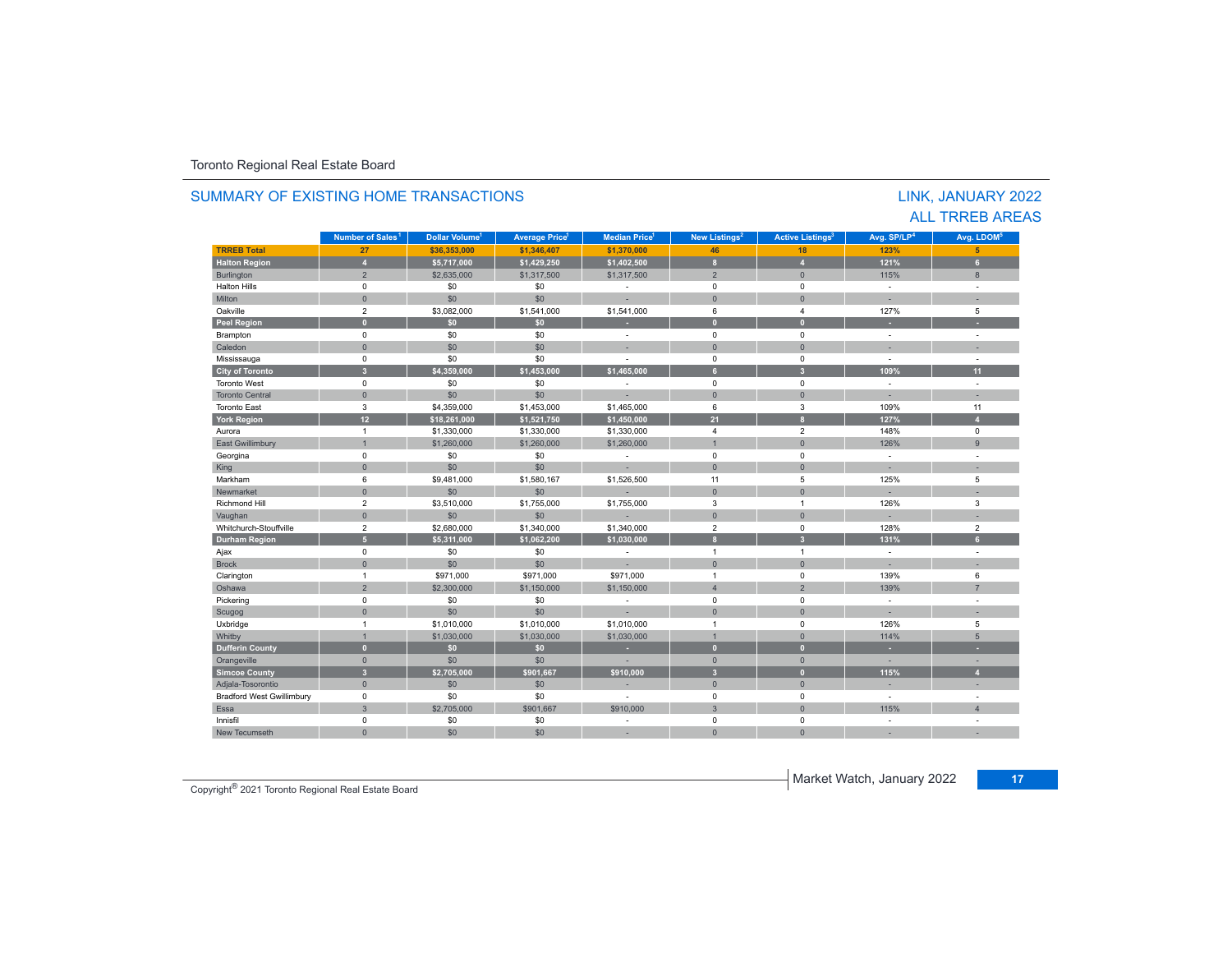|                                  |                              |                            |                                  |                                  |                           |                                    |                          | LINK, JANUARY 2022<br><b>ALL TRREB AREAS</b> |
|----------------------------------|------------------------------|----------------------------|----------------------------------|----------------------------------|---------------------------|------------------------------------|--------------------------|----------------------------------------------|
|                                  | Number of Sales <sup>1</sup> | Dollar Volume <sup>1</sup> | <b>Average Price<sup>1</sup></b> | <b>Median Price</b> <sup>1</sup> | New Listings <sup>2</sup> | <b>Active Listings<sup>3</sup></b> | Avg. SP/LP <sup>4</sup>  | Avg. LDOM <sup>5</sup>                       |
| <b>TRREB Total</b>               | 27                           | \$36,353,000               | \$1,346,407                      | \$1,370,000                      | 46                        | 18                                 | 123%                     | 5 <sup>5</sup>                               |
| <b>Halton Region</b>             | $\overline{4}$               | \$5,717,000                | \$1,429,250                      | \$1,402,500                      | $\mathbf{a}$              | $\overline{A}$                     | 121%                     | 6 <sup>1</sup>                               |
| Burlington                       | $\overline{2}$               | \$2,635,000                | \$1,317,500                      | \$1,317,500                      | $\overline{2}$            | $\mathbf{0}$                       | 115%                     | 8                                            |
| <b>Halton Hills</b>              | $\mathbf 0$                  | \$0                        | \$0                              | $\sim$                           | $\mathbf 0$               | $\mathbf 0$                        | ÷                        | $\sim$                                       |
| Milton                           | $\mathbf{0}$                 | \$0                        | \$0                              |                                  | $\overline{0}$            | $\mathbf{0}$                       |                          | ×.                                           |
| Oakville                         | $\overline{2}$               | \$3,082,000                | \$1,541,000                      | \$1,541,000                      | 6                         | $\overline{4}$                     | 127%                     | 5                                            |
| <b>Peel Region</b>               | $\mathbf{0}$                 | \$0                        | \$0                              |                                  | $\overline{0}$            | $\mathbf{0}$                       | ÷                        | ÷                                            |
| Brampton                         | $\mathbf 0$                  | \$0                        | \$0                              | $\sim$                           | $\mathbf 0$               | $\mathbf 0$                        | $\sim$                   | $\sim$                                       |
| Caledon                          | $\mathbf{0}$                 | \$0                        | \$0                              |                                  | $\mathbf{0}$              | $\mathbf{0}$                       |                          |                                              |
| Mississauga                      | $\Omega$                     | \$0                        | \$0                              |                                  | $\Omega$                  | $\Omega$                           | ÷,                       |                                              |
| <b>City of Toronto</b>           | 3 <sup>1</sup>               | \$4,359,000                | \$1,453,000                      | \$1,465,000                      | 6 <sup>1</sup>            | $\overline{\mathbf{3}}$            | 109%                     | 11                                           |
| <b>Toronto West</b>              | $\mathbf 0$                  | \$0                        | \$0                              | $\sim$                           | $\Omega$                  | $\mathbf 0$                        | $\sim$                   | $\sim$                                       |
| <b>Toronto Central</b>           | $\mathbf{0}$                 | \$0                        | \$0                              |                                  | $\Omega$                  | $\mathbf{0}$                       | ×.                       | ×.                                           |
| <b>Toronto East</b>              | 3                            | \$4,359,000                | \$1,453,000                      | \$1,465,000                      | 6                         | 3                                  | 109%                     | 11                                           |
| <b>York Region</b>               | 12 <sup>°</sup>              | \$18,261,000               | \$1,521,750                      | \$1,450,000                      | 21                        | $\mathbf{a}$                       | 127%                     | $\overline{A}$                               |
| Aurora                           | $\mathbf{1}$                 | \$1,330,000                | \$1,330,000                      | \$1,330,000                      | $\overline{4}$            | $\overline{2}$                     | 148%                     | 0                                            |
| East Gwillimbury                 | $\overline{1}$               | \$1,260,000                | \$1,260,000                      | \$1,260,000                      |                           | $\mathbf{0}$                       | 126%                     | $\overline{9}$                               |
| Georgina                         | $\mathbf 0$                  | \$0                        | \$0                              |                                  | $\mathbf 0$               | $\mathbf 0$                        | $\sim$                   | $\overline{\phantom{a}}$                     |
| King                             | $\mathbf{0}$                 | \$0                        | \$0                              |                                  | $\overline{0}$            | $\mathbf{0}$                       |                          |                                              |
| Markham                          | 6                            | \$9,481,000                | \$1,580,167                      | \$1,526,500                      | 11                        | 5                                  | 125%                     | 5                                            |
| Newmarket                        | $\Omega$                     | \$0                        | \$0                              |                                  | $\Omega$                  | $\Omega$                           |                          |                                              |
| <b>Richmond Hill</b>             | $\overline{2}$               | \$3,510,000                | \$1,755,000                      | \$1,755,000                      | 3                         | $\overline{1}$                     | 126%                     | 3                                            |
| Vaughan                          | $\mathbf{0}$                 | \$0                        | \$0                              |                                  | $\mathbf{0}$              | $\mathbf{0}$                       | a.                       | ×.                                           |
| Whitchurch-Stouffville           | $\overline{2}$               | \$2,680,000                | \$1,340,000                      | \$1,340,000                      | $\overline{2}$            | $\mathbf 0$                        | 128%                     | $\overline{2}$                               |
| <b>Durham Region</b>             | 5 <sup>5</sup>               | \$5,311,000                | \$1,062,200                      | \$1,030,000                      | $\mathbf{a}$              | $\overline{\mathbf{3}}$            | 131%                     | 6 <sup>1</sup>                               |
| Ajax                             | $\mathbf 0$                  | \$0                        | \$0                              | $\sim$                           | $\overline{1}$            | $\overline{1}$                     | $\sim$                   | ÷                                            |
| <b>Brock</b>                     | $\mathbf{0}$                 | \$0                        | \$0                              |                                  | $\mathbf{0}$              | $\mathbf{0}$                       |                          |                                              |
| Clarington                       | $\mathbf{1}$                 | \$971,000                  | \$971,000                        | \$971,000                        | $\mathbf{1}$              | $\mathbf 0$                        | 139%                     | 6                                            |
| Oshawa                           | $\overline{2}$               | \$2,300,000                | \$1,150,000                      | \$1,150,000                      | $\overline{4}$            | $\overline{2}$                     | 139%                     | $\overline{7}$                               |
| Pickering                        | $\mathbf 0$                  | \$0                        | \$0                              | $\sim$                           | $\mathbf 0$               | $\mathbf 0$                        | $\sim$                   | $\sim$                                       |
| Scugog                           | $\mathbf{0}$                 | \$0                        | \$0                              |                                  | $\Omega$                  | $\mathbf{0}$                       |                          | ٠                                            |
| Uxbridge                         | $\mathbf{1}$                 | \$1,010,000                | \$1,010,000                      | \$1,010,000                      | $\overline{1}$            | $\mathbf 0$                        | 126%                     | 5                                            |
| Whitby                           | $\mathbf{1}$                 | \$1,030,000                | \$1,030,000                      | \$1,030,000                      | $\overline{1}$            | $\Omega$                           | 114%                     | 5                                            |
| <b>Dufferin County</b>           | $\mathbf{0}$                 | \$0                        | \$0                              | ٠                                | $\mathbf{0}$              | $\mathbf{0}$                       | ×.                       | ÷                                            |
| Orangeville                      | $\Omega$                     | \$0                        | \$0                              |                                  | $\Omega$                  | $\Omega$                           | ×.                       |                                              |
| <b>Simcoe County</b>             | $\overline{3}$               | \$2,705,000                | \$901,667                        | \$910.000                        | $\overline{3}$            | $\mathbf{0}$                       | 115%                     | $\overline{A}$                               |
| Adjala-Tosorontio                | $\mathbf{0}$                 | \$0                        | \$0                              |                                  | $\mathbf{0}$              | $\mathbf{0}$                       | ×.                       |                                              |
| <b>Bradford West Gwillimbury</b> | $\mathbf 0$                  | \$0                        | \$0                              | $\sim$                           | $\Omega$                  | $\mathbf 0$                        | ÷                        | $\sim$                                       |
| Essa                             | $\overline{3}$               | \$2,705,000                | \$901,667                        | \$910,000                        | 3                         | $\mathbf{0}$                       | 115%                     | $\overline{4}$                               |
| Innisfil                         | $\mathbf 0$                  | \$0                        | \$0                              |                                  | $\Omega$                  | $\mathbf 0$                        | $\overline{\phantom{a}}$ | ÷                                            |
| New Tecumseth                    | $\Omega$                     | \$0                        | \$0                              |                                  | $\Omega$                  | $\Omega$                           |                          |                                              |

# SUMMARY OF EXISTING HOME TRANSACTIONS

Market Watch, January 2022 **<sup>17</sup>** Copyright® 2021 Toronto Regional Real Estate Board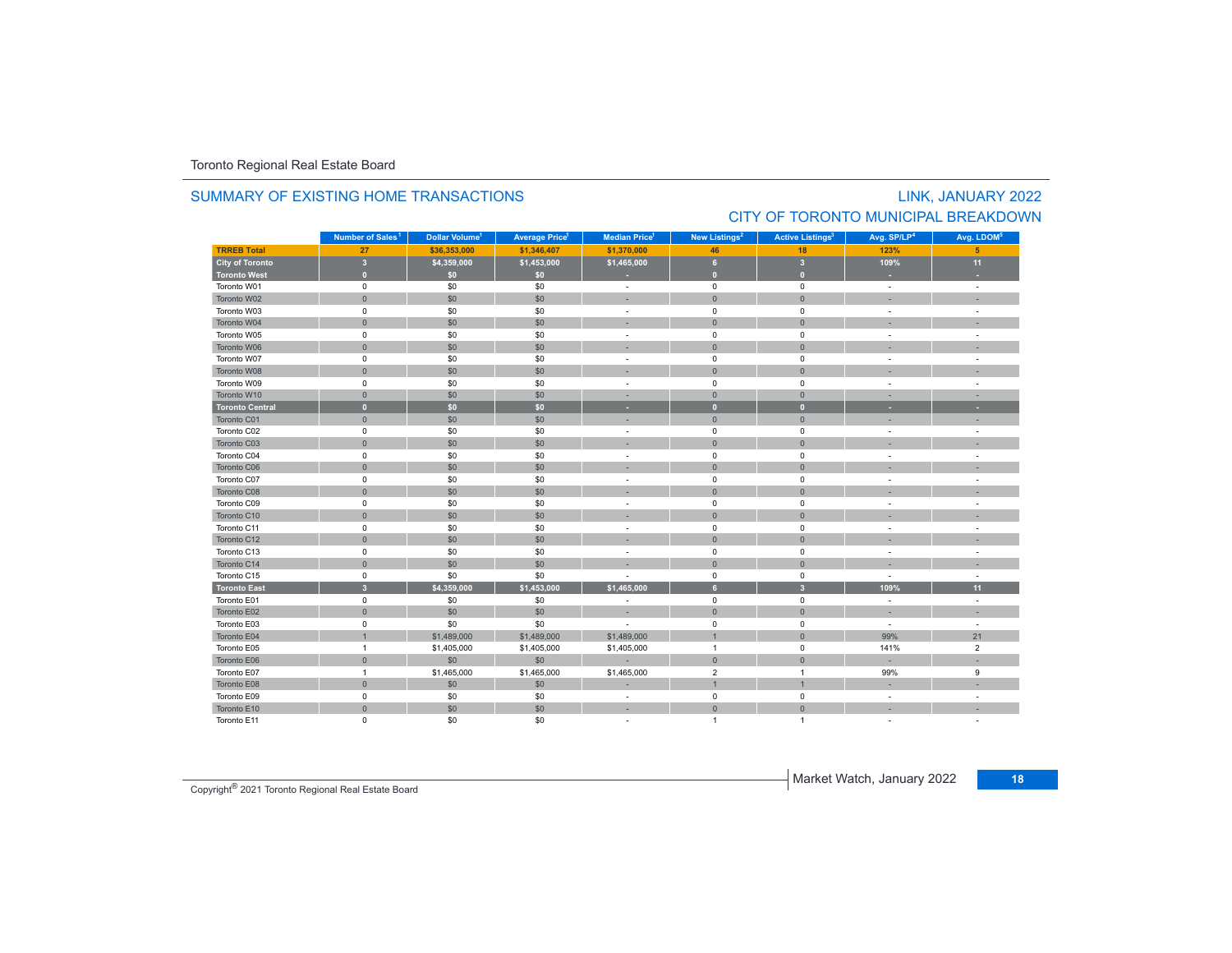#### SUMMARY OF EXISTING HOME TRANSACTIONS

# LINK, JANUARY 2022 CITY OF TORONTO MUNICIPAL BREAKDOWN

|                        | Number of Sales <sup>1</sup> | Dollar Volume <sup>1</sup> | <b>Average Price</b> | <b>Median Price</b> <sup>1</sup> | New Listings <sup>2</sup> | <b>Active Listings<sup>3</sup></b> | Avg. SP/LP <sup>4</sup>  | Avg. LDOM <sup>5</sup> |
|------------------------|------------------------------|----------------------------|----------------------|----------------------------------|---------------------------|------------------------------------|--------------------------|------------------------|
| <b>TRREB Total</b>     | 27                           | \$36,353,000               | \$1,346,407          | \$1,370,000                      | 46                        | 18                                 | 123%                     | 5                      |
| City of Toronto        | $\overline{\mathbf{3}}$      | \$4,359,000                | \$1,453,000          | \$1,465,000                      | 6                         | $\overline{\mathbf{3}}$            | 109%                     | 11                     |
| <b>Toronto West</b>    | $\bullet$                    | \$0\$                      | \$0                  |                                  | $\overline{0}$            | $\mathbf{0}$                       |                          |                        |
| Toronto W01            | $\mathsf 0$                  | \$0                        | \$0                  | $\sim$                           | $\mathsf 0$               | $\mathbf 0$                        | $\overline{\phantom{a}}$ | $\sim$                 |
| Toronto W02            | $\mathsf{O}\xspace$          | \$0                        | \$0                  |                                  | $\mathbf{0}$              | $\mathbf{0}$                       |                          |                        |
| Toronto W03            | $\mathsf 0$                  | \$0                        | \$0                  | ٠                                | $\mathbf 0$               | $\mathbf 0$                        | ÷.                       | ä,                     |
| Toronto W04            | $\mathbf{0}$                 | \$0                        | \$0                  |                                  | $\mathbf 0$               | $\mathbf{0}$                       |                          |                        |
| Toronto W05            | $\mathsf 0$                  | \$0                        | \$0                  |                                  | $\mathsf 0$               | $\mathbf 0$                        |                          |                        |
| Toronto W06            | $\mathbf{0}$                 | \$0                        | \$0                  |                                  | $\overline{0}$            | $\mathbf{0}$                       |                          |                        |
| Toronto W07            | $\pmb{0}$                    | \$0                        | \$0                  |                                  | $\mathbf 0$               | $\mathbf 0$                        |                          |                        |
| Toronto W08            | $\mathbf{0}$                 | \$0                        | \$0                  |                                  | $\mathbf{0}$              | $\Omega$                           |                          |                        |
| Toronto W09            | $\mathsf 0$                  | \$0                        | \$0                  |                                  | $\mathbf 0$               | $^{\circ}$                         | $\overline{\phantom{a}}$ |                        |
| Toronto W10            | $\mathbf{0}$                 | \$0                        | \$0                  | $\sim$                           | $\mathbf{0}$              | $\overline{0}$                     | $\overline{\phantom{a}}$ |                        |
| <b>Toronto Central</b> | $\bullet$                    | \$0                        | \$0                  | ٠                                | $\mathbf{0}$              | $\mathbf{0}$                       |                          | ٠                      |
| Toronto C01            | $\mathbf{0}$                 | \$0                        | \$0                  |                                  | $\mathbf{0}$              | $\overline{0}$                     |                          |                        |
| Toronto C02            | $\mathbf 0$                  | \$0                        | \$0                  | $\overline{\phantom{a}}$         | $\mathbf 0$               | $\mathbf 0$                        | $\overline{\phantom{a}}$ | $\sim$                 |
| Toronto C03            | $\mathbf{0}$                 | \$0                        | \$0                  |                                  | $\mathbf 0$               | $\mathbf{0}$                       |                          |                        |
| Toronto C04            | $\mathsf 0$                  | \$0                        | \$0                  |                                  | $\mathbf 0$               | $\mathbf 0$                        |                          |                        |
| Toronto C06            | $\mathsf{O}\xspace$          | \$0                        | \$0                  |                                  | $\mathbf{0}$              | $\overline{0}$                     |                          |                        |
| Toronto C07            | $\pmb{0}$                    | \$0                        | \$0                  |                                  | $\mathbf 0$               | $\mathbf 0$                        |                          |                        |
| Toronto C08            | $\mathbf{0}$                 | \$0                        | \$0                  |                                  | $\overline{0}$            | $\overline{0}$                     |                          |                        |
| Toronto C09            | $\pmb{0}$                    | \$0                        | \$0                  |                                  | $\mathbf 0$               | $\mathbf 0$                        |                          |                        |
| Toronto C10            | $\mathsf{O}\xspace$          | \$0                        | \$0                  |                                  | $\mathbf 0$               | $\mathbf{0}$                       |                          |                        |
| Toronto C11            | $\pmb{0}$                    | \$0                        | \$0                  |                                  | $\mathsf 0$               | $\mathbf 0$                        |                          |                        |
| Toronto C12            | $\mathbf{0}$                 | \$0                        | \$0                  |                                  | $\mathbf 0$               | $\mathbf{0}$                       |                          |                        |
| Toronto C13            | $\mathsf 0$                  | \$0                        | \$0                  | $\sim$                           | $\mathbf 0$               | $\mathbf 0$                        | $\sim$                   | ÷.                     |
| Toronto C14            | $\mathsf{O}\xspace$          | \$0                        | \$0                  |                                  | $\mathbf{0}$              | $\mathbf{0}$                       |                          |                        |
| Toronto C15            | $\mathsf 0$                  | \$0                        | \$0                  |                                  | $\mathbf 0$               | $\mathbf 0$                        |                          |                        |
| <b>Toronto East</b>    | $\overline{\mathbf{3}}$      | \$4,359,000                | \$1,453,000          | \$1,465,000                      | 6                         | 3                                  | 109%                     | 11                     |
| Toronto E01            | $\mathsf 0$                  | \$0                        | \$0                  |                                  | $\mathbf 0$               | $\mathbf 0$                        |                          |                        |
| Toronto E02            | $\mathbf{0}$                 | \$0                        | \$0                  |                                  | $\mathbf{0}$              | $\mathbf{0}$                       |                          |                        |
| Toronto E03            | $\pmb{0}$                    | \$0                        | \$0                  |                                  | $\mathbf 0$               | $\mathsf 0$                        | $\sim$                   | $\sim$                 |
| Toronto E04            | $\overline{1}$               | \$1,489,000                | \$1,489,000          | \$1,489,000                      | $\overline{1}$            | $\mathbf{0}$                       | 99%                      | 21                     |
| Toronto E05            | $\mathbf{1}$                 | \$1,405,000                | \$1,405,000          | \$1,405,000                      | $\overline{1}$            | $\mathbf 0$                        | 141%                     | $\overline{2}$         |
| Toronto E06            | $\mathbf{0}$                 | \$0                        | \$0                  |                                  | $\mathbf{0}$              | $\mathbf{0}$                       |                          |                        |
| Toronto E07            | $\overline{1}$               | \$1,465,000                | \$1,465,000          | \$1,465,000                      | $\overline{2}$            | $\overline{1}$                     | 99%                      | 9                      |
| Toronto E08            | $\mathbf{0}$                 | \$0                        | \$0                  |                                  | $\overline{1}$            | $\overline{1}$                     |                          |                        |
| Toronto E09            | $\mathbf 0$                  | \$0                        | \$0                  | $\sim$                           | $\mathbf 0$               | $\mathbf 0$                        | $\sim$                   |                        |
| Toronto E10            | $\mathsf{O}\xspace$          | \$0                        | \$0                  | $\sim$                           | $\mathbf{0}$              | $\mathbf{0}$                       |                          |                        |
| Toronto E11            | $\mathbf 0$                  | \$0                        | \$0                  |                                  | $\overline{1}$            | $\overline{1}$                     |                          |                        |

**Market Watch, January 2022** 17 Copyright<sup>®</sup> 2021 Toronto Regional Real Estate Board 18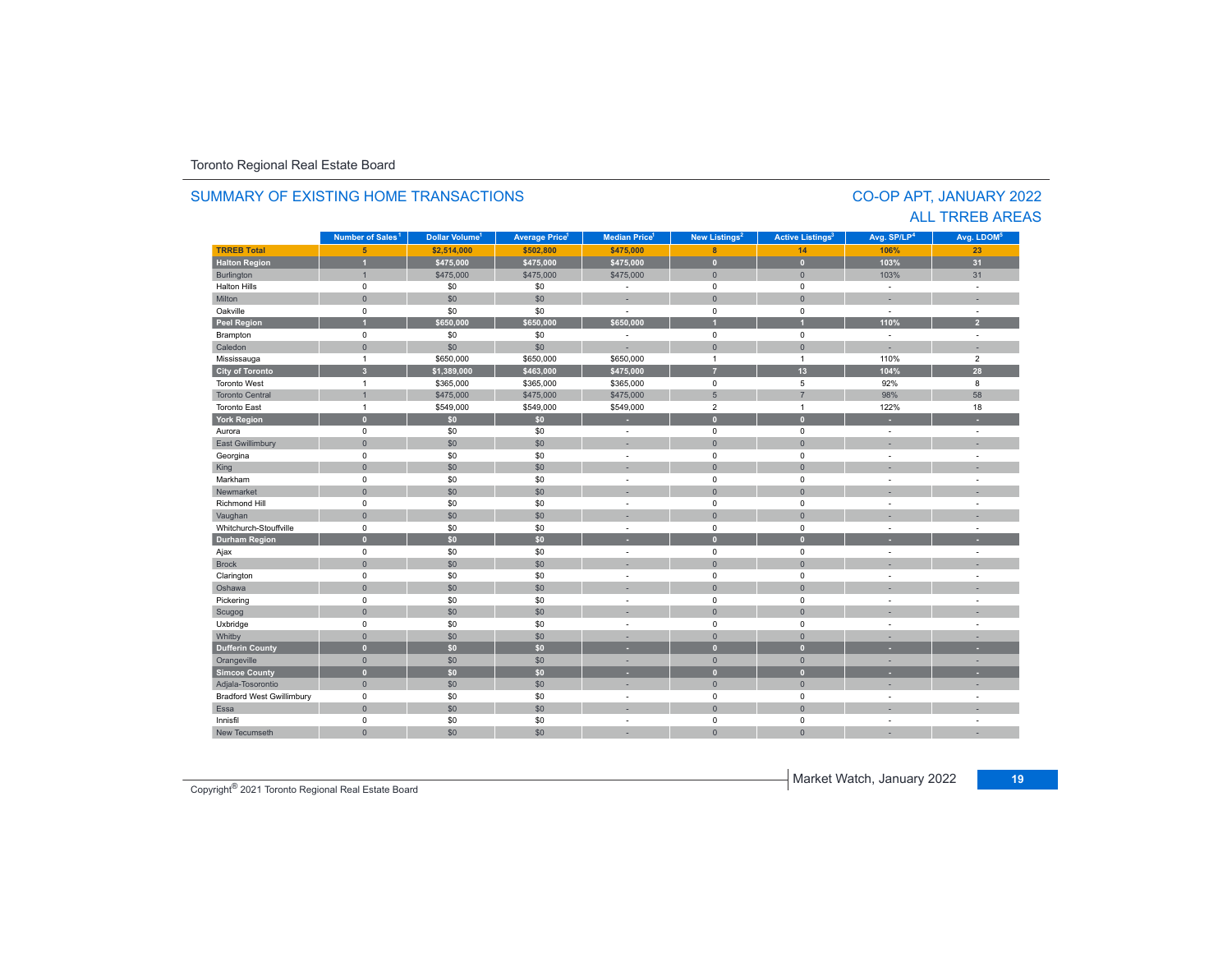#### **TRREB Total 5 \$2,514,000 \$502,800 \$475,000 8 14 106% 23 Halton Region 1 \$475,000 \$475,000 \$475,000 0 0 103% 31** Burlington 1 : 1 : 1 : \$475,000 \$475,000 \$475,000 \$475,000 \$475,000 \$475,000 \$1 : 31 Halton Hills 0 \$0 \$0 - 0 0 - - Miltonn 1980 - 1991 - 1992 - 1993 - 1994 - 1994 - 1995 - 1996 - 1997 - 1998 - 1999 - 1999 - 1999 - 1999 - 1999 - 199 Oakville<br>Peel Region e 0 \$0 \$0 - 0 0 - -**Peel Region 1 \$650,000 \$650,000 \$650,000 1 1 110% 2** Brampton 0 \$0 \$0 - 0 0 - - Caledonn 1980 - 1980 - 1980 - 1981 - 1981 - 1982 - 1983 - 1984 - 1986 - 1987 - 1988 - 1988 - 1988 - 1988 - 1988 - 198 Mississauga 1 \$650,000 \$650,000 \$650,000 1 1 110% 2 **City of Toronto 3 \$1,389,000 \$463,000 \$475,000 7 13 104% 28** Toronto Westt and  $\sim$  1 \$365,000 \$365,000 \$365,000 0 5 92%92% 8<br>98% 58 Toronto Central 1 \$475,000 \$475,000 \$475,000 5 7 98% 58 Toronto Eastt 1 \$549,000 \$549,000 \$549,000 2 1 122%122% 18 **York Region 0 \$0 \$0 - 0 0 - -** Aurora 0 \$0 \$0 - 0 0 - - East Gwillimbury 0 \$0 \$0 - 0 0 - - Georgina 0 \$0 \$0 - 0 0 - - King 0 \$0 \$0 - 0 0 - - Markham 0 \$0 \$0 - 0 0 - - Newmarket 0 \$0 \$0 - 0 0 - - Richmond Hill 0 \$0 \$0 - 0 0 - - Vaughan 0 \$0 \$0 - 0 0 - - Whitchurch-Stouffvillee 0 \$0 \$0 - 0 0 - -**Durham Region 0 \$0 \$0 - 0 0 - -** Ajax 0 \$0 \$0 - 0 0 - - Brock 0 \$0 \$0 - 0 0 - - Clarington 0 \$0 \$0 - 0 0 - - Oshawaa dia 1980 - Aniso ao amin'ny faritr'i Nouvelle-Aquitaine, ao amin'ny faritr'i Nouvelle-Aquitaine, ao amin'ny المال المسابق التي يقوم التي يقوم التي يقوم التي يقوم التي يقوم التي يقوم التي تعليم التي تعليم التي يقوم التي<br>التي يقوم التي يقوم التي يقوم التي يقوم التي يقوم التي يقوم التي يقوم التي يقوم التي يقوم التي يقوم التي يقوم Scugog 0 \$0 \$0 - 0 0 - - Uxbridge 0 \$0 \$0 - 0 0 - - Whitby 0 \$0 \$0 - 0 0 - - **Dufferin County 0 \$0 \$0 - 0 0 - -** Orangeville 0 \$0 \$0 - 0 0 - - **Simcoe County 0 \$0 \$0 - 0 0 - -** Adjala-Tosorontio 0 \$0 \$0 - 0 0 - - Bradford West Gwillimbury 0 \$0 \$0 - 0 0 - - Essaa dia 1980 - Aniso ao amin'ny faritr'i Nouvelle-Aquitaine, ao amin'ny faritr'i Nouvelle-Aquitaine, ao amin'ny Innisfil 0 \$0 \$0 - 0 0 - - New Tecumseth 0 \$0 \$0 - 0 0 - - **Municipality Number of Sales Dollar Volume Average Price Median Price New Listings Active Listings Avg. SP/LP Avg. LDOM Number of Sales<sup>1</sup> 1 1 1 2 3 4 5**

#### SUMMARY OF EXISTING HOME TRANSACTIONS

CO-OP APT, JANUARY 2022 ALL TRREB AREAS

**Market Watch, January 2022** 19 Copyright<sup>®</sup> 2021 Toronto Regional Real Estate Board<br> **19** Copyright® 2021 Toronto Regional Real Estate Board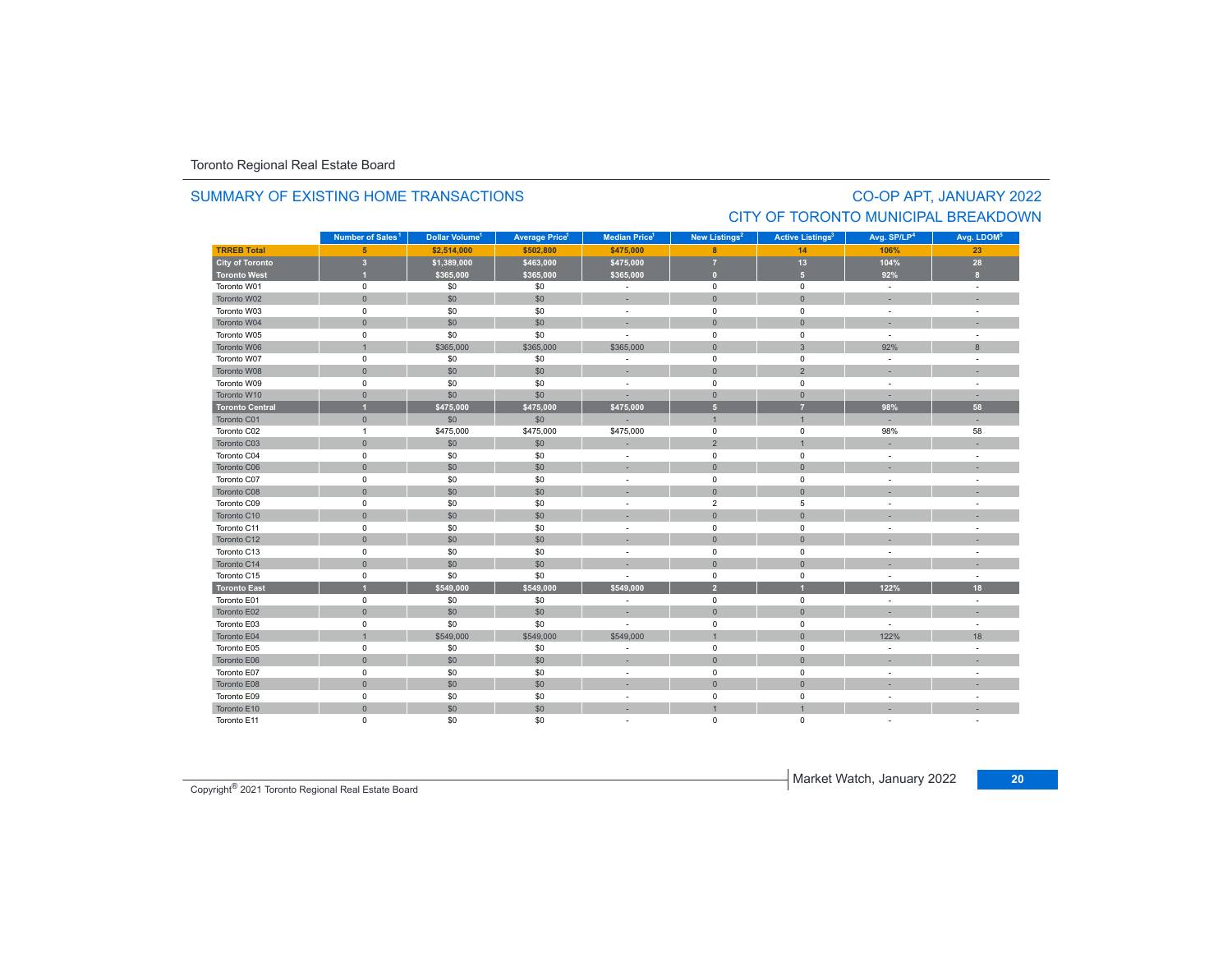#### SUMMARY OF EXISTING HOME TRANSACTIONS

# CO-OP APT, JANUARY 2022 CITY OF TORONTO MUNICIPAL BREAKDOWN

|                        | Number of Sales <sup>1</sup> | Dollar Volume <sup>1</sup> | <b>Average Price<sup>1</sup></b> | <b>Median Price</b> <sup>1</sup> | New Listings <sup>2</sup> | <b>Active Listings<sup>3</sup></b> | Avg. SP/LP <sup>4</sup>  | Avg. LDOM <sup>5</sup> |
|------------------------|------------------------------|----------------------------|----------------------------------|----------------------------------|---------------------------|------------------------------------|--------------------------|------------------------|
| <b>TRREB Total</b>     | 5 <sup>5</sup>               | \$2,514,000                | \$502,800                        | \$475,000                        | 8                         | 14                                 | 106%                     | 23                     |
| <b>City of Toronto</b> | $\overline{\mathbf{3}}$      | \$1,389,000                | \$463,000                        | \$475,000                        | $\overline{7}$            | 13                                 | 104%                     | 28                     |
| <b>Toronto West</b>    | $\overline{1}$               | \$365,000                  | \$365,000                        | \$365,000                        | $\overline{0}$            | 5 <sup>1</sup>                     | 92%                      | $\mathbf{8}$           |
| Toronto W01            | $\mathbf 0$                  | \$0                        | \$0                              | $\blacksquare$                   | $\mathsf 0$               | $\mathbf 0$                        | $\sim$                   | $\sim$                 |
| Toronto W02            | $\mathsf{O}\xspace$          | \$0                        | \$0                              | ×,                               | $\mathbf{0}$              | $\overline{0}$                     |                          |                        |
| Toronto W03            | $\mathsf 0$                  | \$0                        | \$0                              | $\overline{\phantom{a}}$         | $\mathsf 0$               | $\mathbf 0$                        | $\overline{\phantom{a}}$ |                        |
| Toronto W04            | $\mathsf{O}\xspace$          | \$0                        | \$0                              | ٠                                | $\overline{0}$            | $\Omega$                           |                          |                        |
| Toronto W05            | $\mathsf 0$                  | \$0                        | \$0                              | ä,                               | $\mathsf 0$               | $\mathsf 0$                        | $\sim$                   |                        |
| Toronto W06            | $\mathbf{1}$                 | \$365,000                  | \$365,000                        | \$365,000                        | $\overline{0}$            | $\overline{3}$                     | 92%                      | 8                      |
| Toronto W07            | $\mathsf 0$                  | \$0                        | \$0                              | ٠                                | $\mathbf 0$               | $\mathbf 0$                        | $\sim$                   | $\overline{a}$         |
| Toronto W08            | $\mathbf 0$                  | \$0                        | \$0                              | ٠                                | $\mathbf 0$               | $\overline{2}$                     |                          |                        |
| Toronto W09            | $\mathsf 0$                  | \$0                        | \$0                              | $\sim$                           | $\mathsf 0$               | $\mathsf 0$                        | $\sim$                   | $\sim$                 |
| Toronto W10            | $\mathbf{0}$                 | \$0                        | \$0                              | ×.                               | $\mathbf{0}$              | $\mathbf{0}$                       | $\overline{\phantom{a}}$ | ÷                      |
| <b>Toronto Central</b> | $\overline{1}$               | \$475,000                  | \$475,000                        | \$475,000                        | 5 <sup>5</sup>            | $\overline{7}$                     | 98%                      | 58                     |
| Toronto C01            | $\mathsf{O}\xspace$          | \$0                        | \$0                              |                                  | $\overline{1}$            | $\overline{1}$                     |                          |                        |
| Toronto C02            | $\overline{1}$               | \$475,000                  | \$475,000                        | \$475,000                        | $\mathsf 0$               | $\mathsf 0$                        | 98%                      | 58                     |
| Toronto C03            | $\mathsf{O}\xspace$          | \$0                        | \$0                              |                                  | $\overline{2}$            | $\overline{1}$                     |                          |                        |
| Toronto C04            | $\mathbf 0$                  | \$0                        | \$0                              | $\sim$                           | $\mathsf 0$               | $\mathbf 0$                        | $\sim$                   | ÷                      |
| Toronto C06            | $\mathbf 0$                  | \$0                        | \$0                              | ×,                               | $\mathbf{0}$              | $\overline{0}$                     |                          |                        |
| Toronto C07            | $\mathsf 0$                  | \$0                        | \$0                              | ٠                                | $\mathsf 0$               | $\mathbf 0$                        |                          |                        |
| Toronto C08            | $\mathbf{0}$                 | \$0                        | \$0                              | ×                                | $\overline{0}$            | $\overline{0}$                     |                          |                        |
| Toronto C09            | 0                            | \$0                        | \$0                              | $\overline{\phantom{a}}$         | $\overline{2}$            | 5                                  |                          | $\sim$                 |
| Toronto C10            | $\mathbf 0$                  | \$0                        | \$0                              |                                  | $\mathbf{0}$              | $\overline{0}$                     |                          |                        |
| Toronto C11            | $\mathsf 0$                  | \$0                        | \$0                              | ٠                                | $\mathsf 0$               | $\mathbf 0$                        |                          |                        |
| Toronto C12            | $\mathbf{0}$                 | \$0                        | \$0                              |                                  | $\overline{0}$            | $\overline{0}$                     |                          |                        |
| Toronto C13            | $\mathbf 0$                  | \$0                        | \$0                              | $\sim$                           | $\mathbf 0$               | $\mathbf 0$                        | $\sim$                   | ÷                      |
| Toronto C14            | $\mathsf{O}\xspace$          | \$0                        | \$0                              |                                  | $\mathsf{O}\xspace$       | $\mathsf{O}\xspace$                |                          |                        |
| Toronto C15            | $\mathsf 0$                  | \$0                        | \$0                              |                                  | $\mathsf 0$               | 0                                  | ÷                        | ÷.                     |
| <b>Toronto East</b>    | $\overline{1}$               | \$549,000                  | \$549,000                        | \$549,000                        | $\overline{2}$            |                                    | 122%                     | 18                     |
| Toronto E01            | $\mathsf 0$                  | \$0                        | \$0                              | ٠                                | $\mathbf 0$               | $\mathbf 0$                        | $\sim$                   | ÷.                     |
| Toronto E02            | $\mathsf{O}\xspace$          | \$0                        | \$0                              | ×.                               | $\overline{0}$            | $\overline{0}$                     |                          |                        |
| Toronto E03            | $\mathsf 0$                  | \$0                        | \$0                              | ä,                               | $\mathbf 0$               | $\mathbf 0$                        | $\sim$                   | $\sim$                 |
| Toronto E04            | $\overline{1}$               | \$549,000                  | \$549,000                        | \$549,000                        | $\overline{1}$            | $\overline{0}$                     | 122%                     | 18                     |
| Toronto E05            | $\mathsf 0$                  | \$0                        | \$0                              | ä,                               | $\mathsf 0$               | $\mathsf 0$                        | $\sim$                   |                        |
| Toronto E06            | $\mathsf{O}\xspace$          | \$0                        | \$0                              | ×,                               | $\mathbf{0}$              | $\overline{0}$                     |                          |                        |
| Toronto E07            | 0                            | \$0                        | \$0                              | ÷.                               | $\mathsf 0$               | $\mathbf 0$                        | $\sim$                   | ä,                     |
| Toronto E08            | $\mathsf{O}\xspace$          | \$0                        | \$0                              |                                  | $\mathbf{0}$              | $\overline{0}$                     |                          |                        |
| Toronto E09            | $\mathsf 0$                  | \$0                        | \$0                              | $\overline{\phantom{a}}$         | $\mathbf 0$               | $\mathbf 0$                        |                          |                        |
| Toronto E10            | $\mathsf{O}\xspace$          | \$0                        | \$0                              | ×                                |                           |                                    |                          |                        |
| Toronto E11            | 0                            | \$0                        | \$0                              |                                  | $\mathbf 0$               | 0                                  |                          |                        |

Market Watch, January 2022 **<sup>20</sup>** Copyright® 2021 Toronto Regional Real Estate Board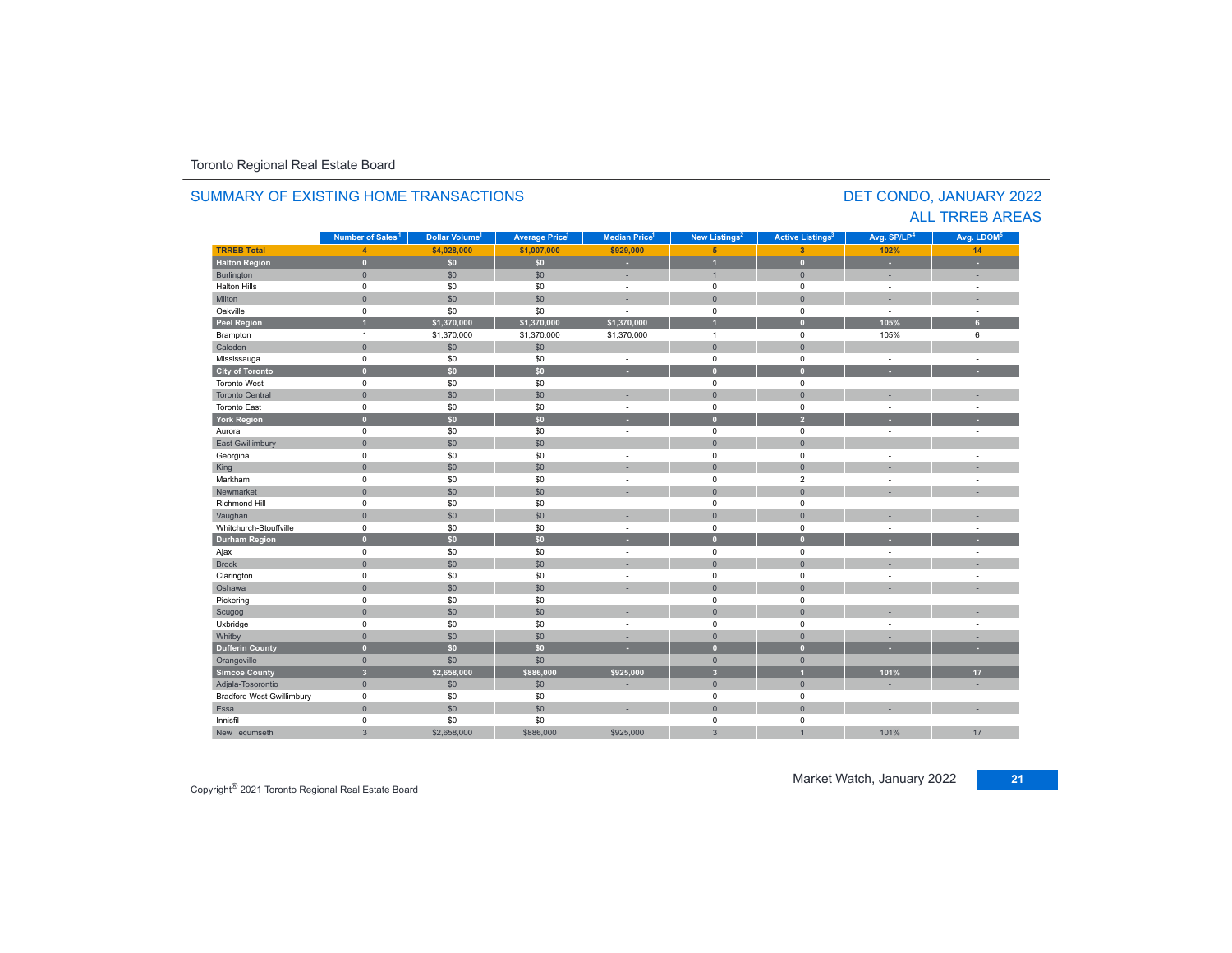#### **TR5EB Total 4 \$4,028,000 \$1,007,000 \$929,000 5 3 102%102%** 14 **Halton Region 0 \$0 \$0 - 1 0 - -** Burlington 0 \$0 \$0 - 1 0 - - Halton Hills 0 \$0 \$0 - 0 0 - - Miltonn 1980 - 1991 - 1992 - 1993 - 1994 - 1994 - 1995 - 1996 - 1997 - 1998 - 1999 - 1999 - 1999 - 1999 - 1999 - 199 Oakville<br>Peel Region e 0 \$0 \$0 - 0 0 - -**Peel Region 1 \$1,370,000 \$1,370,000 \$1,370,000 1 0 105% 6** Brampton 1 \$1,370,000 \$1,370,000 \$1,370,000 1 0 105% 6 Caledonn 1980 - 1980 - 1980 - 1981 - 1981 - 1982 - 1983 - 1984 - 1986 - 1987 - 1988 - 1988 - 1988 - 1988 - 1988 - 198 Mississauga 0 \$0 \$0 - 0 0 - - **City of Toronto 0 \$0 \$0 - 0 0 - -** Toronto West 0 \$0 \$0 - 0 0 - - Toronto Central 0 \$0 \$0 - 0 0 - - Toronto East 0 \$0 \$0 - 0 0 - - **York Region 0 \$0 \$0 - 0 2 - -** Aurora 0 \$0 \$0 - 0 0 - - East Gwillimbury 0 \$0 \$0 - 0 0 - - Georgina 0 \$0 \$0 - 0 0 - - King the second term of the second term of the second term of the second term of the second term of the second Markham 0 \$0 \$0 - 0 2 - - Newmarket 0 \$0 \$0 - 0 0 - - Richmond Hill 0 \$0 \$0 - 0 0 - - Vaughan 1980 (1980) (1980) (1980) (1980) (1980) (1980) (1980) (1980) (1980) (1980) (1980) (1980) (1980) (1980) Whitchurch-Stouffvillee 0 \$0 \$0 - 0 0 - -**Durham Region 0 \$0 \$0 - 0 0 - -** Ajax 0 \$0 \$0 - 0 0 - - Brock 0 \$0 \$0 - 0 0 - - Clarington 0 \$0 \$0 - 0 0 - - Oshawaa dia 1980 - Aniso ao amin'ny faritr'i Nouvelle-Aquitaine, ao amin'ny faritr'i Nouvelle-Aquitaine, ao amin'ny المال المسابق التي يقوم المسابق التي يقوم التي يقوم التي يقوم التي يقوم التي تعالى التي يقوم التي تعالى التي ي<br>التي يقوم التي يقوم التي يقوم التي يقوم التي يقوم التي يقوم التي يقوم التي يقوم التي يقوم التي يقوم التي يقوم Scugog 0 \$0 \$0 - 0 0 - - Uxbridge 0 \$0 \$0 - 0 0 - - Whitby 0 \$0 \$0 - 0 0 - - **Dufferin County 0 \$0 \$0 - 0 0 - -** Orangeville 0 \$0 \$0 - 0 0 - - **Simcoe County 3 \$2,658,000 \$886,000 \$925,000 3 1 101% 17** Adjala-Tosorontio 0 \$0 \$0 - 0 0 - - Bradford West Gwillimbury 0 \$0 \$0 - 0 0 - - Essaa dia 1980 - Aniso ao amin'ny faritr'i Nouvelle-Aquitaine, ao amin'ny faritr'i Nouvelle-Aquitaine, ao amin'ny Innisfil 0 \$0 \$0 - 0 0 - - New Tecumseth101% 17 **Municipality Number of Sales Dollar Volume Average Price Median Price New Listings Active Listings Avg. SP/LP Avg. LDOM Number of Sales<sup>1</sup> 1** Dollar Volume<sup>1</sup> | Average Price<sup>1</sup> | Median Price<sup>1</sup> | New Listings<sup>2</sup> | Active Listings<sup>2</sup> | Avg. SP/LP<sup>4</sup> | Avg. LDOM<sup>5</sup>

h | 3 \$2,658,000 \$886,000 | \$925,000 | 3 1 101%

#### SUMMARY OF EXISTING HOME TRANSACTIONS

DET CONDO, JANUARY 2022 ALL TRREB AREAS

Market Watch, January 2022 **<sup>21</sup>** Copyright® 2021 Toronto Regional Real Estate Board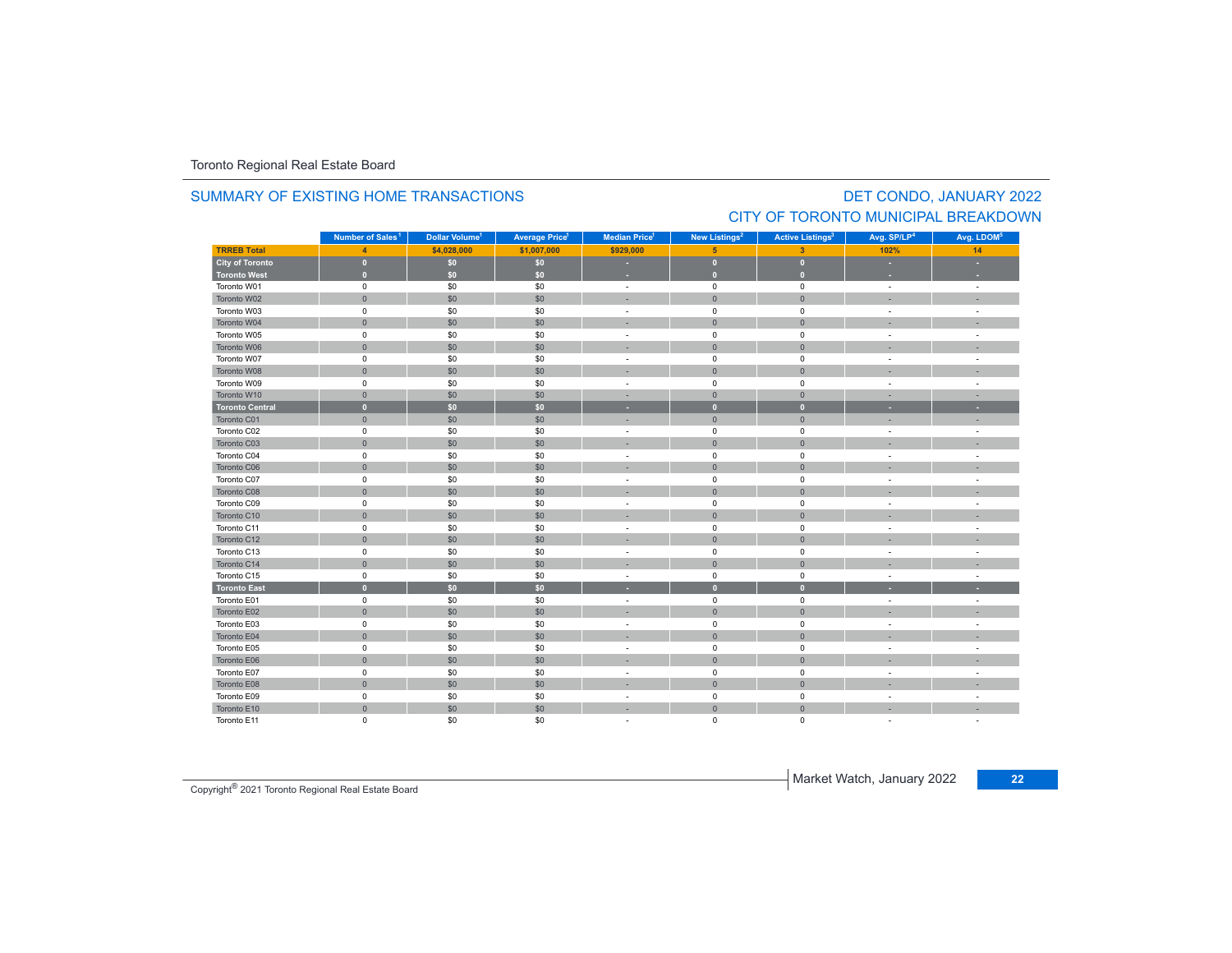#### **TRREB Total 4 \$4,028,000 \$1,007,000 \$929,000 5 3 102% 14 City of Toronto 0 \$0 \$0 - 0 0 - - Toronto West 0 \$0 \$0 - 0 0 - -** Toronto W01 $1$  and the contract of the contract of the contract of the contract of the contract of the contract of the contract of the contract of the contract of the contract of the contract of the contract of the contract of the c Toronto W022 - 1 0 - 1 - 50 - 50 - 50 - 1 - 0 - 1 - 0 - 1 - - 1 - -Toronto W03 $\begin{matrix} 3 \end{matrix}$  and the  $\begin{matrix} 0 \end{matrix}$  of  $\begin{matrix} 60 \end{matrix}$  ,  $\begin{matrix} 50 \end{matrix}$  ,  $\begin{matrix} 50 \end{matrix}$  , and  $\begin{matrix} 0 \end{matrix}$  , and  $\begin{matrix} 0 \end{matrix}$  , and  $\begin{matrix} 0 \end{matrix}$  , and  $\begin{matrix} 0 \end{matrix}$  , and  $\begin{matrix} 0 \end{matrix}$  , and  $\begin{matrix} 0 \end{matrix}$  , Toronto W044 0 0 0 \$0 \$0 \$0 0 - 0 0 0 0 - 1 Toronto W055 0 0 - 50 50 50 - 0 0 0 - 1 Toronto W066 - 1 0 - 1 - 50 - 50 - 50 - 50 - 0 - 0 - 0 - 1 - - 1 - -Toronto W07 $\begin{matrix}7\end{matrix}$  , the contract of the contract of the contract of the contract of the contract of the contract of the contract of the contract of the contract of the contract of the contract of the contract of the contract Toronto W088 - 1 0 | \$0 | \$0 | - - | 0 | 0 | - - | -Toronto W09 $\begin{matrix} 9 & 0 & 0 \end{matrix}$  , and  $\begin{matrix} 60 & 50 \end{matrix}$  , and  $\begin{matrix} 50 & 0 \end{matrix}$  , and  $\begin{matrix} 0 & 0 \end{matrix}$  , and  $\begin{matrix} 0 & 0 \end{matrix}$  , and  $\begin{matrix} 0 & 0 \end{matrix}$  , and  $\begin{matrix} 0 & 0 \end{matrix}$  , and  $\begin{matrix} 0 & 0 \end{matrix}$  , and  $\begin{matrix} 0 & 0 \end{matrix}$  , and Toronto W10 0 \$0 \$0 - 0 0 - - **Toronto Central 0 \$0 \$0 - 0 0 - -** Toronto C01 0 \$0 \$0 - 0 0 - - Toronto C02 0 \$0 \$0 - 0 0 - - Toronto C03 0 \$0 \$0 - 0 0 - - Toronto C04 0 \$0 \$0 - 0 0 - - Toronto C06 0 \$0 \$0 - 0 0 - - Toronto C07 0 \$0 \$0 - 0 0 - - Toronto C08 0 \$0 \$0 - 0 0 - - Toronto C09 0 \$0 \$0 - 0 0 - - Toronto C10 0 \$0 \$0 - 0 0 - - Toronto C11 $\begin{matrix}0\end{matrix} \hspace{1.5cm} \begin{matrix}0\end{matrix} \hspace{1.5cm} \begin{matrix}0\end{matrix} \hspace{1.5cm} \begin{matrix}0\end{matrix} \hspace{1.5cm} \begin{matrix}0\end{matrix} \hspace{1.5cm} \begin{matrix}0\end{matrix} \hspace{1.5cm} \begin{matrix}0\end{matrix} \hspace{1.5cm} \begin{matrix}0\end{matrix} \hspace{1.5cm} \begin{matrix}0\end{matrix} \hspace{1.5cm} \begin{matrix}0\end{matrix} \hspace{1.5cm} \begin{matrix}0\end{matrix} \hspace{1.5cm}$ Toronto C12 0 \$0 \$0 - 0 0 - - Toronto C13 $\begin{matrix}3\end{matrix}$  and the  $\begin{matrix}0\end{matrix}$  of  $\begin{matrix}0\end{matrix}$  ,  $\begin{matrix}0\end{matrix}$  ,  $\begin{matrix}0\end{matrix}$  ,  $\begin{matrix}0\end{matrix}$  ,  $\begin{matrix}0\end{matrix}$  ,  $\begin{matrix}0\end{matrix}$  ,  $\begin{matrix}0\end{matrix}$  ,  $\begin{matrix}0\end{matrix}$  ,  $\begin{matrix}0\end{matrix}$  ,  $\begin{matrix}0\end{matrix}$  ,  $\begin{matrix}0\end{matrix}$  ,  $\begin{matrix}$ Toronto C14 0 \$0 \$0 - 0 0 - - Toronto C155 5 0 50 50 50 - 0 0 0 - 1 **Toronto East 0 \$0 \$0 - 0 0 - -** Toronto E01 $\begin{matrix}0\end{matrix}$  , and  $\begin{matrix}0\end{matrix}$  , and  $\begin{matrix}0\end{matrix}$  , and  $\begin{matrix}0\end{matrix}$  , and  $\begin{matrix}0\end{matrix}$  , and  $\begin{matrix}0\end{matrix}$  , and  $\begin{matrix}0\end{matrix}$  , and  $\begin{matrix}0\end{matrix}$  , and  $\begin{matrix}0\end{matrix}$  , and  $\begin{matrix}0\end{matrix}$  , and  $\begin{matrix}0\end{matrix}$  , and Toronto E02 0 \$0 \$0 - 0 0 - - Toronto E03 $\begin{matrix} 3 \end{matrix}$  and  $\begin{matrix} 0 \end{matrix}$  and  $\begin{matrix} 50 \end{matrix}$  and  $\begin{matrix} 50 \end{matrix}$  and  $\begin{matrix} 0 \end{matrix}$  and  $\begin{matrix} 0 \end{matrix}$  and  $\begin{matrix} 0 \end{matrix}$  and  $\begin{matrix} 0 \end{matrix}$  and  $\begin{matrix} 0 \end{matrix}$  and  $\begin{matrix} 0 \end{matrix}$  and  $\begin{matrix} 0 \end{matrix}$  and  $\begin{matrix} 0 \end$ Toronto E04 0 \$0 \$0 - 0 0 - - Toronto E05 0 \$0 \$0 - 0 0 - - **Municipality Number of Sales Dollar Volume Average Price Median Price New Listings Active Listings Avg. SP/LP Avg. LDOM** DET CONDO, JANUARY 2022 **Number of Sales<sup>1</sup> 1 1 1 2 3 4 5**

6 - 1 0 - 1 30 30 30 - 1 0 0 0 0 - 1 - 1

0 \$0 \$0 - 0 0 - -

8 - 0 - 1 - 50 - 50 - 50 - - 1 - 0 - 1 - 0 - 1 - - 1 - -

 $0$  50 50 50 - 0 0 -  $1$ 

0 \$0 \$0 - 0 0 - -

0 \$0 \$0 - 0 0 - -

#### SUMMARY OF EXISTING HOME TRANSACTIONS

# CITY OF TORONTO MUNICIPAL BREAKDOWN

Market Watch, January 2022 **<sup>22</sup>** Copyright® 2021 Toronto Regional Real Estate Board

Toronto E06

Toronto E07

Toronto E08

Toronto E09

Toronto E10

Toronto E11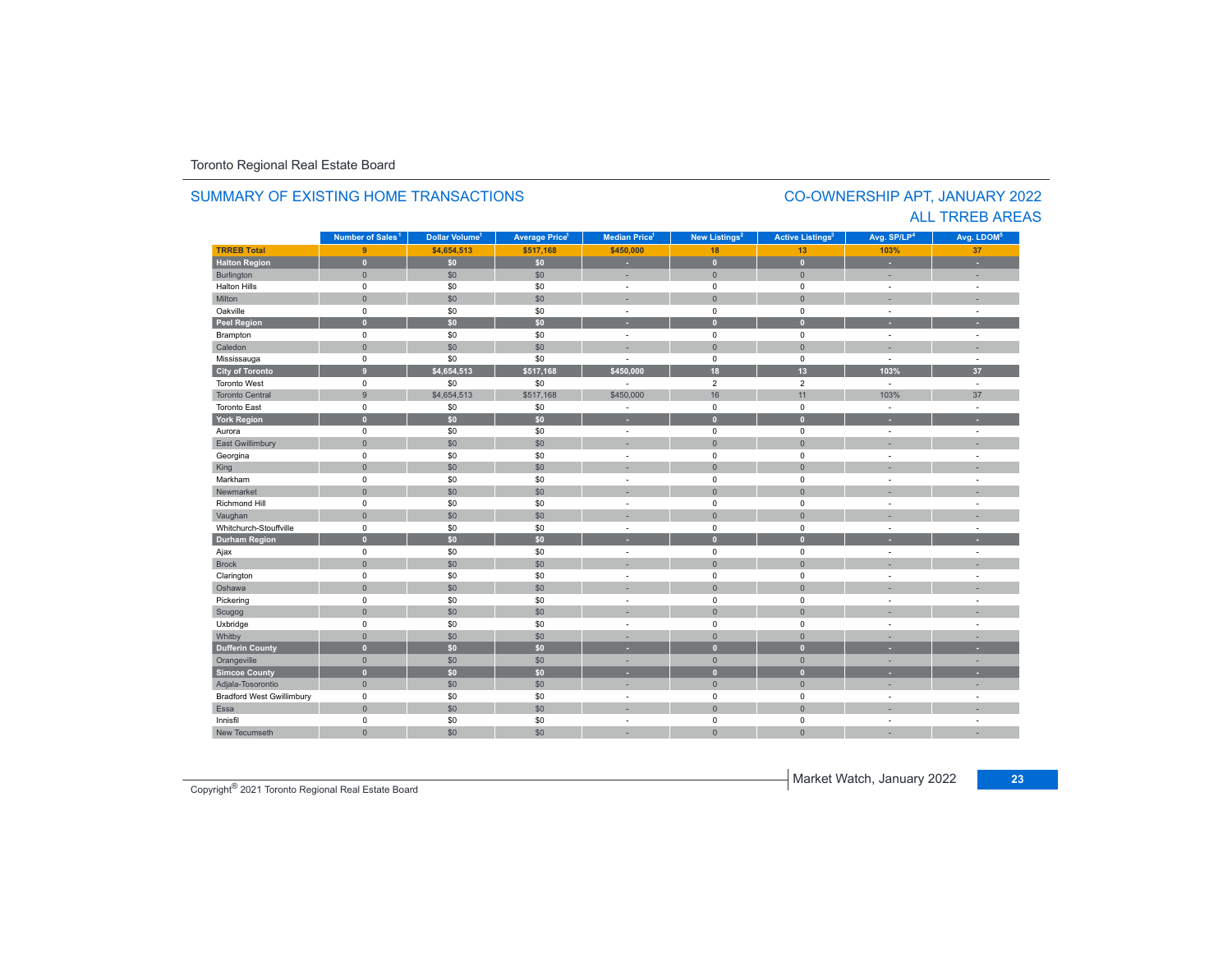#### **TR5EB Total 9 \$4,654,513 \$517,168 \$450,000 18 13 103%103%** 37 **Halton Region 0 \$0 \$0 - 0 0 - -** Burlington 0 \$0 \$0 | = 0 | = | = Halton Hills 0 \$0 \$0 - 0 0 - - Miltonn 1980 - 1991 - 1992 - 1993 - 1994 - 1994 - 1995 - 1996 - 1997 - 1998 - 1999 - 1999 - 1999 - 1999 - 1999 - 199 Oakville<br>Peel Region e 0 \$0 \$0 - 0 0 - -**Peel Region 0 \$0 \$0 - 0 0 - -** Brampton 0 \$0 \$0 - 0 0 - - Caledonn 1980 - 1980 - 1980 - 1981 - 1981 - 1982 - 1983 - 1984 - 1986 - 1987 - 1988 - 1988 - 1988 - 1988 - 1988 - 198 Mississauga 0 \$0 \$0 - 0 0 - - **City of Toronto 9 \$4,654,513 \$517,168 \$450,000 18 13 103% 37** Toronto West 0 $\begin{array}{ccccccccccc} 0 & \hspace{1.5cm} & \hspace{1.5cm} & \hspace{1.5cm} & \hspace{1.5cm} & \hspace{1.5cm} & \hspace{1.5cm} & \hspace{1.5cm} & \hspace{1.5cm} & \hspace{1.5cm} & \hspace{1.5cm} & \hspace{1.5cm} & \hspace{1.5cm} & \hspace{1.5cm} & \hspace{1.5cm} & \hspace{1.5cm} & \hspace{1.5cm} & \hspace{1.5cm} \end{array}$ Toronto Central 9.9 \$4,654,513 \$517,168 \$450,000 16 11 103% 103% 37 Toronto East 0 \$0 \$0 - 0 0 - - **York Region 0 \$0 \$0 - 0 0 - -** Aurora 0 \$0 \$0 - 0 0 - - East Gwillimbury 0 \$0 \$0 - 0 0 - - Georgina 0 \$0 \$0 - 0 0 - - King 0 \$0 \$0 - 0 0 - - Markham 0 \$0 \$0 - 0 0 - - Newmarket 0 \$0 \$0 - 0 0 - - Richmond Hill 0 \$0 \$0 - 0 0 - - Vaughan 1980 (1980) (1980) (1980) (1980) (1980) (1980) (1980) (1980) (1980) (1980) (1980) (1980) (1980) (1980) Whitchurch-Stouffvillee 0 \$0 \$0 - 0 0 - -**Durham Region 0 \$0 \$0 - 0 0 - -** Ajax 0 \$0 \$0 - 0 0 - - Brock 0 \$0 \$0 - 0 0 - - Clarington 0 \$0 \$0 - 0 0 - - Oshawaa dia 1980 - Aniso ao amin'ny faritr'i Nouvelle-Aquitaine, ao amin'ny faritr'i Nouvelle-Aquitaine, ao amin'ny المال المسابق التي يقوم التي يقوم التي يقوم التي يقوم التي يقوم التي يقوم التي تعليم التي تعليم التي يقوم التي<br>التي يقوم التي يقوم التي يقوم التي يقوم التي يقوم التي يقوم التي يقوم التي يقوم التي يقوم التي يقوم التي يقوم Scugog 0 \$0 \$0 - 0 0 - - Uxbridge 0 \$0 \$0 - 0 0 - - Whitby 0 \$0 \$0 - 0 0 - - **Dufferin County 0 \$0 \$0 - 0 0 - -** Orangeville 0 \$0 \$0 - 0 0 - - **Simcoe County 0 \$0 \$0 - 0 0 - -** Adjala-Tosorontio 0 \$0 \$0 - 0 0 - - Bradford West Gwillimbury 0 \$0 \$0 - 0 0 - - Essaa dia 1980 - Aniso ao amin'ny faritr'i Nouvelle-Aquitaine, ao amin'ny faritr'i Nouvelle-Aquitaine, ao amin'ny Innisfil 0 \$0 \$0 - 0 0 - - New Tecumseth 0 \$0 \$0 - 0 0 - - **Municipality Number of Sales Dollar Volume Average Price Median Price New Listings Active Listings Avg. SP/LP Avg. LDOM Number of Sales<sup>1</sup> 1** Dollar Volume<sup>1</sup> | Average Price<sup>1</sup> | Median Price<sup>1</sup> | New Listings<sup>2</sup> | Active Listings<sup>3</sup> | Avg. SP/LP<sup>4</sup> | Avg. LDOM<sup>5</sup>

#### SUMMARY OF EXISTING HOME TRANSACTIONS

### CO-OWNERSHIP APT, JANUARY 2022 ALL TRREB AREAS

Market Watch, January 2022 **<sup>23</sup>** Copyright® 2021 Toronto Regional Real Estate Board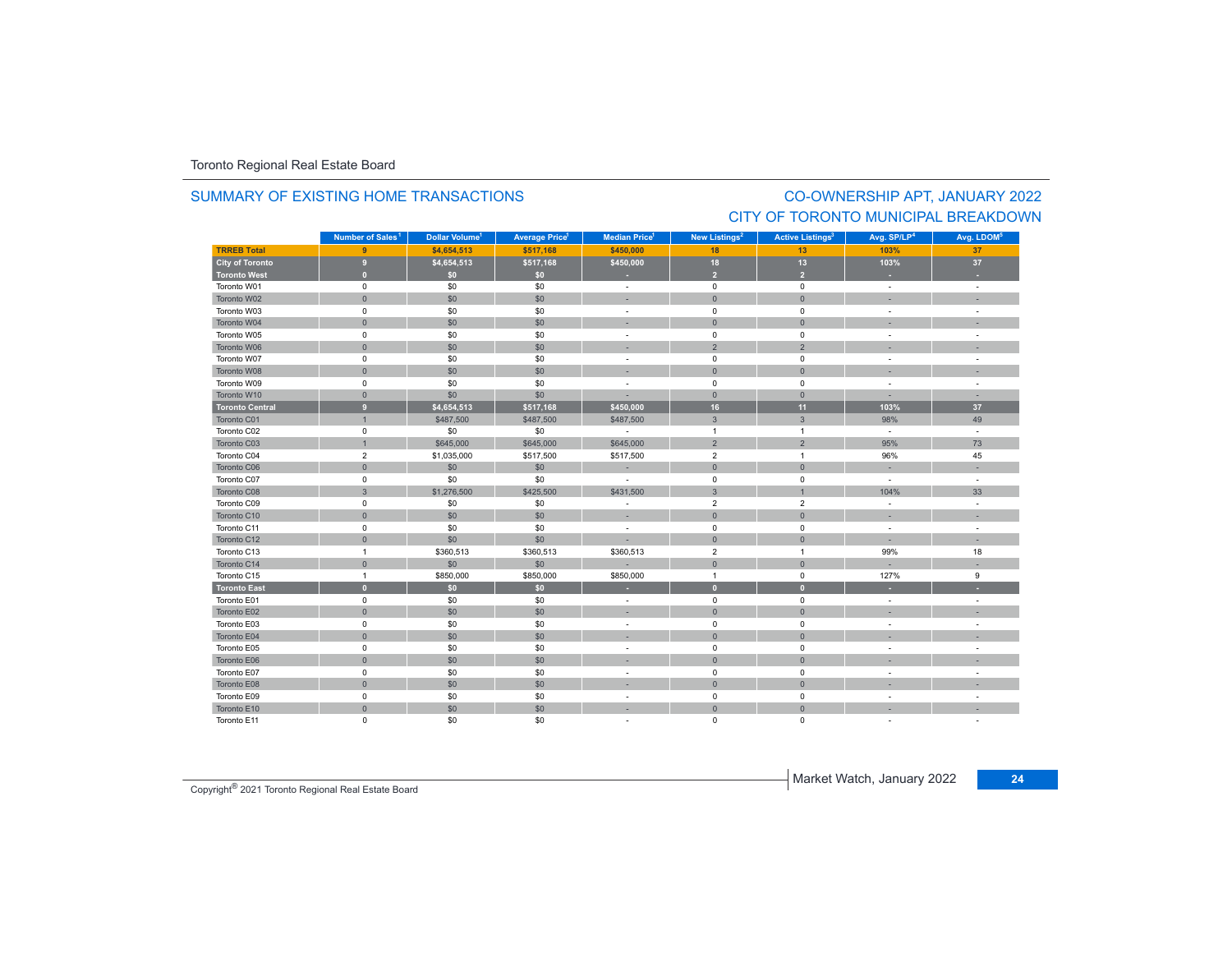### SUMMARY OF EXISTING HOME TRANSACTIONS

## CO-OWNERSHIP APT, JANUARY 2022 CITY OF TORONTO MUNICIPAL BREAKDOWN

|                        | Number of Sales <sup>1</sup> | Dollar Volume <sup>1</sup> | <b>Average Price</b> | Median Price <sup>1</sup> | New Listings <sup>2</sup> | <b>Active Listings<sup>3</sup></b> | Avg. SP/LP <sup>4</sup>  | Avg. LDOM <sup>5</sup> |
|------------------------|------------------------------|----------------------------|----------------------|---------------------------|---------------------------|------------------------------------|--------------------------|------------------------|
| <b>TRREB Total</b>     | 9                            | \$4,654,513                | \$517,168            | \$450,000                 | 18                        | 13                                 | 103%                     | 37                     |
| City of Toronto        | $\overline{9}$               | \$4,654,513                | \$517,168            | \$450,000                 | 18                        | 13                                 | 103%                     | 37                     |
| <b>Toronto West</b>    | $\mathbf{0}$                 | \$0                        | \$0                  |                           | $\overline{2}$            | $\overline{2}$                     |                          |                        |
| Toronto W01            | $\mathsf 0$                  | \$0                        | \$0                  | $\sim$                    | $\mathsf 0$               | $\mathsf 0$                        | $\sim$                   | $\sim$                 |
| Toronto W02            | $\mathbf{0}$                 | \$0                        | \$0                  |                           | $\mathbf{0}$              | $\mathbf{0}$                       |                          |                        |
| Toronto W03            | $\mathsf 0$                  | \$0                        | \$0                  | $\sim$                    | $\mathbf 0$               | $\mathbf 0$                        | $\sim$                   | $\sim$                 |
| Toronto W04            | $\mathbf{0}$                 | \$0                        | \$0                  |                           | $\mathbf 0$               | $\mathbf{0}$                       |                          |                        |
| Toronto W05            | $\mathsf{O}$                 | \$0                        | \$0                  |                           | $\mathsf 0$               | $\mathbf 0$                        |                          |                        |
| Toronto W06            | $\mathsf{O}\xspace$          | \$0                        | \$0                  |                           | $\overline{2}$            | $\overline{2}$                     |                          |                        |
| Toronto W07            | $\mathbf 0$                  | \$0                        | \$0                  |                           | $\mathbf 0$               | $\mathbf 0$                        |                          |                        |
| Toronto W08            | $\mathbf{0}$                 | \$0                        | \$0                  |                           | $\mathbf{0}$              | $\Omega$                           |                          |                        |
| Toronto W09            | $\mathsf 0$                  | \$0                        | \$0                  | $\overline{\phantom{a}}$  | $\mathbf 0$               | $\mathbf 0$                        | $\sim$                   | $\sim$                 |
| Toronto W10            | $\mathsf{O}\xspace$          | \$0                        | \$0                  |                           | $\mathbf{0}$              | $\overline{0}$                     |                          |                        |
| <b>Toronto Central</b> | 9                            | \$4,654,513                | \$517,168            | \$450.000                 | 16                        | 11                                 | 103%                     | 37                     |
| Toronto C01            | $\overline{1}$               | \$487,500                  | \$487,500            | \$487,500                 | $\mathbf{3}$              | $\overline{3}$                     | 98%                      | 49                     |
| Toronto C02            | $\mathsf 0$                  | \$0                        | \$0                  | $\sim$                    | $\overline{1}$            | $\overline{1}$                     | $\sim$                   | $\sim$                 |
| Toronto C03            | $\mathbf{1}$                 | \$645,000                  | \$645,000            | \$645,000                 | $\overline{2}$            | $\overline{2}$                     | 95%                      | 73                     |
| Toronto C04            | $\overline{2}$               | \$1,035,000                | \$517,500            | \$517,500                 | $\overline{2}$            | $\overline{1}$                     | 96%                      | 45                     |
| Toronto C06            | $\mathsf{O}\xspace$          | \$0                        | \$0                  | $\sim$                    | $\mathbf 0$               | $\mathbf 0$                        |                          |                        |
| Toronto C07            | $\mathbf 0$                  | \$0                        | \$0                  | $\overline{a}$            | $\mathbf 0$               | $\mathbf 0$                        | $\sim$                   | $\sim$                 |
| Toronto C08            | $\mathbf{3}$                 | \$1,276,500                | \$425,500            | \$431,500                 | $\overline{3}$            | $\overline{1}$                     | 104%                     | 33                     |
| Toronto C09            | 0                            | \$0                        | \$0                  |                           | $\overline{2}$            | $\overline{2}$                     |                          | $\sim$                 |
| Toronto C10            | $\mathsf{O}\xspace$          | \$0                        | \$0                  | ×.                        | $\mathbf 0$               | $\mathbf{0}$                       |                          |                        |
| Toronto C11            | $\mathbf 0$                  | \$0                        | \$0                  | $\sim$                    | $\mathbf 0$               | $\mathbf 0$                        |                          |                        |
| Toronto C12            | $\mathbf{0}$                 | \$0                        | \$0                  |                           | $\mathbf 0$               | $\mathbf{0}$                       | $\overline{\phantom{a}}$ | ×.                     |
| Toronto C13            | $\overline{1}$               | \$360,513                  | \$360,513            | \$360,513                 | $\overline{2}$            | $\overline{1}$                     | 99%                      | 18                     |
| Toronto C14            | $\mathbf{0}$                 | \$0                        | \$0                  |                           | $\mathbf 0$               | $\mathbf 0$                        |                          |                        |
| Toronto C15            | $\mathbf{1}$                 | \$850,000                  | \$850,000            | \$850,000                 | $\overline{1}$            | $\mathsf 0$                        | 127%                     | 9                      |
| <b>Toronto East</b>    | $\mathbf{0}$                 | \$0                        | \$0                  |                           | $\overline{0}$            | $\bf{0}$                           |                          | н                      |
| Toronto E01            | $\mathbf 0$                  | \$0                        | \$0                  | ٠                         | $\mathbf 0$               | $\mathbf 0$                        |                          |                        |
| Toronto E02            | $\mathbf{0}$                 | \$0                        | \$0                  |                           | $\mathbf{0}$              | $\mathbf{0}$                       |                          |                        |
| Toronto E03            | $\mathsf 0$                  | \$0                        | \$0                  |                           | $\mathbf 0$               | $\mathbf 0$                        |                          | ÷.                     |
| Toronto E04            | $\mathsf{O}\xspace$          | \$0                        | \$0                  |                           | $\mathbf 0$               | $\mathbf{0}$                       |                          |                        |
| Toronto E05            | $\pmb{0}$                    | \$0                        | \$0                  |                           | $\mathsf 0$               | $\mathsf 0$                        |                          |                        |
| Toronto E06            | $\mathsf{O}\xspace$          | \$0                        | \$0                  |                           | $\mathbf 0$               | $\mathbf{0}$                       |                          |                        |
| Toronto E07            | $\mathsf 0$                  | \$0                        | \$0                  | $\sim$                    | $\mathbf 0$               | $\mathbf 0$                        | $\sim$                   | ÷                      |
| Toronto E08            | $\mathbf{0}$                 | \$0                        | \$0                  |                           | $\mathbf 0$               | $\mathbf{0}$                       |                          |                        |
| Toronto E09            | $\mathsf 0$                  | \$0                        | \$0                  | $\sim$                    | $\pmb{0}$                 | $\mathbf 0$                        |                          |                        |
| Toronto E10            | $\mathsf{O}\xspace$          | \$0                        | \$0                  |                           | $\mathbf{0}$              | $\mathbf{0}$                       |                          |                        |
| Toronto E11            | $\mathbf 0$                  | \$0                        | \$0                  |                           | $\mathbf 0$               | 0                                  |                          |                        |

Market Watch, January 2022 **<sup>24</sup>** Copyright® 2021 Toronto Regional Real Estate Board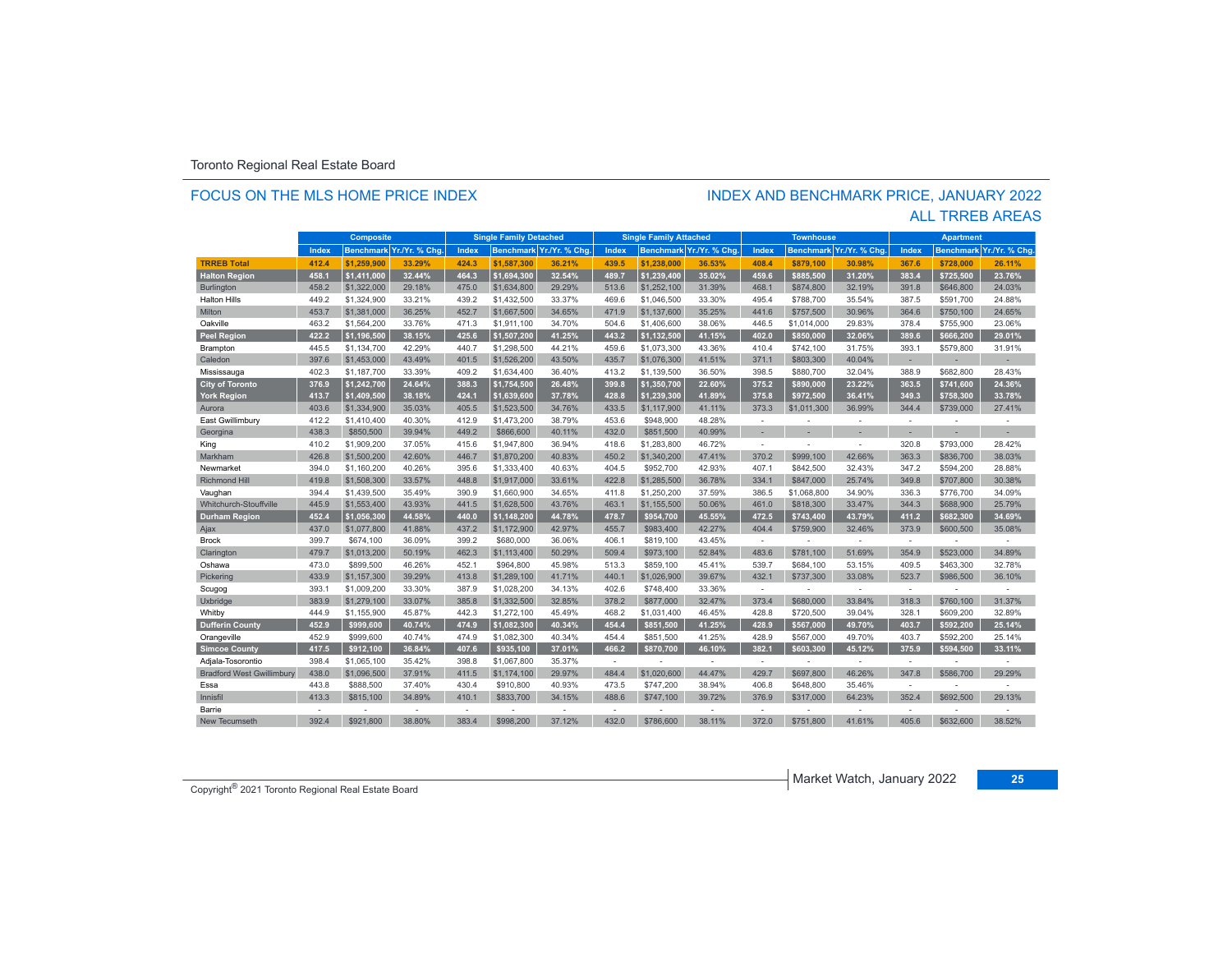#### FOCUS ON THE MLS HOME PRICE INDEX

# INDEX AND BENCHMARK PRICE, JANUARY 2022

|                                  |       | <b>Composite</b> |                          |                          | <b>Single Family Detached</b> |                         |              | <b>Single Family Attached</b> |                          |                          | <b>Townhouse</b> |                          |        | <b>Apartment</b> |                         |
|----------------------------------|-------|------------------|--------------------------|--------------------------|-------------------------------|-------------------------|--------------|-------------------------------|--------------------------|--------------------------|------------------|--------------------------|--------|------------------|-------------------------|
|                                  | Index |                  | Benchmark Yr./Yr. % Chg. | Index                    |                               | Benchmark Yr./Yr. % Chg | <b>Index</b> |                               | Benchmark Yr./Yr. % Chg. | Index                    |                  | Benchmark Yr./Yr. % Chg. | Index  |                  | Benchmark Yr./Yr. % Chg |
| <b>TRREB Total</b>               | 412.4 | \$1.259.900      | 33.29%                   | 424.3                    | \$1,587,300                   | 36.21%                  | 439.5        | \$1,238,000                   | 36.53%                   | 408.4                    | \$879.100        | 30.98%                   | 367.6  | \$728.000        | 26.11%                  |
| <b>Halton Region</b>             | 458.1 | \$1,411,000      | 32.44%                   | 464.3                    | \$1.694.300                   | 32.54%                  | 489.7        | \$1.239.400                   | 35.02%                   | 459.6                    | \$885.500        | 31.20%                   | 383.4  | \$725,500        | 23.76%                  |
| <b>Burlington</b>                | 458.2 | \$1,322,000      | 29.18%                   | 475.0                    | \$1,634,800                   | 29.29%                  | 513.6        | \$1,252,100                   | 31.39%                   | 468.1                    | \$874,800        | 32.19%                   | 391.8  | \$646,800        | 24.03%                  |
| <b>Halton Hills</b>              | 449.2 | \$1,324,900      | 33.21%                   | 439.2                    | \$1,432,500                   | 33.37%                  | 469.6        | \$1,046,500                   | 33.30%                   | 495.4                    | \$788,700        | 35.54%                   | 387.5  | \$591,700        | 24.88%                  |
| Milton                           | 453.7 | \$1,381,000      | 36.25%                   | 452.7                    | \$1,667,500                   | 34.65%                  | 471.9        | \$1,137,600                   | 35.25%                   | 441.6                    | \$757,500        | 30.96%                   | 364.6  | \$750.100        | 24.65%                  |
| Oakville                         | 463.2 | \$1,564,200      | 33.76%                   | 471.3                    | \$1,911,100                   | 34.70%                  | 504.6        | \$1,406,600                   | 38.06%                   | 446.5                    | \$1,014,000      | 29.83%                   | 378.4  | \$755,900        | 23.06%                  |
| <b>Peel Region</b>               | 422.2 | \$1.196.500      | 38.15%                   | 425.6                    | \$1.507.200                   | 41.25%                  | 443.2        | \$1.132.500                   | 41.15%                   | 402.0                    | \$850,000        | 32.06%                   | 389.6  | \$666.200        | 29.01%                  |
| Brampton                         | 445.5 | \$1,134,700      | 42.29%                   | 440.7                    | \$1,298,500                   | 44.21%                  | 459.6        | \$1,073,300                   | 43.36%                   | 410.4                    | \$742,100        | 31.75%                   | 393.1  | \$579,800        | 31.91%                  |
| Caledon                          | 397.6 | \$1,453,000      | 43.49%                   | 401.5                    | \$1,526,200                   | 43.50%                  | 435.7        | \$1,076,300                   | 41.51%                   | 371.1                    | \$803,300        | 40.04%                   | ×.     |                  |                         |
| Mississauga                      | 402.3 | \$1,187,700      | 33.39%                   | 409.2                    | \$1,634,400                   | 36.40%                  | 413.2        | \$1.139.500                   | 36.50%                   | 398.5                    | \$880,700        | 32.04%                   | 388.9  | \$682,800        | 28.43%                  |
| <b>City of Toronto</b>           | 376.9 | \$1,242,700      | 24.64%                   | 388.3                    | \$1,754,500                   | 26.48%                  | 399.8        | \$1,350,700                   | 22.60%                   | 375.2                    | \$890.000        | 23.22%                   | 363.5  | \$741,600        | 24.36%                  |
| York Region                      | 413.7 | \$1,409,500      | 38.18%                   | 424.1                    | \$1.639.600                   | 37.78%                  | 428.8        | \$1.239.300                   | 41.89%                   | 375.8                    | \$972.500        | 36.41%                   | 349.3  | \$758.300        | 33.78%                  |
| Aurora                           | 403.6 | \$1,334,900      | 35.03%                   | 405.5                    | \$1,523,500                   | 34.76%                  | 433.5        | \$1,117,900                   | 41.11%                   | 373.3                    | \$1,011,300      | 36.99%                   | 344.4  | \$739,000        | 27.41%                  |
| East Gwillimbury                 | 412.2 | \$1,410,400      | 40.30%                   | 412.9                    | \$1,473,200                   | 38.79%                  | 453.6        | \$948,900                     | 48.28%                   | $\sim$                   | ä,               | ÷                        | ÷      |                  |                         |
| Georgina                         | 438.3 | \$850,500        | 39.94%                   | 449.2                    | \$866,600                     | 40.11%                  | 432.0        | \$851,500                     | 40.99%                   |                          |                  |                          |        |                  |                         |
| King                             | 410.2 | \$1,909,200      | 37.05%                   | 415.6                    | \$1,947,800                   | 36.94%                  | 418.6        | \$1.283.800                   | 46.72%                   | $\overline{\phantom{a}}$ | ۰                | ٠                        | 320.8  | \$793,000        | 28.42%                  |
| Markham                          | 426.8 | \$1,500,200      | 42.60%                   | 446.7                    | \$1,870,200                   | 40.83%                  | 450.2        | \$1,340,200                   | 47.41%                   | 370.2                    | \$999,100        | 42.66%                   | 363.3  | \$836,700        | 38.03%                  |
| Newmarket                        | 394.0 | \$1,160,200      | 40.26%                   | 395.6                    | \$1,333,400                   | 40.63%                  | 404.5        | \$952.700                     | 42.93%                   | 407.1                    | \$842,500        | 32.43%                   | 347.2  | \$594.200        | 28.88%                  |
| <b>Richmond Hill</b>             | 419.8 | \$1,508,300      | 33.57%                   | 448.8                    | \$1,917,000                   | 33.61%                  | 422.8        | \$1,285,500                   | 36.78%                   | 334.1                    | \$847,000        | 25.74%                   | 349.8  | \$707,800        | 30.38%                  |
| Vaughan                          | 394.4 | \$1,439,500      | 35.49%                   | 390.9                    | \$1,660,900                   | 34.65%                  | 411.8        | \$1,250,200                   | 37.59%                   | 386.5                    | \$1,068,800      | 34.90%                   | 336.3  | \$776,700        | 34.09%                  |
| Whitchurch-Stouffville           | 445.9 | \$1,553,400      | 43.93%                   | 441.5                    | \$1,628,500                   | 43.76%                  | 463.1        | \$1,155,500                   | 50.06%                   | 461.0                    | \$818,300        | 33.47%                   | 344.3  | \$688.900        | 25.79%                  |
| <b>Durham Region</b>             | 452.4 | \$1.056.300      | 44.58%                   | 440.0                    | \$1.148.200                   | 44.78%                  | 478.7        | \$954.700                     | 45.55%                   | 472.5                    | \$743.400        | 43.79%                   | 411.2  | \$682.300        | 34.69%                  |
| Ajax                             | 437.0 | \$1,077,800      | 41.88%                   | 437.2                    | \$1,172,900                   | 42.97%                  | 455.7        | \$983.400                     | 42.27%                   | 404.4                    | \$759,900        | 32.46%                   | 373.9  | \$600,500        | 35.08%                  |
| <b>Brock</b>                     | 399.7 | \$674,100        | 36.09%                   | 399.2                    | \$680,000                     | 36.06%                  | 406.1        | \$819,100                     | 43.45%                   | $\sim$                   |                  | $\sim$                   | $\sim$ |                  |                         |
| Clarington                       | 479.7 | \$1,013,200      | 50.19%                   | 462.3                    | \$1,113,400                   | 50.29%                  | 509.4        | \$973.100                     | 52.84%                   | 483.6                    | \$781,100        | 51.69%                   | 354.9  | \$523,000        | 34.89%                  |
| Oshawa                           | 473.0 | \$899,500        | 46.26%                   | 452.1                    | \$964,800                     | 45.98%                  | 513.3        | \$859,100                     | 45.41%                   | 539.7                    | \$684,100        | 53.15%                   | 409.5  | \$463,300        | 32.78%                  |
| Pickering                        | 433.9 | \$1,157,300      | 39.29%                   | 413.8                    | \$1,289,100                   | 41.71%                  | 440.1        | \$1.026.900                   | 39.67%                   | 432.1                    | \$737,300        | 33.08%                   | 523.7  | \$986,500        | 36.10%                  |
| Scugog                           | 393.1 | \$1,009,200      | 33.30%                   | 387.9                    | \$1,028,200                   | 34.13%                  | 402.6        | \$748,400                     | 33.36%                   | $\sim$                   | ٠                | ÷                        | ÷      |                  |                         |
| Uxbridge                         | 383.9 | \$1,279,100      | 33.07%                   | 385.8                    | \$1,332,500                   | 32.85%                  | 378.2        | \$877,000                     | 32.47%                   | 373.4                    | \$680,000        | 33.84%                   | 318.3  | \$760,100        | 31.37%                  |
| Whitby                           | 444.9 | \$1.155.900      | 45.87%                   | 442.3                    | \$1,272,100                   | 45.49%                  | 468.2        | \$1.031.400                   | 46.45%                   | 428.8                    | \$720,500        | 39.04%                   | 328.1  | \$609,200        | 32.89%                  |
| <b>Dufferin County</b>           | 452.9 | \$999,600        | 40.74%                   | 474.9                    | \$1,082,300                   | 40.34%                  | 454.4        | \$851.500                     | 41.25%                   | 428.9                    | \$567,000        | 49.70%                   | 403.7  | \$592.200        | 25.14%                  |
| Orangeville                      | 452.9 | \$999,600        | 40.74%                   | 474.9                    | \$1,082,300                   | 40.34%                  | 454.4        | \$851,500                     | 41.25%                   | 428.9                    | \$567,000        | 49.70%                   | 403.7  | \$592,200        | 25.14%                  |
| <b>Simcoe County</b>             | 417.5 | \$912.100        | 36.84%                   | 407.6                    | \$935.100                     | 37.01%                  | 466.2        | \$870,700                     | 46.10%                   | 382.1                    | \$603,300        | 45.12%                   | 375.9  | \$594,500        | 33.11%                  |
| Adjala-Tosorontio                | 398.4 | \$1,065,100      | 35.42%                   | 398.8                    | \$1,067,800                   | 35.37%                  | $\sim$       |                               | ×                        | $\sim$                   | ٠                | $\sim$                   | $\sim$ |                  |                         |
| <b>Bradford West Gwillimbury</b> | 438.0 | \$1,096,500      | 37.91%                   | 411.5                    | \$1,174,100                   | 29.97%                  | 484.4        | \$1,020,600                   | 44.47%                   | 429.7                    | \$697,800        | 46.26%                   | 347.8  | \$586,700        | 29.29%                  |
| Essa                             | 443.8 | \$888,500        | 37.40%                   | 430.4                    | \$910,800                     | 40.93%                  | 473.5        | \$747,200                     | 38.94%                   | 406.8                    | \$648,800        | 35.46%                   | $\sim$ |                  |                         |
| Innisfil                         | 413.3 | \$815,100        | 34.89%                   | 410.1                    | \$833,700                     | 34.15%                  | 488.6        | \$747,100                     | 39.72%                   | 376.9                    | \$317,000        | 64.23%                   | 352.4  | \$692,500        | 29.13%                  |
| Barrie                           | ٠     |                  | $\overline{\phantom{a}}$ | $\overline{\phantom{a}}$ | ٠                             | ٠                       | ÷            |                               | $\overline{a}$           | $\overline{\phantom{a}}$ | ٠                | $\sim$                   | ÷      |                  |                         |
| <b>New Tecumseth</b>             | 392.4 | \$921,800        | 38.80%                   | 383.4                    | \$998,200                     | 37.12%                  | 432.0        | \$786,600                     | 38.11%                   | 372.0                    | \$751,800        | 41.61%                   | 405.6  | \$632,600        | 38.52%                  |

ALL TRREB AREAS

Market Watch, January 2022 **<sup>25</sup>** Copyright® 2021 Toronto Regional Real Estate Board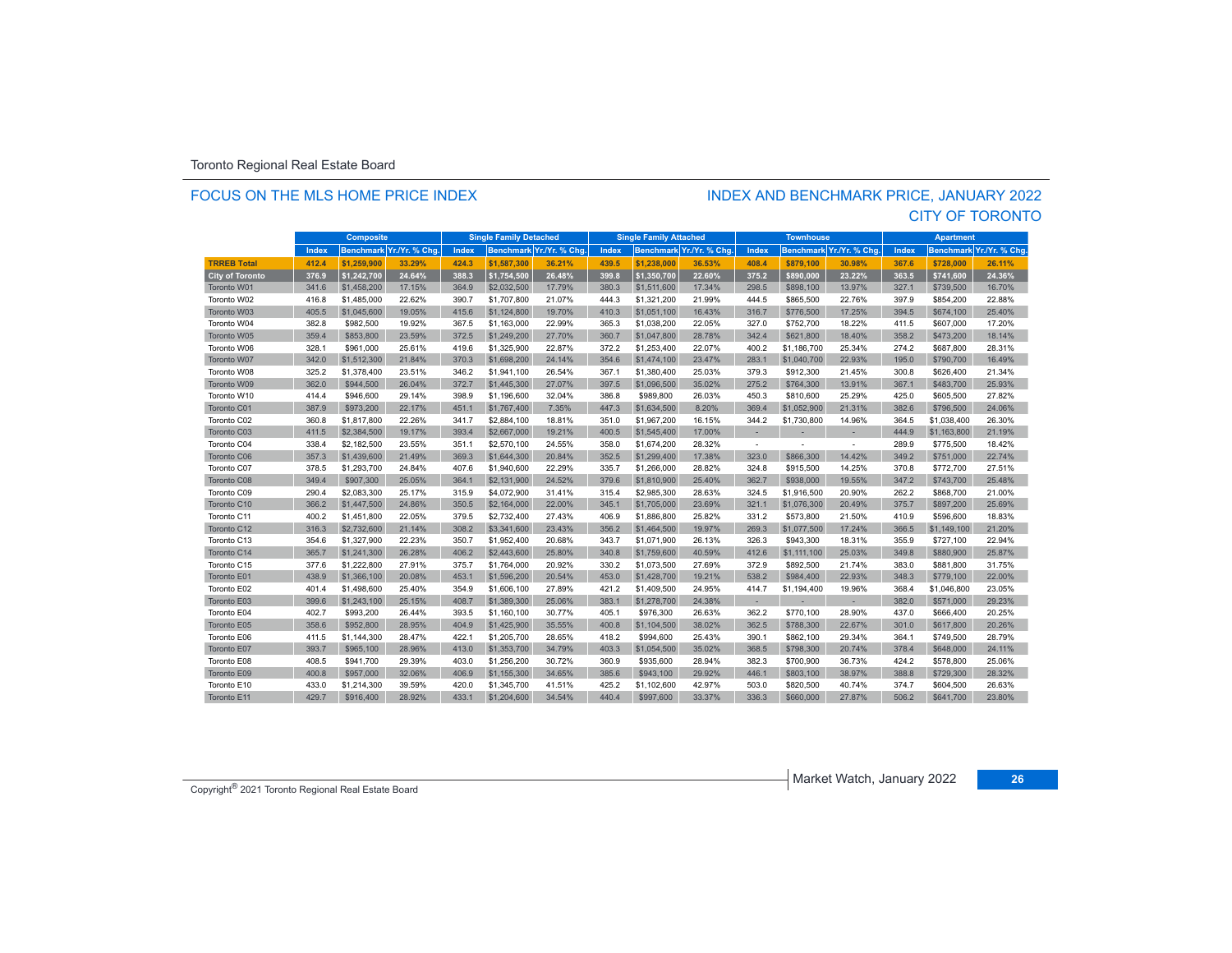#### FOCUS ON THE MLS HOME PRICE INDEX

### CITY OF TORONTO INDEX AND BENCHMARK PRICE, JANUARY 2022

|                        | <b>Composite</b> |             |                         | <b>Single Family Detached</b> |             |                          | <b>Single Family Attached</b> |             |                          | <b>Townhouse</b>         |             |                          | <b>Apartment</b> |                  |                |
|------------------------|------------------|-------------|-------------------------|-------------------------------|-------------|--------------------------|-------------------------------|-------------|--------------------------|--------------------------|-------------|--------------------------|------------------|------------------|----------------|
|                        | Index            |             | Benchmark Yr./Yr. % Chg | Index                         |             | Benchmark Yr./Yr. % Chg. | Index                         |             | Benchmark Yr./Yr. % Chg. | Index                    |             | Benchmark Yr./Yr. % Chg. | Index            | <b>Benchmark</b> | Yr./Yr. % Chg. |
| <b>TRREB Total</b>     | 412.4            | \$1,259,900 | 33.29%                  | 424.3                         | \$1,587,300 | 36.21%                   | 439.5                         | \$1,238,000 | 36.53%                   | 408.4                    | \$879.100   | 30.98%                   | 367.6            | \$728,000        | 26.11%         |
| <b>City of Toronto</b> | 376.9            | \$1,242,700 | 24.64%                  | 388.3                         | \$1,754,500 | 26.48%                   | 399.8                         | \$1,350,700 | 22.60%                   | 375.2                    | \$890,000   | 23.22%                   | 363.5            | \$741,600        | 24.36%         |
| Toronto W01            | 341.6            | \$1,458,200 | 17.15%                  | 364.9                         | \$2,032,500 | 17.79%                   | 380.3                         | \$1,511,600 | 17.34%                   | 298.5                    | \$898,100   | 13.97%                   | 327.1            | \$739,500        | 16.70%         |
| Toronto W02            | 416.8            | \$1,485,000 | 22.62%                  | 390.7                         | \$1,707,800 | 21.07%                   | 444.3                         | \$1,321,200 | 21.99%                   | 444.5                    | \$865,500   | 22.76%                   | 397.9            | \$854,200        | 22.88%         |
| Toronto W03            | 405.5            | \$1,045,600 | 19.05%                  | 415.6                         | \$1,124,800 | 19.70%                   | 410.3                         | \$1,051,100 | 16.43%                   | 316.7                    | \$776,500   | 17.25%                   | 394.5            | \$674,100        | 25.40%         |
| Toronto W04            | 382.8            | \$982,500   | 19.92%                  | 367.5                         | \$1,163,000 | 22.99%                   | 365.3                         | \$1,038,200 | 22.05%                   | 327.0                    | \$752,700   | 18.22%                   | 411.5            | \$607,000        | 17.20%         |
| Toronto W05            | 359.4            | \$853,800   | 23.59%                  | 372.5                         | \$1,249,200 | 27.70%                   | 360.7                         | \$1,047,800 | 28.78%                   | 342.4                    | \$621,800   | 18.40%                   | 358.2            | \$473,200        | 18.14%         |
| Toronto W06            | 328.1            | \$961.000   | 25.61%                  | 419.6                         | \$1,325,900 | 22.87%                   | 372.2                         | \$1,253,400 | 22.07%                   | 400.2                    | \$1,186,700 | 25.34%                   | 274.2            | \$687,800        | 28.31%         |
| Toronto W07            | 342.0            | \$1,512,300 | 21.84%                  | 370.3                         | \$1,698,200 | 24.14%                   | 354.6                         | \$1,474,100 | 23.47%                   | 283.1                    | \$1,040,700 | 22.93%                   | 195.0            | \$790,700        | 16.49%         |
| Toronto W08            | 325.2            | \$1,378,400 | 23.51%                  | 346.2                         | \$1,941,100 | 26.54%                   | 367.1                         | \$1,380,400 | 25.03%                   | 379.3                    | \$912,300   | 21.45%                   | 300.8            | \$626,400        | 21.34%         |
| Toronto W09            | 362.0            | \$944,500   | 26.04%                  | 372.7                         | \$1,445,300 | 27.07%                   | 397.5                         | \$1,096,500 | 35.02%                   | 275.2                    | \$764,300   | 13.91%                   | 367.1            | \$483,700        | 25.93%         |
| Toronto W10            | 414.4            | \$946,600   | 29.14%                  | 398.9                         | \$1,196,600 | 32.04%                   | 386.8                         | \$989.800   | 26.03%                   | 450.3                    | \$810,600   | 25.29%                   | 425.0            | \$605,500        | 27.82%         |
| Toronto C01            | 387.9            | \$973,200   | 22.17%                  | 451.1                         | \$1,767,400 | 7.35%                    | 447.3                         | \$1,634,500 | 8.20%                    | 369.4                    | \$1,052,900 | 21.31%                   | 382.6            | \$796,500        | 24.06%         |
| Toronto C02            | 360.8            | \$1,817,800 | 22.26%                  | 341.7                         | \$2,884,100 | 18.81%                   | 351.0                         | \$1,967,200 | 16.15%                   | 344.2                    | \$1,730,800 | 14.96%                   | 364.5            | \$1,038,400      | 26.30%         |
| Toronto C03            | 411.5            | \$2,384,500 | 19.17%                  | 393.4                         | \$2,667,000 | 19.21%                   | 400.5                         | \$1,545,400 | 17.00%                   |                          |             |                          | 444.9            | \$1,163,800      | 21.19%         |
| Toronto C04            | 338.4            | \$2,182,500 | 23.55%                  | 351.1                         | \$2,570,100 | 24.55%                   | 358.0                         | \$1,674,200 | 28.32%                   | $\overline{\phantom{a}}$ |             |                          | 289.9            | \$775,500        | 18.42%         |
| Toronto C06            | 357.3            | \$1,439,600 | 21.49%                  | 369.3                         | \$1,644,300 | 20.84%                   | 352.5                         | \$1,299,400 | 17.38%                   | 323.0                    | \$866,300   | 14.42%                   | 349.2            | \$751,000        | 22.74%         |
| Toronto C07            | 378.5            | \$1,293,700 | 24.84%                  | 407.6                         | \$1,940,600 | 22.29%                   | 335.7                         | \$1,266,000 | 28.82%                   | 324.8                    | \$915,500   | 14.25%                   | 370.8            | \$772,700        | 27.51%         |
| Toronto C08            | 349.4            | \$907,300   | 25.05%                  | 364.1                         | \$2,131,900 | 24.52%                   | 379.6                         | \$1,810,900 | 25.40%                   | 362.7                    | \$938,000   | 19.55%                   | 347.2            | \$743,700        | 25.48%         |
| Toronto C09            | 290.4            | \$2,083,300 | 25.17%                  | 315.9                         | \$4,072,900 | 31.41%                   | 315.4                         | \$2,985,300 | 28.63%                   | 324.5                    | \$1,916,500 | 20.90%                   | 262.2            | \$868,700        | 21.00%         |
| Toronto C10            | 366.2            | \$1,447,500 | 24.86%                  | 350.5                         | \$2,164,000 | 22.00%                   | 345.1                         | \$1,705,000 | 23.69%                   | 321.1                    | \$1,076,300 | 20.49%                   | 375.7            | \$897,200        | 25.69%         |
| Toronto C11            | 400.2            | \$1,451,800 | 22.05%                  | 379.5                         | \$2,732,400 | 27.43%                   | 406.9                         | \$1,886,800 | 25.82%                   | 331.2                    | \$573,800   | 21.50%                   | 410.9            | \$596,600        | 18.83%         |
| Toronto C12            | 316.3            | \$2,732,600 | 21.14%                  | 308.2                         | \$3,341,600 | 23.43%                   | 356.2                         | \$1,464,500 | 19.97%                   | 269.3                    | \$1,077,500 | 17.24%                   | 366.5            | \$1,149,100      | 21.20%         |
| Toronto C13            | 354.6            | \$1,327,900 | 22.23%                  | 350.7                         | \$1,952,400 | 20.68%                   | 343.7                         | \$1,071,900 | 26.13%                   | 326.3                    | \$943,300   | 18.31%                   | 355.9            | \$727,100        | 22.94%         |
| Toronto C14            | 365.7            | \$1,241,300 | 26.28%                  | 406.2                         | \$2,443,600 | 25.80%                   | 340.8                         | \$1,759,600 | 40.59%                   | 412.6                    | \$1,111,100 | 25.03%                   | 349.8            | \$880,900        | 25.87%         |
| Toronto C15            | 377.6            | \$1,222,800 | 27.91%                  | 375.7                         | \$1,764,000 | 20.92%                   | 330.2                         | \$1,073,500 | 27.69%                   | 372.9                    | \$892,500   | 21.74%                   | 383.0            | \$881,800        | 31.75%         |
| Toronto E01            | 438.9            | \$1,366,100 | 20.08%                  | 453.1                         | \$1,596,200 | 20.54%                   | 453.0                         | \$1,428,700 | 19.21%                   | 538.2                    | \$984,400   | 22.93%                   | 348.3            | \$779,100        | 22.00%         |
| Toronto E02            | 401.4            | \$1,498,600 | 25.40%                  | 354.9                         | \$1,606,100 | 27.89%                   | 421.2                         | \$1,409,500 | 24.95%                   | 414.7                    | \$1,194,400 | 19.96%                   | 368.4            | \$1,046,800      | 23.05%         |
| Toronto E03            | 399.6            | \$1,243,100 | 25.15%                  | 408.7                         | \$1,389,300 | 25.06%                   | 383.1                         | \$1,278,700 | 24.38%                   | $\sim$                   | ×.          | $\overline{\phantom{a}}$ | 382.0            | \$571,000        | 29.23%         |
| Toronto E04            | 402.7            | \$993,200   | 26.44%                  | 393.5                         | \$1,160,100 | 30.77%                   | 405.1                         | \$976,300   | 26.63%                   | 362.2                    | \$770,100   | 28.90%                   | 437.0            | \$666,400        | 20.25%         |
| Toronto E05            | 358.6            | \$952,800   | 28.95%                  | 404.9                         | \$1,425,900 | 35.55%                   | 400.8                         | \$1,104,500 | 38.02%                   | 362.5                    | \$788,300   | 22.67%                   | 301.0            | \$617,800        | 20.26%         |
| Toronto E06            | 411.5            | \$1,144,300 | 28.47%                  | 422.1                         | \$1,205,700 | 28.65%                   | 418.2                         | \$994,600   | 25.43%                   | 390.1                    | \$862,100   | 29.34%                   | 364.1            | \$749,500        | 28.79%         |
| Toronto E07            | 393.7            | \$965,100   | 28.96%                  | 413.0                         | \$1,353,700 | 34.79%                   | 403.3                         | \$1,054,500 | 35.02%                   | 368.5                    | \$798,300   | 20.74%                   | 378.4            | \$648,000        | 24.11%         |
| Toronto E08            | 408.5            | \$941,700   | 29.39%                  | 403.0                         | \$1,256,200 | 30.72%                   | 360.9                         | \$935,600   | 28.94%                   | 382.3                    | \$700,900   | 36.73%                   | 424.2            | \$578,800        | 25.06%         |
| Toronto E09            | 400.8            | \$957,000   | 32.06%                  | 406.9                         | \$1,155,300 | 34.65%                   | 385.6                         | \$943,100   | 29.92%                   | 446.1                    | \$803,100   | 38.97%                   | 388.8            | \$729,300        | 28.32%         |
| Toronto E10            | 433.0            | \$1,214,300 | 39.59%                  | 420.0                         | \$1,345,700 | 41.51%                   | 425.2                         | \$1,102,600 | 42.97%                   | 503.0                    | \$820,500   | 40.74%                   | 374.7            | \$604,500        | 26.63%         |
| Toronto E11            | 429.7            | \$916,400   | 28.92%                  | 433.1                         | \$1,204,600 | 34.54%                   | 440.4                         | \$997,600   | 33.37%                   | 336.3                    | \$660,000   | 27.87%                   | 506.2            | \$641,700        | 23.80%         |